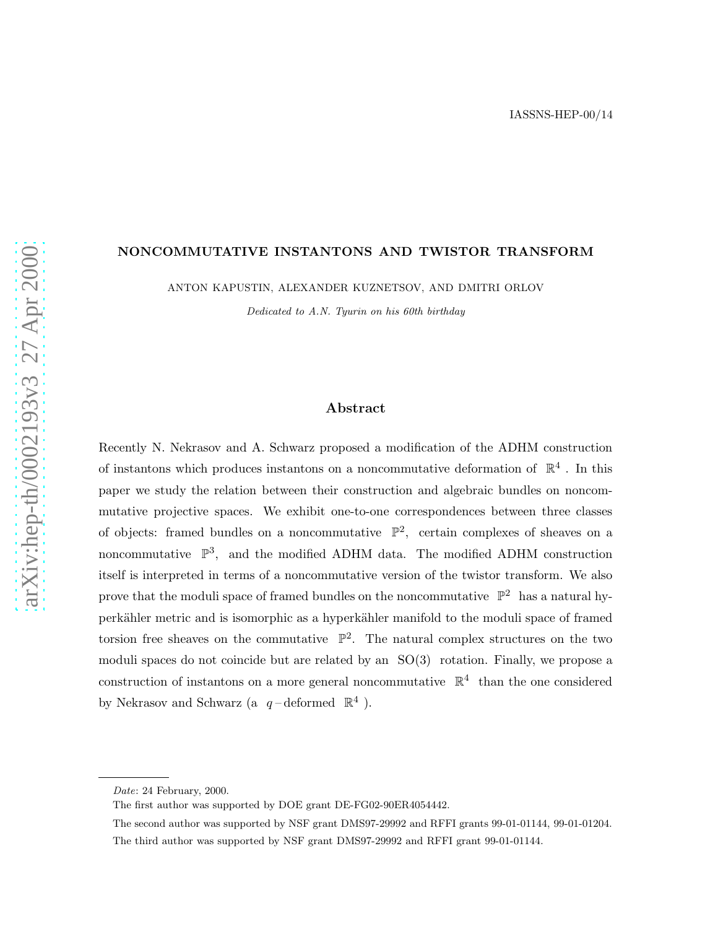## NONCOMMUTATIVE INSTANTONS AND TWISTOR TRANSFORM

ANTON KAPUSTIN, ALEXANDER KUZNETSOV, AND DMITRI ORLOV

*Dedicated to A.N. Tyurin on his 60th birthday*

## Abstract

Recently N. Nekrasov and A. Schwarz proposed a modification of the ADHM construction of instantons which produces instantons on a noncommutative deformation of  $\mathbb{R}^4$ . In this paper we study the relation between their construction and algebraic bundles on noncommutative projective spaces. We exhibit one-to-one correspondences between three classes of objects: framed bundles on a noncommutative  $\mathbb{P}^2$ , certain complexes of sheaves on a noncommutative  $\mathbb{P}^3$ , and the modified ADHM data. The modified ADHM construction itself is interpreted in terms of a noncommutative version of the twistor transform. We also prove that the moduli space of framed bundles on the noncommutative  $\mathbb{P}^2$  has a natural hyperkähler metric and is isomorphic as a hyperkähler manifold to the moduli space of framed torsion free sheaves on the commutative  $\mathbb{P}^2$ . The natural complex structures on the two moduli spaces do not coincide but are related by an SO(3) rotation. Finally, we propose a construction of instantons on a more general noncommutative  $\mathbb{R}^4$  than the one considered by Nekrasov and Schwarz (a  $q$ -deformed  $\mathbb{R}^4$ ).

*Date*: 24 February, 2000.

The first author was supported by DOE grant DE-FG02-90ER4054442.

The second author was supported by NSF grant DMS97-29992 and RFFI grants 99-01-01144, 99-01-01204. The third author was supported by NSF grant DMS97-29992 and RFFI grant 99-01-01144.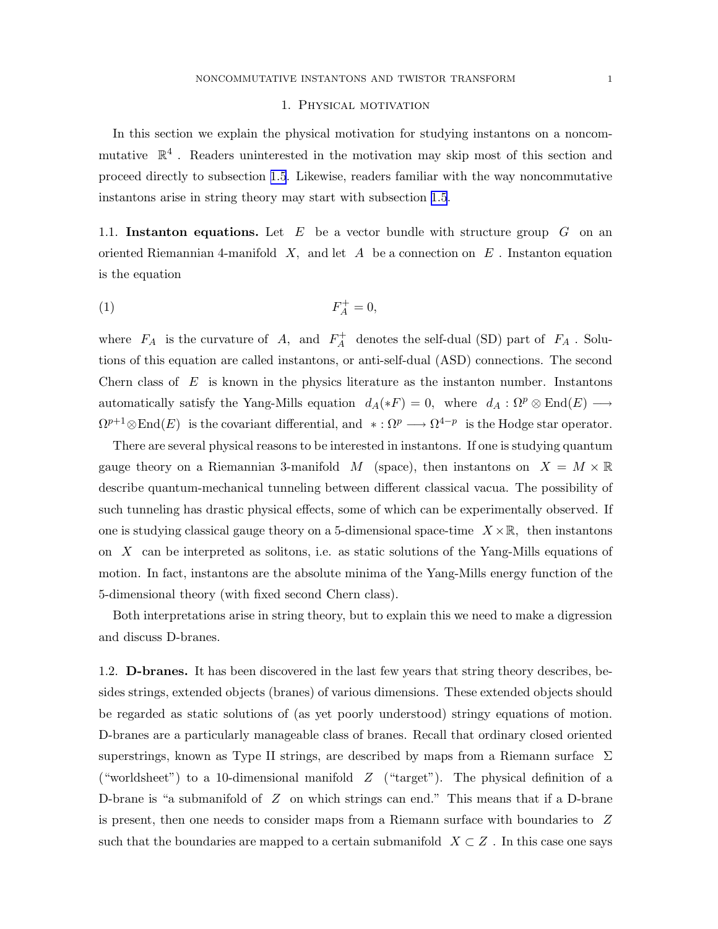### 1. Physical motivation

<span id="page-1-0"></span>In this section we explain the physical motivation for studying instantons on a noncommutative R 4 . Readers uninterested in the motivation may skip most of this section and proceed directly to subsection [1.5](#page-4-0). Likewise, readers familiar with the way noncommutative instantons arise in string theory may start with subsection [1.5](#page-4-0).

1.1. Instanton equations. Let  $E$  be a vector bundle with structure group  $G$  on an oriented Riemannian 4-manifold X, and let A be a connection on  $E$ . Instanton equation is the equation

$$
F_A^+ = 0,
$$

where  $F_A$  is the curvature of A, and  $F_A^+$  denotes the self-dual (SD) part of  $F_A$ . Solutions of this equation are called instantons, or anti-self-dual (ASD) connections. The second Chern class of  $E$  is known in the physics literature as the instanton number. Instantons automatically satisfy the Yang-Mills equation  $d_A(*F) = 0$ , where  $d_A : \Omega^p \otimes \text{End}(E) \longrightarrow$  $\Omega^{p+1}\otimes \text{End}(E)$  is the covariant differential, and  $*:\Omega^p\longrightarrow \Omega^{4-p}$  is the Hodge star operator.

There are several physical reasons to be interested in instantons. If one is studying quantum gauge theory on a Riemannian 3-manifold M (space), then instantons on  $X = M \times \mathbb{R}$ describe quantum-mechanical tunneling between different classical vacua. The possibility of such tunneling has drastic physical effects, some of which can be experimentally observed. If one is studying classical gauge theory on a 5-dimensional space-time  $X \times \mathbb{R}$ , then instantons on  $X$  can be interpreted as solitons, i.e. as static solutions of the Yang-Mills equations of motion. In fact, instantons are the absolute minima of the Yang-Mills energy function of the 5-dimensional theory (with fixed second Chern class).

Both interpretations arise in string theory, but to explain this we need to make a digression and discuss D-branes.

1.2. D-branes. It has been discovered in the last few years that string theory describes, besides strings, extended objects (branes) of various dimensions. These extended objects should be regarded as static solutions of (as yet poorly understood) stringy equations of motion. D-branes are a particularly manageable class of branes. Recall that ordinary closed oriented superstrings, known as Type II strings, are described by maps from a Riemann surface  $\Sigma$ ("worldsheet") to a 10-dimensional manifold Z ("target"). The physical definition of a D-brane is "a submanifold of Z on which strings can end." This means that if a D-brane is present, then one needs to consider maps from a Riemann surface with boundaries to Z such that the boundaries are mapped to a certain submanifold  $X \subset Z$ . In this case one says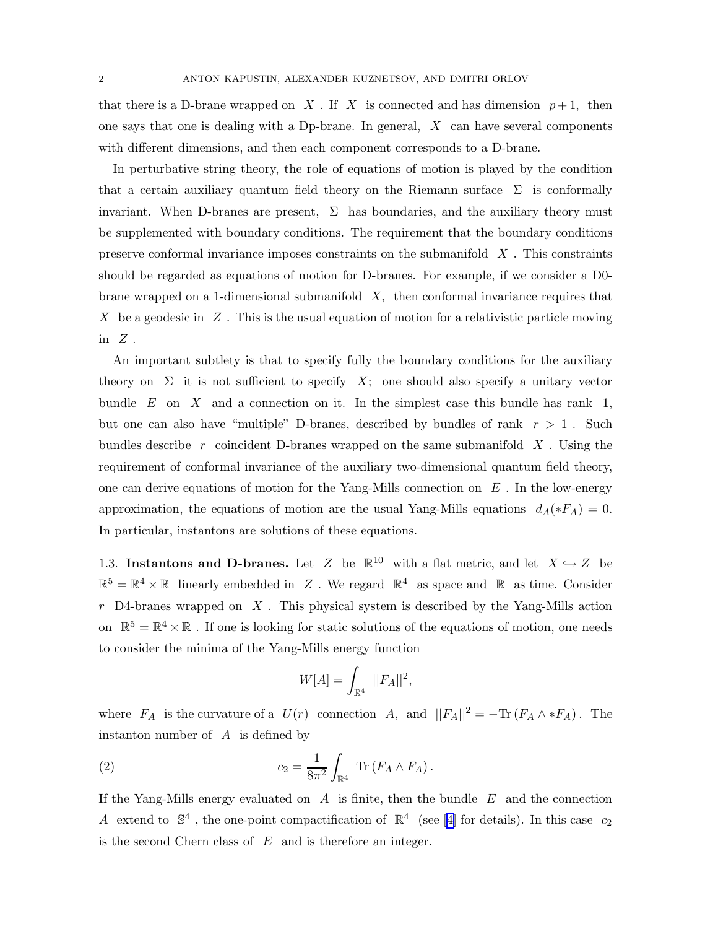<span id="page-2-0"></span>that there is a D-brane wrapped on X. If X is connected and has dimension  $p+1$ , then one says that one is dealing with a Dp-brane. In general,  $X$  can have several components with different dimensions, and then each component corresponds to a D-brane.

In perturbative string theory, the role of equations of motion is played by the condition that a certain auxiliary quantum field theory on the Riemann surface  $\Sigma$  is conformally invariant. When D-branes are present,  $\Sigma$  has boundaries, and the auxiliary theory must be supplemented with boundary conditions. The requirement that the boundary conditions preserve conformal invariance imposes constraints on the submanifold  $X$ . This constraints should be regarded as equations of motion for D-branes. For example, if we consider a D0 brane wrapped on a 1-dimensional submanifold  $X$ , then conformal invariance requires that X be a geodesic in  $Z$ . This is the usual equation of motion for a relativistic particle moving in  $Z$ .

An important subtlety is that to specify fully the boundary conditions for the auxiliary theory on  $\Sigma$  it is not sufficient to specify X; one should also specify a unitary vector bundle  $E$  on  $X$  and a connection on it. In the simplest case this bundle has rank 1, but one can also have "multiple" D-branes, described by bundles of rank  $r > 1$ . Such bundles describe r coincident D-branes wrapped on the same submanifold  $X$ . Using the requirement of conformal invariance of the auxiliary two-dimensional quantum field theory, one can derive equations of motion for the Yang-Mills connection on  $E$ . In the low-energy approximation, the equations of motion are the usual Yang-Mills equations  $d_A(*F_A) = 0$ . In particular, instantons are solutions of these equations.

1.3. Instantons and D-branes. Let  $Z$  be  $\mathbb{R}^{10}$  with a flat metric, and let  $X \hookrightarrow Z$  be  $\mathbb{R}^5 = \mathbb{R}^4 \times \mathbb{R}$  linearly embedded in Z. We regard  $\mathbb{R}^4$  as space and  $\mathbb{R}$  as time. Consider  $r$  D4-branes wrapped on  $X$ . This physical system is described by the Yang-Mills action on  $\mathbb{R}^5 = \mathbb{R}^4 \times \mathbb{R}$ . If one is looking for static solutions of the equations of motion, one needs to consider the minima of the Yang-Mills energy function

$$
W[A] = \int_{\mathbb{R}^4} ||F_A||^2,
$$

where  $F_A$  is the curvature of a  $U(r)$  connection A, and  $||F_A||^2 = -\text{Tr}(F_A \wedge *F_A)$ . The instanton number of  $A$  is defined by

(2) 
$$
c_2 = \frac{1}{8\pi^2} \int_{\mathbb{R}^4} \operatorname{Tr} \left( F_A \wedge F_A \right).
$$

If the Yang-Mills energy evaluated on  $A$  is finite, then the bundle  $E$  and the connection A extend to  $\mathbb{S}^4$ , the one-point compactification of  $\mathbb{R}^4$  (see [\[4\]](#page-54-0) for details). In this case  $c_2$ is the second Chern class of  $E$  and is therefore an integer.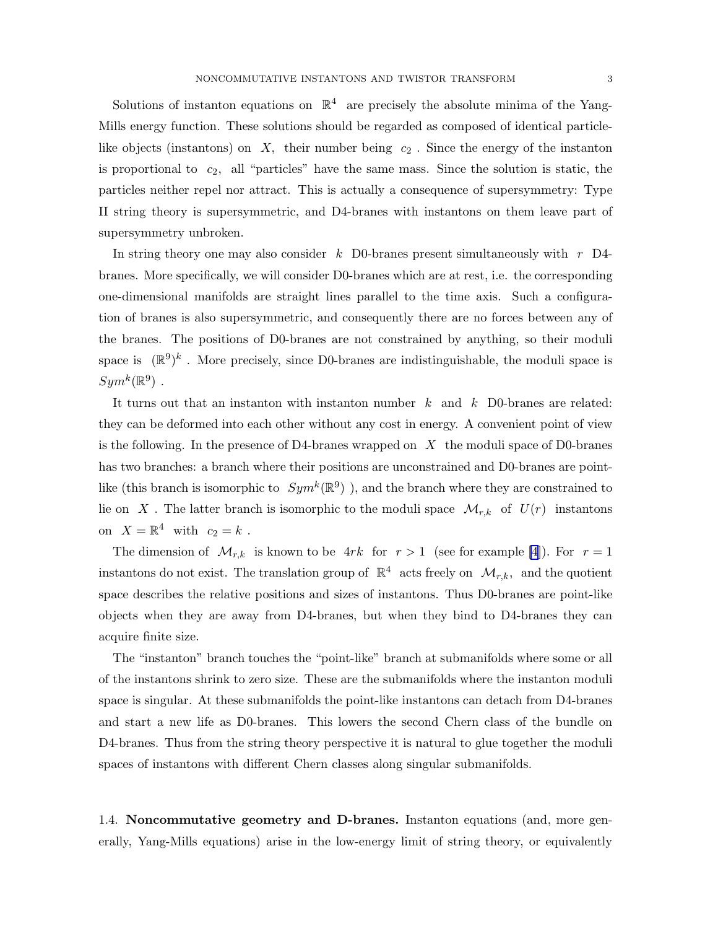Solutions of instanton equations on  $\mathbb{R}^4$  are precisely the absolute minima of the Yang-Mills energy function. These solutions should be regarded as composed of identical particlelike objects (instantons) on  $X$ , their number being  $c_2$ . Since the energy of the instanton is proportional to  $c_2$ , all "particles" have the same mass. Since the solution is static, the particles neither repel nor attract. This is actually a consequence of supersymmetry: Type II string theory is supersymmetric, and D4-branes with instantons on them leave part of supersymmetry unbroken.

In string theory one may also consider k D0-branes present simultaneously with  $r$  D4branes. More specifically, we will consider D0-branes which are at rest, i.e. the corresponding one-dimensional manifolds are straight lines parallel to the time axis. Such a configuration of branes is also supersymmetric, and consequently there are no forces between any of the branes. The positions of D0-branes are not constrained by anything, so their moduli space is  $(\mathbb{R}^9)^k$ . More precisely, since D0-branes are indistinguishable, the moduli space is  $Sym^k(\mathbb{R}^9)$  .

It turns out that an instanton with instanton number  $k$  and  $k$  D0-branes are related: they can be deformed into each other without any cost in energy. A convenient point of view is the following. In the presence of D4-branes wrapped on  $X$  the moduli space of D0-branes has two branches: a branch where their positions are unconstrained and D0-branes are pointlike (this branch is isomorphic to  $Sym^k(\mathbb{R}^9)$ ), and the branch where they are constrained to lie on X. The latter branch is isomorphic to the moduli space  $\mathcal{M}_{r,k}$  of  $U(r)$  instantons on  $X = \mathbb{R}^4$  with  $c_2 = k$ .

The dimension of  $\mathcal{M}_{r,k}$  is known to be  $4rk$  for  $r > 1$  (see for example [\[4\]](#page-54-0)). For  $r = 1$ instantons do not exist. The translation group of  $\mathbb{R}^4$  acts freely on  $\mathcal{M}_{r,k}$ , and the quotient space describes the relative positions and sizes of instantons. Thus D0-branes are point-like objects when they are away from D4-branes, but when they bind to D4-branes they can acquire finite size.

The "instanton" branch touches the "point-like" branch at submanifolds where some or all of the instantons shrink to zero size. These are the submanifolds where the instanton moduli space is singular. At these submanifolds the point-like instantons can detach from D4-branes and start a new life as D0-branes. This lowers the second Chern class of the bundle on D4-branes. Thus from the string theory perspective it is natural to glue together the moduli spaces of instantons with different Chern classes along singular submanifolds.

1.4. Noncommutative geometry and D-branes. Instanton equations (and, more generally, Yang-Mills equations) arise in the low-energy limit of string theory, or equivalently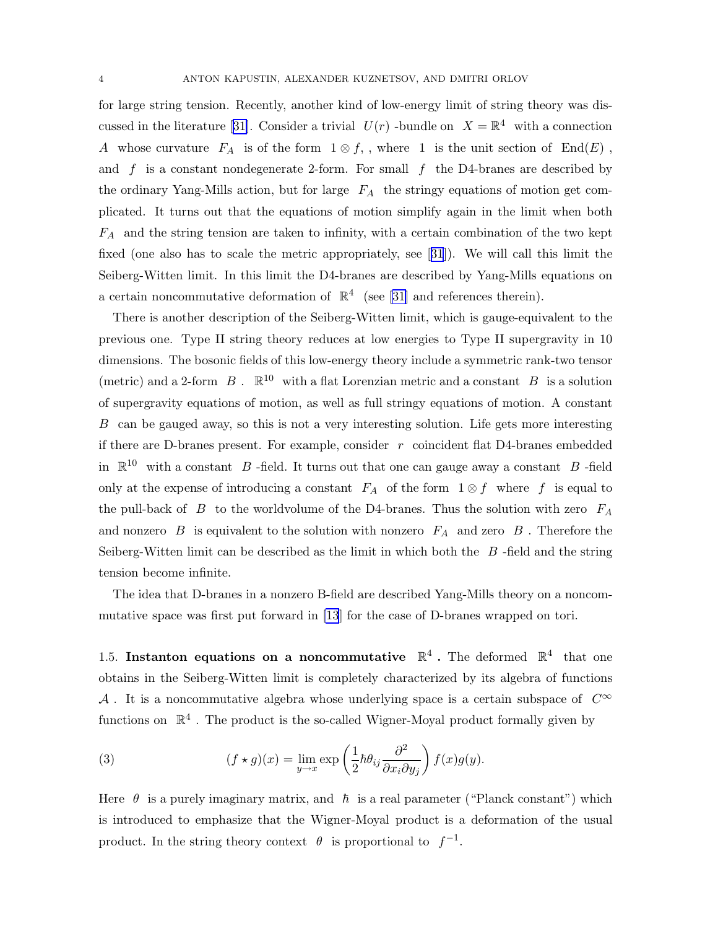<span id="page-4-0"></span>for large string tension. Recently, another kind of low-energy limit of string theory was dis-cussedin the literature [[31\]](#page-55-0). Consider a trivial  $U(r)$  -bundle on  $X = \mathbb{R}^4$  with a connection A whose curvature  $F_A$  is of the form  $1 \otimes f$ , , where 1 is the unit section of End(E), and  $f$  is a constant nondegenerate 2-form. For small  $f$  the D4-branes are described by the ordinary Yang-Mills action, but for large  $F_A$  the stringy equations of motion get complicated. It turns out that the equations of motion simplify again in the limit when both  $F_A$  and the string tension are taken to infinity, with a certain combination of the two kept fixed (one also has to scale the metric appropriately, see[[31](#page-55-0)]). We will call this limit the Seiberg-Witten limit. In this limit the D4-branes are described by Yang-Mills equations on acertain noncommutative deformation of  $\mathbb{R}^4$  (see [[31\]](#page-55-0) and references therein).

There is another description of the Seiberg-Witten limit, which is gauge-equivalent to the previous one. Type II string theory reduces at low energies to Type II supergravity in 10 dimensions. The bosonic fields of this low-energy theory include a symmetric rank-two tensor (metric) and a 2-form  $B$ .  $\mathbb{R}^{10}$  with a flat Lorenzian metric and a constant  $B$  is a solution of supergravity equations of motion, as well as full stringy equations of motion. A constant B can be gauged away, so this is not a very interesting solution. Life gets more interesting if there are D-branes present. For example, consider  $r$  coincident flat D4-branes embedded in  $\mathbb{R}^{10}$  with a constant B-field. It turns out that one can gauge away a constant B-field only at the expense of introducing a constant  $F_A$  of the form  $1 \otimes f$  where f is equal to the pull-back of  $B$  to the worldvolume of the D4-branes. Thus the solution with zero  $F_A$ and nonzero  $B$  is equivalent to the solution with nonzero  $F_A$  and zero  $B$ . Therefore the Seiberg-Witten limit can be described as the limit in which both the  $B$ -field and the string tension become infinite.

The idea that D-branes in a nonzero B-field are described Yang-Mills theory on a noncommutative space was first put forward in [\[13](#page-54-0)] for the case of D-branes wrapped on tori.

1.5. Instanton equations on a noncommutative  $\mathbb{R}^4$ . The deformed  $\mathbb{R}^4$  that one obtains in the Seiberg-Witten limit is completely characterized by its algebra of functions A. It is a noncommutative algebra whose underlying space is a certain subspace of  $C^{\infty}$ functions on  $\mathbb{R}^4$ . The product is the so-called Wigner-Moyal product formally given by

(3) 
$$
(f \star g)(x) = \lim_{y \to x} \exp\left(\frac{1}{2}\hbar \theta_{ij} \frac{\partial^2}{\partial x_i \partial y_j}\right) f(x)g(y).
$$

Here  $\theta$  is a purely imaginary matrix, and  $\hbar$  is a real parameter ("Planck constant") which is introduced to emphasize that the Wigner-Moyal product is a deformation of the usual product. In the string theory context  $\theta$  is proportional to  $f^{-1}$ .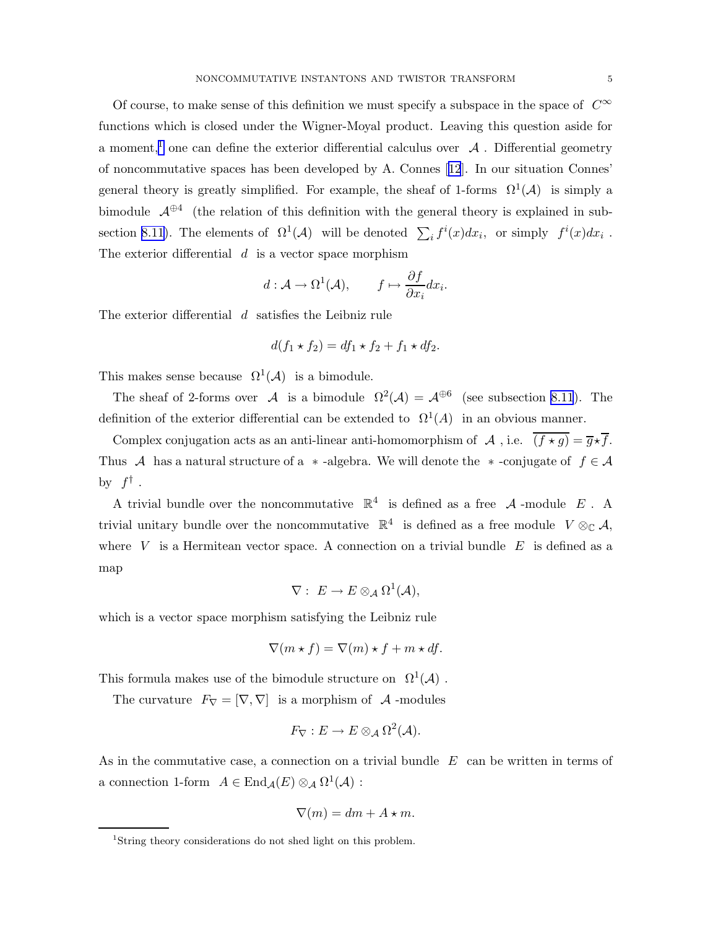Of course, to make sense of this definition we must specify a subspace in the space of  $C^{\infty}$ functions which is closed under the Wigner-Moyal product. Leaving this question aside for a moment,<sup>1</sup> one can define the exterior differential calculus over  $\mathcal A$ . Differential geometry of noncommutative spaces has been developed by A. Connes[[12](#page-54-0)]. In our situation Connes' general theory is greatly simplified. For example, the sheaf of 1-forms  $\Omega^1(\mathcal{A})$  is simply a bimodule  $\mathcal{A}^{\oplus 4}$  (the relation of this definition with the general theory is explained in sub-section [8.11\)](#page-47-0). The elements of  $\Omega^1(\mathcal{A})$  will be denoted  $\sum_i f^i(x)dx_i$ , or simply  $f^i(x)dx_i$ . The exterior differential  $d$  is a vector space morphism

$$
d: \mathcal{A} \to \Omega^1(\mathcal{A}), \qquad f \mapsto \frac{\partial f}{\partial x_i} dx_i.
$$

The exterior differential  $d$  satisfies the Leibniz rule

$$
d(f_1 \star f_2) = df_1 \star f_2 + f_1 \star df_2.
$$

This makes sense because  $\Omega^1(\mathcal{A})$  is a bimodule.

The sheaf of 2-forms over A is a bimodule  $\Omega^2(\mathcal{A}) = \mathcal{A}^{\oplus 6}$  (see subsection [8.11](#page-47-0)). The definition of the exterior differential can be extended to  $\Omega^1(A)$  in an obvious manner.

Complex conjugation acts as an anti-linear anti-homomorphism of A, i.e.  $\overline{(f \star g)} = \overline{g} \star \overline{f}$ . Thus A has a natural structure of a  $*$  -algebra. We will denote the  $*$  -conjugate of  $f \in \mathcal{A}$ by  $f^{\dagger}$ .

A trivial bundle over the noncommutative  $\mathbb{R}^4$  is defined as a free  $\mathcal A$ -module  $E$ . A trivial unitary bundle over the noncommutative  $\mathbb{R}^4$  is defined as a free module  $V \otimes_{\mathbb{C}} A$ , where  $V$  is a Hermitean vector space. A connection on a trivial bundle  $E$  is defined as a map

$$
\nabla: E \to E \otimes_{\mathcal{A}} \Omega^1(\mathcal{A}),
$$

which is a vector space morphism satisfying the Leibniz rule

$$
\nabla(m \star f) = \nabla(m) \star f + m \star df.
$$

This formula makes use of the bimodule structure on  $\Omega^1(\mathcal{A})$ .

The curvature  $F_{\nabla} = [\nabla, \nabla]$  is a morphism of  $\mathcal A$  -modules

$$
F_{\nabla}: E \to E \otimes_{\mathcal{A}} \Omega^2(\mathcal{A}).
$$

As in the commutative case, a connection on a trivial bundle  $E$  can be written in terms of a connection 1-form  $A \in \text{End}_{\mathcal{A}}(E) \otimes_{\mathcal{A}} \Omega^1(\mathcal{A})$ :

$$
\nabla(m) = dm + A \star m.
$$

<sup>&</sup>lt;sup>1</sup>String theory considerations do not shed light on this problem.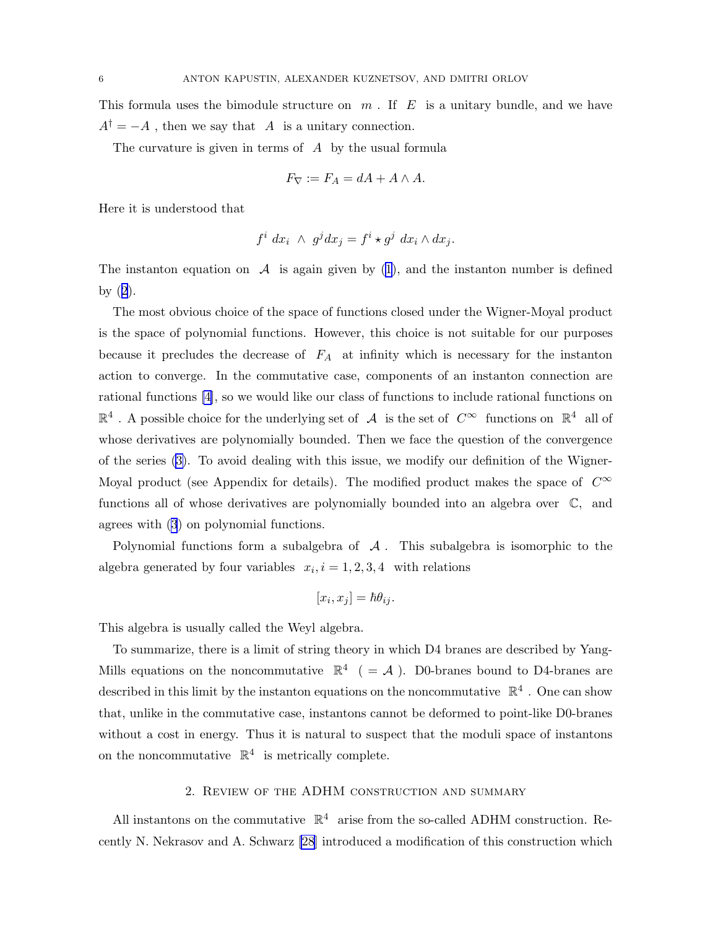<span id="page-6-0"></span>This formula uses the bimodule structure on  $m$ . If  $E$  is a unitary bundle, and we have  $A^{\dagger} = -A$ , then we say that A is a unitary connection.

The curvature is given in terms of A by the usual formula

$$
F_{\nabla} := F_A = dA + A \wedge A.
$$

Here it is understood that

$$
f^i dx_i \wedge g^j dx_j = f^i \star g^j dx_i \wedge dx_j.
$$

Theinstanton equation on  $\mathcal A$  is again given by ([1](#page-1-0)), and the instanton number is defined by([2\)](#page-2-0).

The most obvious choice of the space of functions closed under the Wigner-Moyal product is the space of polynomial functions. However, this choice is not suitable for our purposes because it precludes the decrease of  $F_A$  at infinity which is necessary for the instanton action to converge. In the commutative case, components of an instanton connection are rational functions [\[4\]](#page-54-0), so we would like our class of functions to include rational functions on  $\mathbb{R}^4$ . A possible choice for the underlying set of  $\mathcal A$  is the set of  $C^{\infty}$  functions on  $\mathbb{R}^4$  all of whose derivatives are polynomially bounded. Then we face the question of the convergence of the series [\(3\)](#page-4-0). To avoid dealing with this issue, we modify our definition of the Wigner-Moyal product (see Appendix for details). The modified product makes the space of  $C^{\infty}$ functions all of whose derivatives are polynomially bounded into an algebra over C, and agrees with [\(3](#page-4-0)) on polynomial functions.

Polynomial functions form a subalgebra of  $A$ . This subalgebra is isomorphic to the algebra generated by four variables  $x_i, i = 1, 2, 3, 4$  with relations

$$
[x_i, x_j] = \hbar \theta_{ij}.
$$

This algebra is usually called the Weyl algebra.

To summarize, there is a limit of string theory in which D4 branes are described by Yang-Mills equations on the noncommutative  $\mathbb{R}^4$  (= A). D0-branes bound to D4-branes are described in this limit by the instanton equations on the noncommutative  $\mathbb{R}^4$ . One can show that, unlike in the commutative case, instantons cannot be deformed to point-like D0-branes without a cost in energy. Thus it is natural to suspect that the moduli space of instantons on the noncommutative  $\mathbb{R}^4$  is metrically complete.

## 2. Review of the ADHM construction and summary

All instantons on the commutative  $\mathbb{R}^4$  arise from the so-called ADHM construction. Recently N. Nekrasov and A. Schwarz [\[28](#page-55-0)] introduced a modification of this construction which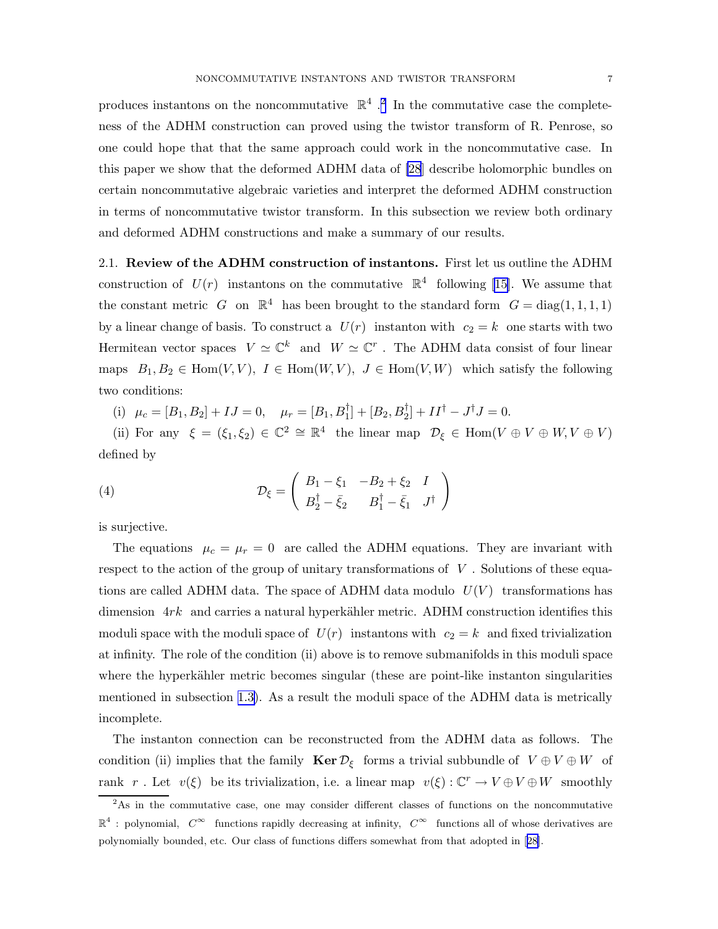<span id="page-7-0"></span>produces instantons on the noncommutative  $\mathbb{R}^4$ .<sup>2</sup> In the commutative case the completeness of the ADHM construction can proved using the twistor transform of R. Penrose, so one could hope that that the same approach could work in the noncommutative case. In this paper we show that the deformed ADHM data of [\[28](#page-55-0)] describe holomorphic bundles on certain noncommutative algebraic varieties and interpret the deformed ADHM construction in terms of noncommutative twistor transform. In this subsection we review both ordinary and deformed ADHM constructions and make a summary of our results.

2.1. Review of the ADHM construction of instantons. First let us outline the ADHM constructionof  $U(r)$  instantons on the commutative  $\mathbb{R}^4$  following [[15\]](#page-54-0). We assume that the constant metric G on  $\mathbb{R}^4$  has been brought to the standard form  $G = diag(1, 1, 1, 1)$ by a linear change of basis. To construct a  $U(r)$  instanton with  $c_2 = k$  one starts with two Hermitean vector spaces  $V \simeq \mathbb{C}^k$  and  $W \simeq \mathbb{C}^r$ . The ADHM data consist of four linear maps  $B_1, B_2 \in \text{Hom}(V, V)$ ,  $I \in \text{Hom}(W, V)$ ,  $J \in \text{Hom}(V, W)$  which satisfy the following two conditions:

(i)  $\mu_c = [B_1, B_2] + IJ = 0, \quad \mu_r = [B_1, B_1^{\dagger}] + [B_2, B_2^{\dagger}] + II^{\dagger} - J^{\dagger} J = 0.$ 

(ii) For any  $\xi = (\xi_1, \xi_2) \in \mathbb{C}^2 \cong \mathbb{R}^4$  the linear map  $\mathcal{D}_{\xi} \in \text{Hom}(V \oplus V \oplus W, V \oplus V)$ defined by

(4) 
$$
\mathcal{D}_{\xi} = \begin{pmatrix} B_1 - \xi_1 & -B_2 + \xi_2 & I \\ B_2^{\dagger} - \bar{\xi}_2 & B_1^{\dagger} - \bar{\xi}_1 & J^{\dagger} \end{pmatrix}
$$

is surjective.

The equations  $\mu_c = \mu_r = 0$  are called the ADHM equations. They are invariant with respect to the action of the group of unitary transformations of  $V$ . Solutions of these equations are called ADHM data. The space of ADHM data modulo  $U(V)$  transformations has dimension  $4rk$  and carries a natural hyperkähler metric. ADHM construction identifies this moduli space with the moduli space of  $U(r)$  instantons with  $c_2 = k$  and fixed trivialization at infinity. The role of the condition (ii) above is to remove submanifolds in this moduli space where the hyperkähler metric becomes singular (these are point-like instanton singularities mentioned in subsection [1.3\)](#page-2-0). As a result the moduli space of the ADHM data is metrically incomplete.

The instanton connection can be reconstructed from the ADHM data as follows. The condition (ii) implies that the family  $\mathbf{Ker} \mathcal{D}_{\xi}$  forms a trivial subbundle of  $V \oplus V \oplus W$  of rank r. Let  $v(\xi)$  be its trivialization, i.e. a linear map  $v(\xi) : \mathbb{C}^r \to V \oplus V \oplus W$  smoothly

 $\sqrt[2]{2\text{As in the commutative case}}$ , one may consider different classes of functions on the noncommutative  $\mathbb{R}^4$ : polynomial,  $C^{\infty}$  functions rapidly decreasing at infinity,  $C^{\infty}$  functions all of whose derivatives are polynomially bounded, etc. Our class of functions differs somewhat from that adopted in[[28\]](#page-55-0).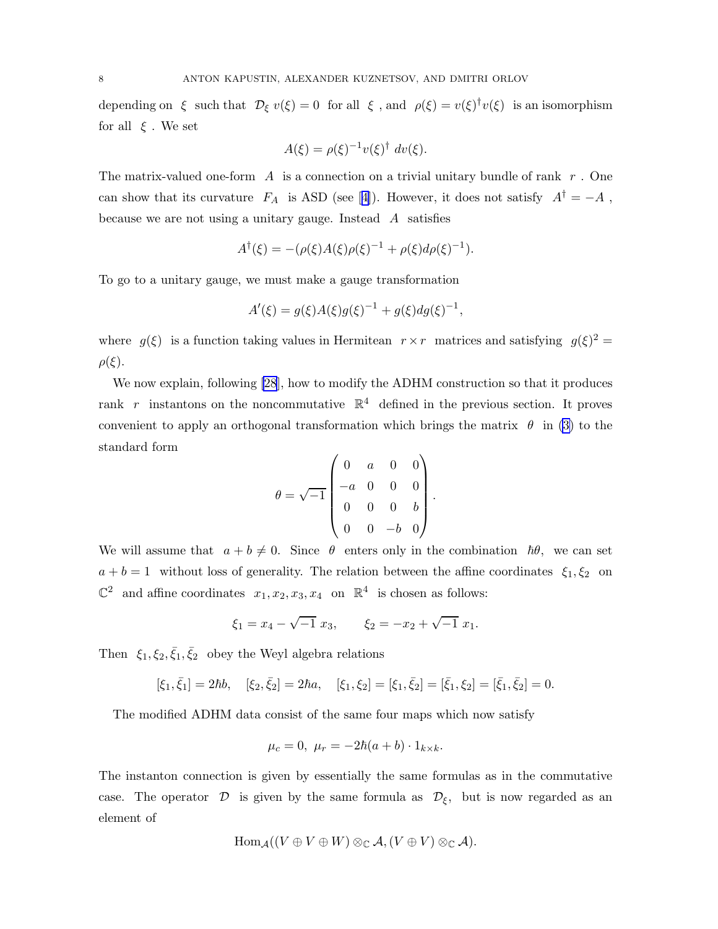depending on  $\xi$  such that  $\mathcal{D}_{\xi} v(\xi) = 0$  for all  $\xi$ , and  $\rho(\xi) = v(\xi)^{\dagger} v(\xi)$  is an isomorphism for all  $\xi$ . We set

$$
A(\xi) = \rho(\xi)^{-1} v(\xi)^{\dagger} dv(\xi).
$$

The matrix-valued one-form  $A$  is a connection on a trivial unitary bundle of rank  $r$ . One canshow that its curvature  $F_A$  is ASD (see [[4](#page-54-0)]). However, it does not satisfy  $A^{\dagger} = -A$ , because we are not using a unitary gauge. Instead A satisfies

$$
A^{\dagger}(\xi) = -(\rho(\xi)A(\xi)\rho(\xi)^{-1} + \rho(\xi)d\rho(\xi)^{-1}).
$$

To go to a unitary gauge, we must make a gauge transformation

$$
A'(\xi) = g(\xi)A(\xi)g(\xi)^{-1} + g(\xi)dg(\xi)^{-1},
$$

where  $g(\xi)$  is a function taking values in Hermitean  $r \times r$  matrices and satisfying  $g(\xi)^2 =$  $\rho(\xi)$ .

We now explain, following [\[28](#page-55-0)], how to modify the ADHM construction so that it produces rank r instantons on the noncommutative  $\mathbb{R}^4$  defined in the previous section. It proves convenient to apply an orthogonal transformation which brings the matrix  $\theta$  in [\(3\)](#page-4-0) to the standard form

$$
\theta = \sqrt{-1} \begin{pmatrix} 0 & a & 0 & 0 \\ -a & 0 & 0 & 0 \\ 0 & 0 & 0 & b \\ 0 & 0 & -b & 0 \end{pmatrix}.
$$

We will assume that  $a + b \neq 0$ . Since  $\theta$  enters only in the combination  $\hbar \theta$ , we can set  $a + b = 1$  without loss of generality. The relation between the affine coordinates  $\xi_1, \xi_2$  on  $\mathbb{C}^2$  and affine coordinates  $x_1, x_2, x_3, x_4$  on  $\mathbb{R}^4$  is chosen as follows:

$$
\xi_1 = x_4 - \sqrt{-1} x_3
$$
,  $\xi_2 = -x_2 + \sqrt{-1} x_1$ .

Then  $\xi_1, \xi_2, \bar{\xi}_1, \bar{\xi}_2$  obey the Weyl algebra relations

$$
[\xi_1, \bar{\xi}_1] = 2\hbar b
$$
,  $[\xi_2, \bar{\xi}_2] = 2\hbar a$ ,  $[\xi_1, \xi_2] = [\xi_1, \bar{\xi}_2] = [\bar{\xi}_1, \xi_2] = [\bar{\xi}_1, \bar{\xi}_2] = 0$ .

The modified ADHM data consist of the same four maps which now satisfy

$$
\mu_c = 0, \ \mu_r = -2\hbar(a+b) \cdot 1_{k \times k}.
$$

The instanton connection is given by essentially the same formulas as in the commutative case. The operator  $\mathcal D$  is given by the same formula as  $\mathcal D_{\xi}$ , but is now regarded as an element of

$$
\operatorname{Hom}_{\mathcal{A}}((V \oplus V \oplus W) \otimes_{\mathbb{C}} \mathcal{A}, (V \oplus V) \otimes_{\mathbb{C}} \mathcal{A}).
$$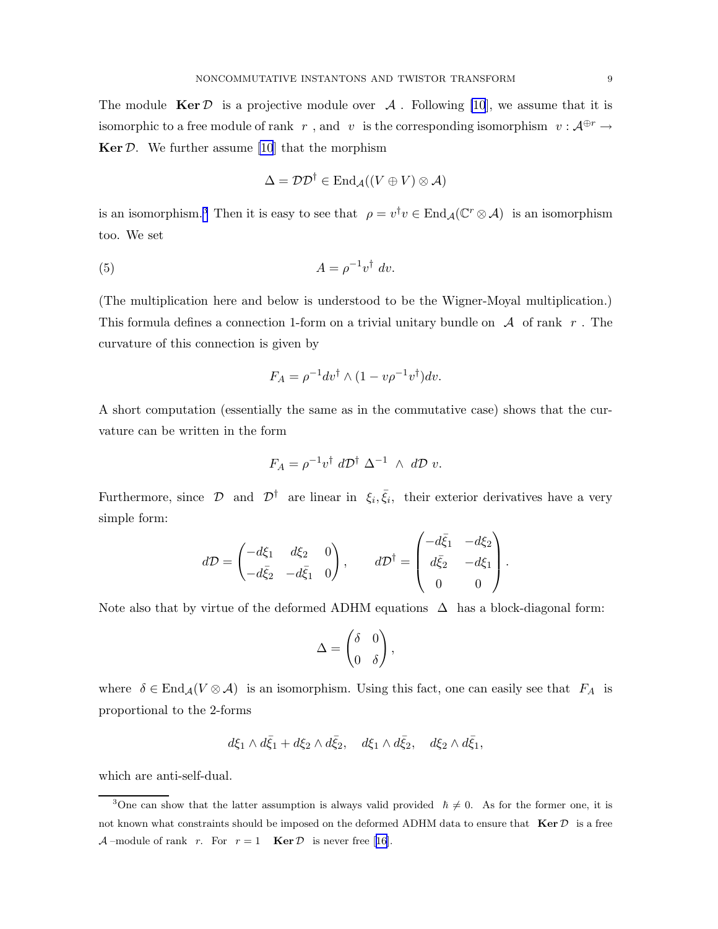<span id="page-9-0"></span>The module  $\text{Ker } \mathcal{D}$  is a projective module over  $\mathcal{A}$ . Following [\[10](#page-54-0)], we assume that it is isomorphic to a free module of rank  $r$ , and v is the corresponding isomorphism  $v : A^{\oplus r} \to$ **Ker D.** We further assume [\[10](#page-54-0)] that the morphism

$$
\Delta = \mathcal{DD}^{\dagger} \in \text{End}_{\mathcal{A}}((V \oplus V) \otimes \mathcal{A})
$$

is an isomorphism.<sup>3</sup> Then it is easy to see that  $\rho = v^{\dagger}v \in \text{End}_{\mathcal{A}}(\mathbb{C}^r \otimes \mathcal{A})$  is an isomorphism too. We set

$$
(5) \t\t A = \rho^{-1} v^{\dagger} dv.
$$

(The multiplication here and below is understood to be the Wigner-Moyal multiplication.) This formula defines a connection 1-form on a trivial unitary bundle on  $A$  of rank  $r$ . The curvature of this connection is given by

$$
F_A = \rho^{-1} dv^{\dagger} \wedge (1 - v \rho^{-1} v^{\dagger}) dv.
$$

A short computation (essentially the same as in the commutative case) shows that the curvature can be written in the form

$$
F_A = \rho^{-1} v^{\dagger} d\mathcal{D}^{\dagger} \Delta^{-1} \wedge d\mathcal{D} v.
$$

Furthermore, since  $\mathcal{D}$  and  $\mathcal{D}^{\dagger}$  are linear in  $\xi_i, \bar{\xi}_i$ , their exterior derivatives have a very simple form:

 $\overline{ }$ 

$$
d\mathcal{D} = \begin{pmatrix} -d\xi_1 & d\xi_2 & 0 \\ -d\bar{\xi}_2 & -d\bar{\xi}_1 & 0 \end{pmatrix}, \qquad d\mathcal{D}^{\dagger} = \begin{pmatrix} -d\bar{\xi}_1 & -d\xi_2 \\ d\bar{\xi}_2 & -d\xi_1 \\ 0 & 0 \end{pmatrix}.
$$

Note also that by virtue of the deformed ADHM equations  $\Delta$  has a block-diagonal form:

$$
\Delta = \begin{pmatrix} \delta & 0 \\ 0 & \delta \end{pmatrix},
$$

where  $\delta \in \text{End}_{\mathcal{A}}(V \otimes \mathcal{A})$  is an isomorphism. Using this fact, one can easily see that  $F_A$  is proportional to the 2-forms

$$
d\xi_1 \wedge d\bar{\xi}_1 + d\xi_2 \wedge d\bar{\xi}_2, \quad d\xi_1 \wedge d\bar{\xi}_2, \quad d\xi_2 \wedge d\bar{\xi}_1,
$$

which are anti-self-dual.

<sup>&</sup>lt;sup>3</sup>One can show that the latter assumption is always valid provided  $\hbar \neq 0$ . As for the former one, it is not known what constraints should be imposed on the deformed ADHM data to ensure that  $\text{Ker } \mathcal{D}$  is a free A–module of rank r. For  $r = 1$  Ker D is never free [[16](#page-54-0)].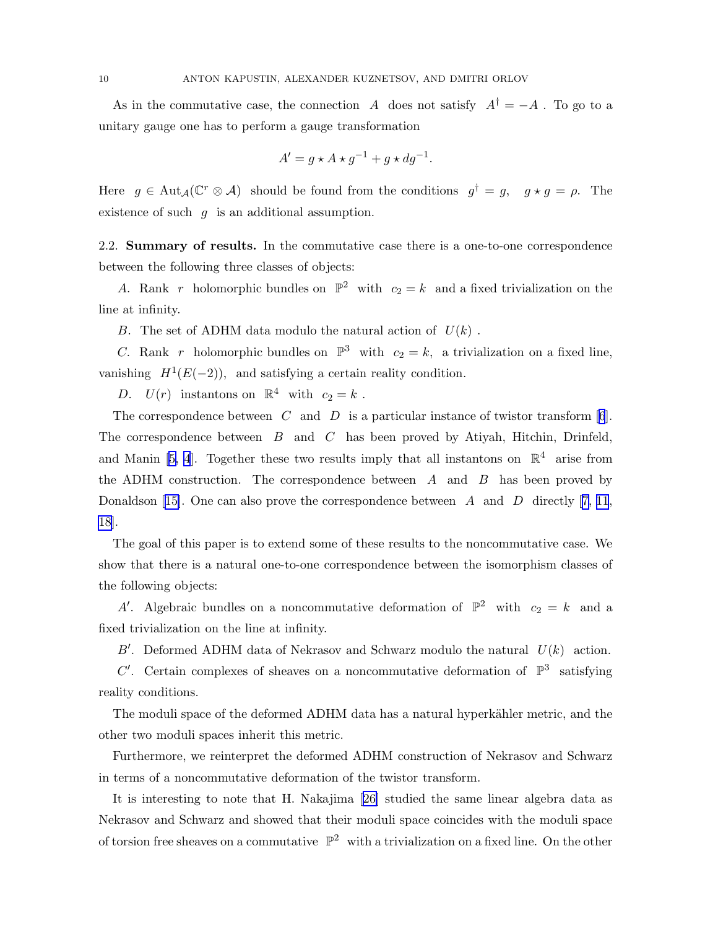As in the commutative case, the connection A does not satisfy  $A^{\dagger} = -A$ . To go to a unitary gauge one has to perform a gauge transformation

$$
A' = g \star A \star g^{-1} + g \star dg^{-1}.
$$

Here  $g \in \text{Aut}_{\mathcal{A}}(\mathbb{C}^r \otimes \mathcal{A})$  should be found from the conditions  $g^{\dagger} = g$ ,  $g \star g = \rho$ . The existence of such  $q$  is an additional assumption.

2.2. Summary of results. In the commutative case there is a one-to-one correspondence between the following three classes of objects:

A. Rank r holomorphic bundles on  $\mathbb{P}^2$  with  $c_2 = k$  and a fixed trivialization on the line at infinity.

B. The set of ADHM data modulo the natural action of  $U(k)$ .

C. Rank r holomorphic bundles on  $\mathbb{P}^3$  with  $c_2 = k$ , a trivialization on a fixed line, vanishing  $H^1(E(-2))$ , and satisfying a certain reality condition.

D.  $U(r)$  instantons on  $\mathbb{R}^4$  with  $c_2 = k$ .

The correspondence between  $C$  and  $D$  is a particular instance of twistor transform [\[6](#page-54-0)]. The correspondence between  $B$  and  $C$  has been proved by Atiyah, Hitchin, Drinfeld, and Manin [\[5, 4](#page-54-0)]. Together these two results imply that all instantons on  $\mathbb{R}^4$  arise from the ADHM construction. The correspondence between  $A$  and  $B$  has been proved by Donaldson[[15\]](#page-54-0). One can also prove the correspondence between  $A$  and  $D$  directly [[7](#page-54-0), [11](#page-54-0), [18](#page-54-0)].

The goal of this paper is to extend some of these results to the noncommutative case. We show that there is a natural one-to-one correspondence between the isomorphism classes of the following objects:

A'. Algebraic bundles on a noncommutative deformation of  $\mathbb{P}^2$  with  $c_2 = k$  and a fixed trivialization on the line at infinity.

B'. Deformed ADHM data of Nekrasov and Schwarz modulo the natural  $U(k)$  action.

C'. Certain complexes of sheaves on a noncommutative deformation of  $\mathbb{P}^3$  satisfying reality conditions.

The moduli space of the deformed ADHM data has a natural hyperkähler metric, and the other two moduli spaces inherit this metric.

Furthermore, we reinterpret the deformed ADHM construction of Nekrasov and Schwarz in terms of a noncommutative deformation of the twistor transform.

It is interesting to note that H. Nakajima[[26\]](#page-55-0) studied the same linear algebra data as Nekrasov and Schwarz and showed that their moduli space coincides with the moduli space of torsion free sheaves on a commutative  $\mathbb{P}^2$  with a trivialization on a fixed line. On the other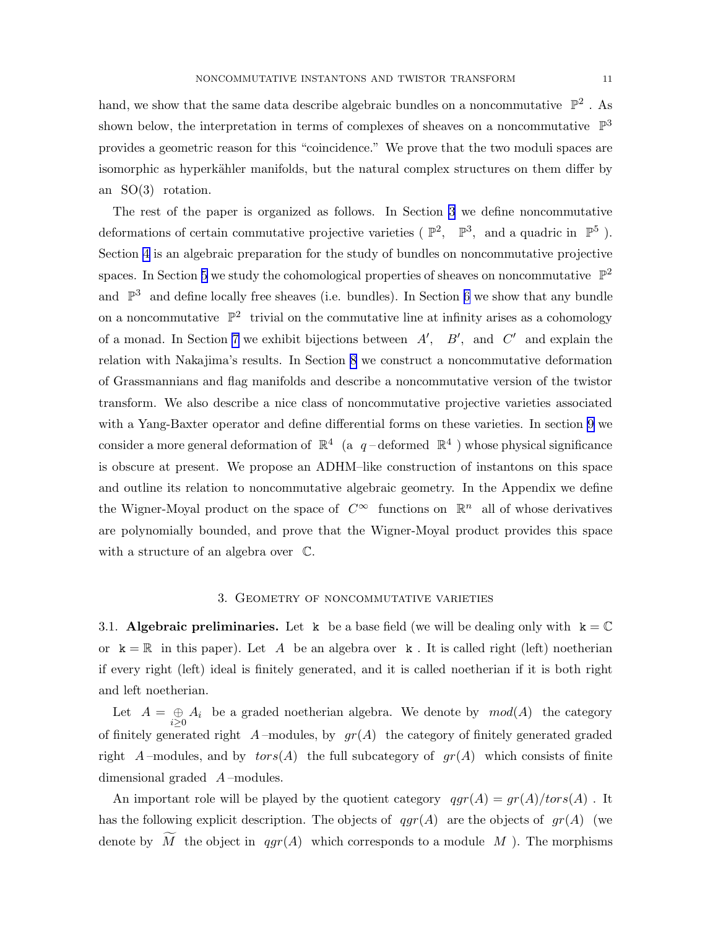<span id="page-11-0"></span>provides a geometric reason for this "coincidence." We prove that the two moduli spaces are isomorphic as hyperkähler manifolds, but the natural complex structures on them differ by an SO(3) rotation.

The rest of the paper is organized as follows. In Section 3 we define noncommutative deformations of certain commutative projective varieties ( $\mathbb{P}^2$ ,  $\mathbb{P}^3$ , and a quadric in  $\mathbb{P}^5$ ). Section [4](#page-16-0) is an algebraic preparation for the study of bundles on noncommutative projective spaces. In Section [5](#page-21-0) we study the cohomological properties of sheaves on noncommutative  $\mathbb{P}^2$ and  $\mathbb{P}^3$  and define locally free sheaves (i.e. bundles). In Section [6](#page-25-0) we show that any bundle on a noncommutative  $\mathbb{P}^2$  trivial on the commutative line at infinity arises as a cohomology of a monad. In Section [7](#page-31-0) we exhibit bijections between  $A', B'$ , and  $C'$  and explain the relation with Nakajima's results. In Section [8](#page-36-0) we construct a noncommutative deformation of Grassmannians and flag manifolds and describe a noncommutative version of the twistor transform. We also describe a nice class of noncommutative projective varieties associated with a Yang-Baxter operator and define differential forms on these varieties. In section [9](#page-49-0) we consider a more general deformation of  $\mathbb{R}^4$  (a q-deformed  $\mathbb{R}^4$ ) whose physical significance is obscure at present. We propose an ADHM–like construction of instantons on this space and outline its relation to noncommutative algebraic geometry. In the Appendix we define the Wigner-Moyal product on the space of  $C^{\infty}$  functions on  $\mathbb{R}^n$  all of whose derivatives are polynomially bounded, and prove that the Wigner-Moyal product provides this space with a structure of an algebra over C.

#### 3. Geometry of noncommutative varieties

3.1. Algebraic preliminaries. Let k be a base field (we will be dealing only with  $k = \mathbb{C}$ or  $k = \mathbb{R}$  in this paper). Let A be an algebra over k. It is called right (left) noetherian if every right (left) ideal is finitely generated, and it is called noetherian if it is both right and left noetherian.

Let  $A = \bigoplus_{i \geq 0}$  $A_i$  be a graded noetherian algebra. We denote by  $mod(A)$  the category of finitely generated right  $A$ -modules, by  $gr(A)$  the category of finitely generated graded right A-modules, and by  $tors(A)$  the full subcategory of  $gr(A)$  which consists of finite dimensional graded A –modules.

An important role will be played by the quotient category  $qgr(A) = gr(A)/tors(A)$ . It has the following explicit description. The objects of  $qgr(A)$  are the objects of  $gr(A)$  (we denote by  $\widetilde{M}$  the object in  $qgr(A)$  which corresponds to a module M ). The morphisms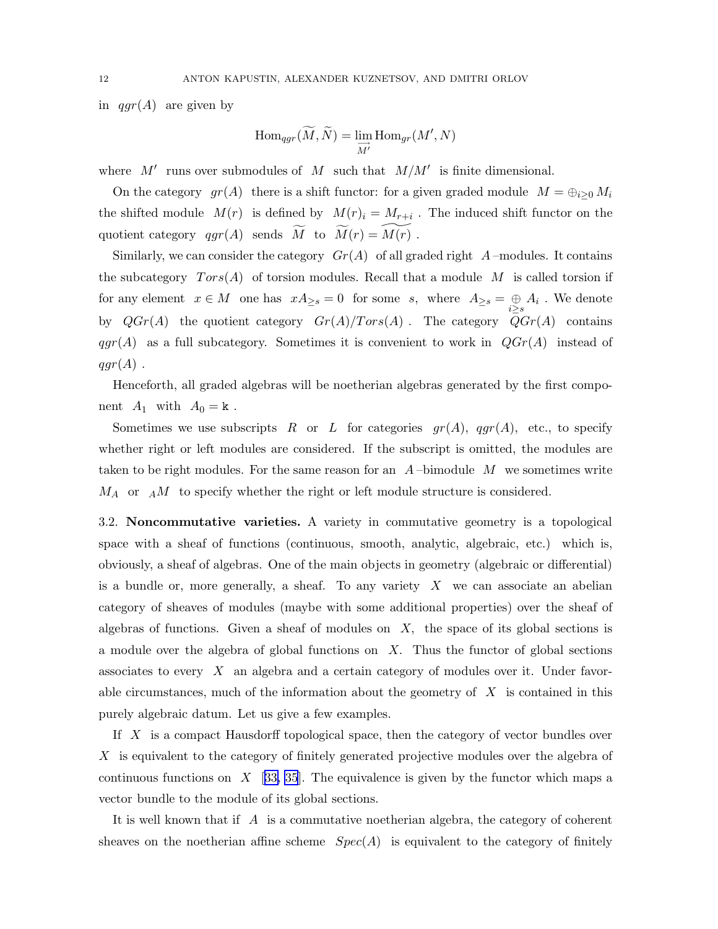in  $qqr(A)$  are given by

$$
\operatorname{Hom}_{qgr}(\widetilde{M},\widetilde{N})=\varinjlim_{\overrightarrow{M'}}\operatorname{Hom}_{gr}(M',N)
$$

where  $M'$  runs over submodules of M such that  $M/M'$  is finite dimensional.

On the category  $gr(A)$  there is a shift functor: for a given graded module  $M = \bigoplus_{i \geq 0} M_i$ the shifted module  $M(r)$  is defined by  $M(r)_{i} = M_{r+i}$ . The induced shift functor on the quotient category  $qgr(A)$  sends  $\widetilde{M}$  to  $\widetilde{M}(r) = \widetilde{M(r)}$ .

Similarly, we can consider the category  $Gr(A)$  of all graded right A-modules. It contains the subcategory  $Tors(A)$  of torsion modules. Recall that a module M is called torsion if for any element  $x \in M$  one has  $xA_{\geq s} = 0$  for some s, where  $A_{\geq s} = \bigoplus_{i \geq s}$  $A_i$ . We denote by  $QGr(A)$  the quotient category  $Gr(A)/Tors(A)$ . The category  $QGr(A)$  contains  $qgr(A)$  as a full subcategory. Sometimes it is convenient to work in  $QGr(A)$  instead of  $qgr(A)$ .

Henceforth, all graded algebras will be noetherian algebras generated by the first component  $A_1$  with  $A_0 = \mathbf{k}$ .

Sometimes we use subscripts R or L for categories  $gr(A)$ ,  $gr(A)$ , etc., to specify whether right or left modules are considered. If the subscript is omitted, the modules are taken to be right modules. For the same reason for an  $A$ -bimodule  $M$  we sometimes write  $M_A$  or  $_A M$  to specify whether the right or left module structure is considered.

3.2. Noncommutative varieties. A variety in commutative geometry is a topological space with a sheaf of functions (continuous, smooth, analytic, algebraic, etc.) which is, obviously, a sheaf of algebras. One of the main objects in geometry (algebraic or differential) is a bundle or, more generally, a sheaf. To any variety  $X$  we can associate an abelian category of sheaves of modules (maybe with some additional properties) over the sheaf of algebras of functions. Given a sheaf of modules on  $X$ , the space of its global sections is a module over the algebra of global functions on  $X$ . Thus the functor of global sections associates to every X an algebra and a certain category of modules over it. Under favorable circumstances, much of the information about the geometry of  $X$  is contained in this purely algebraic datum. Let us give a few examples.

If X is a compact Hausdorff topological space, then the category of vector bundles over X is equivalent to the category of finitely generated projective modules over the algebra of continuous functions on  $X$  [[33, 35](#page-55-0)]. The equivalence is given by the functor which maps a vector bundle to the module of its global sections.

It is well known that if  $\tilde{A}$  is a commutative noetherian algebra, the category of coherent sheaves on the noetherian affine scheme  $Spec(A)$  is equivalent to the category of finitely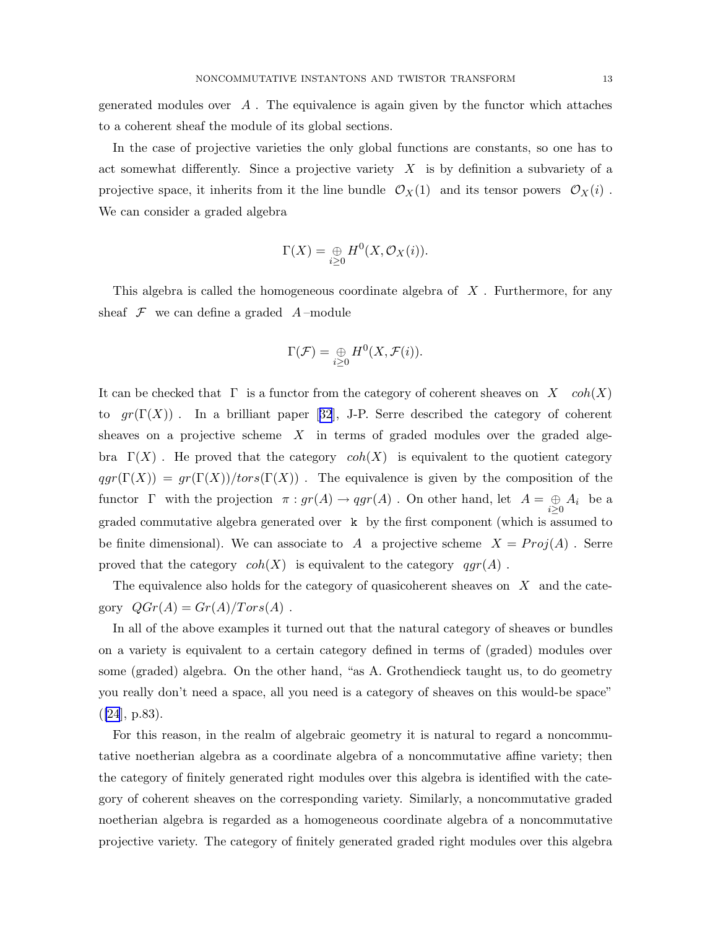generated modules over  $A$ . The equivalence is again given by the functor which attaches to a coherent sheaf the module of its global sections.

In the case of projective varieties the only global functions are constants, so one has to act somewhat differently. Since a projective variety  $X$  is by definition a subvariety of a projective space, it inherits from it the line bundle  $\mathcal{O}_X(1)$  and its tensor powers  $\mathcal{O}_X(i)$ . We can consider a graded algebra

$$
\Gamma(X) = \bigoplus_{i \geq 0} H^0(X, \mathcal{O}_X(i)).
$$

This algebra is called the homogeneous coordinate algebra of  $X$ . Furthermore, for any sheaf  $\mathcal F$  we can define a graded  $A$ -module

$$
\Gamma(\mathcal{F}) = \bigoplus_{i \geq 0} H^0(X, \mathcal{F}(i)).
$$

It can be checked that  $\Gamma$  is a functor from the category of coherent sheaves on  $X$  coh(X) to $gr(\Gamma(X))$ . In a brilliant paper [[32](#page-55-0)], J-P. Serre described the category of coherent sheaves on a projective scheme  $X$  in terms of graded modules over the graded algebra  $\Gamma(X)$ . He proved that the category  $\operatorname{coh}(X)$  is equivalent to the quotient category  $qgr(\Gamma(X)) = gr(\Gamma(X))/tors(\Gamma(X))$ . The equivalence is given by the composition of the functor  $\Gamma$  with the projection  $\pi : gr(A) \to qgr(A)$ . On other hand, let  $A = \bigoplus_{i \geq 0}$  $A_i$  be a graded commutative algebra generated over  $k$  by the first component (which is assumed to be finite dimensional). We can associate to A a projective scheme  $X = Proj(A)$ . Serre proved that the category  $\operatorname{coh}(X)$  is equivalent to the category  $\operatorname{qgr}(A)$ .

The equivalence also holds for the category of quasicoherent sheaves on  $X$  and the category  $QGr(A) = Gr(A)/Tors(A)$ .

In all of the above examples it turned out that the natural category of sheaves or bundles on a variety is equivalent to a certain category defined in terms of (graded) modules over some (graded) algebra. On the other hand, "as A. Grothendieck taught us, to do geometry you really don't need a space, all you need is a category of sheaves on this would-be space"  $([24], p.83).$  $([24], p.83).$  $([24], p.83).$ 

For this reason, in the realm of algebraic geometry it is natural to regard a noncommutative noetherian algebra as a coordinate algebra of a noncommutative affine variety; then the category of finitely generated right modules over this algebra is identified with the category of coherent sheaves on the corresponding variety. Similarly, a noncommutative graded noetherian algebra is regarded as a homogeneous coordinate algebra of a noncommutative projective variety. The category of finitely generated graded right modules over this algebra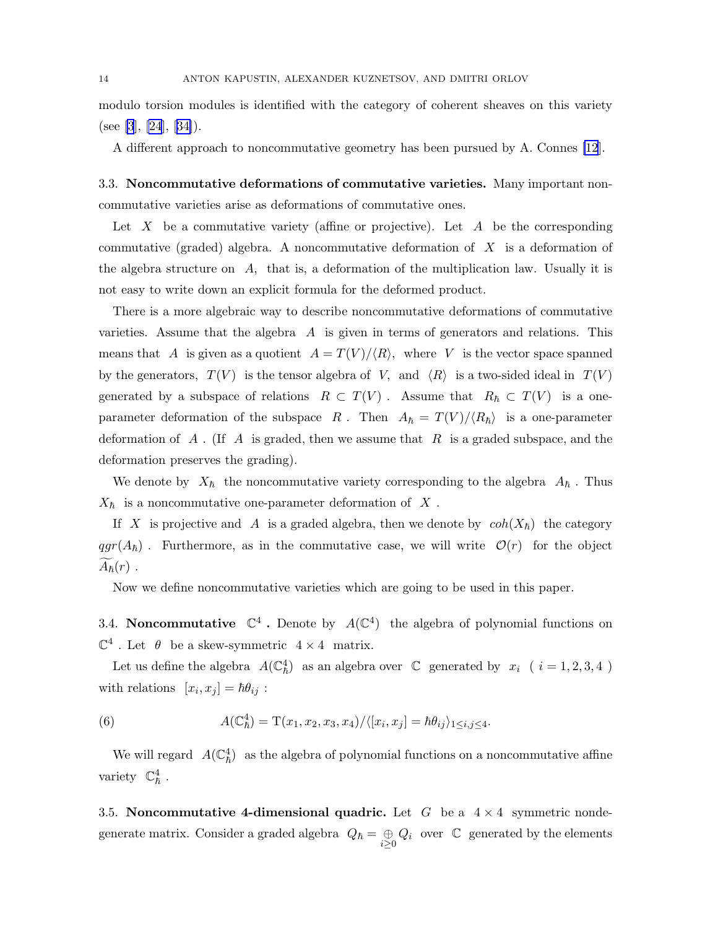<span id="page-14-0"></span>modulo torsion modules is identified with the category of coherent sheaves on this variety (see [\[3](#page-54-0)], [\[24](#page-55-0)],[[34\]](#page-55-0)).

A different approach to noncommutative geometry has been pursued by A. Connes [\[12](#page-54-0)].

3.3. Noncommutative deformations of commutative varieties. Many important noncommutative varieties arise as deformations of commutative ones.

Let  $X$  be a commutative variety (affine or projective). Let  $A$  be the corresponding commutative (graded) algebra. A noncommutative deformation of X is a deformation of the algebra structure on  $A$ , that is, a deformation of the multiplication law. Usually it is not easy to write down an explicit formula for the deformed product.

There is a more algebraic way to describe noncommutative deformations of commutative varieties. Assume that the algebra  $A$  is given in terms of generators and relations. This means that A is given as a quotient  $A = T(V)/\langle R \rangle$ , where V is the vector space spanned by the generators,  $T(V)$  is the tensor algebra of V, and  $\langle R \rangle$  is a two-sided ideal in  $T(V)$ generated by a subspace of relations  $R \subset T(V)$ . Assume that  $R_{\hbar} \subset T(V)$  is a oneparameter deformation of the subspace R. Then  $A_{\hbar} = T(V)/\langle R_{\hbar} \rangle$  is a one-parameter deformation of  $A$ . (If  $A$  is graded, then we assume that  $R$  is a graded subspace, and the deformation preserves the grading).

We denote by  $X_{\hbar}$  the noncommutative variety corresponding to the algebra  $A_{\hbar}$ . Thus  $X_{\hbar}$  is a noncommutative one-parameter deformation of X.

If X is projective and A is a graded algebra, then we denote by  $\operatorname{coh}(X_{\hbar})$  the category  $qgr(A_{\hbar})$ . Furthermore, as in the commutative case, we will write  $\mathcal{O}(r)$  for the object  $A_{\hbar}(r)$ .

Now we define noncommutative varieties which are going to be used in this paper.

3.4. Noncommutative  $\mathbb{C}^4$ . Denote by  $A(\mathbb{C}^4)$  the algebra of polynomial functions on  $\mathbb{C}^4$ . Let  $\theta$  be a skew-symmetric  $4 \times 4$  matrix.

Let us define the algebra  $A(\mathbb{C}_{\hbar}^4)$  as an algebra over  $\mathbb C$  generated by  $x_i$  (  $i = 1, 2, 3, 4$ ) with relations  $[x_i, x_j] = \hbar \theta_{ij}$ :

(6) 
$$
A(\mathbb{C}_{\hbar}^{4}) = T(x_{1}, x_{2}, x_{3}, x_{4}) / \langle [x_{i}, x_{j}] = \hbar \theta_{ij} \rangle_{1 \leq i, j \leq 4}.
$$

We will regard  $A(\mathbb{C}_{\hbar}^4)$  as the algebra of polynomial functions on a noncommutative affine variety  $\mathbb{C}_{\hbar}^4$ .

3.5. Noncommutative 4-dimensional quadric. Let G be a  $4 \times 4$  symmetric nondegenerate matrix. Consider a graded algebra  $Q_{\hbar} = \bigoplus_{i \geq 0}$  $Q_i$  over  $\mathbb C$  generated by the elements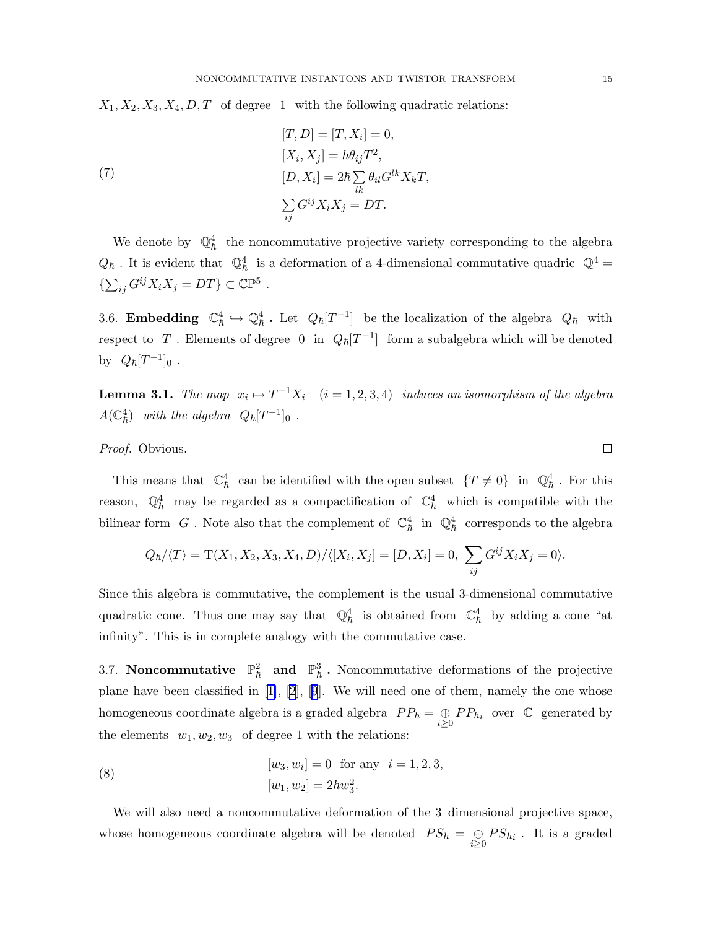<span id="page-15-0"></span> $X_1, X_2, X_3, X_4, D, T$  of degree 1 with the following quadratic relations:

(7)  
\n
$$
[T, D] = [T, X_i] = 0,
$$
\n
$$
[X_i, X_j] = \hbar \theta_{ij} T^2,
$$
\n
$$
[D, X_i] = 2\hbar \sum_{lk} \theta_{il} G^{lk} X_k T,
$$
\n
$$
\sum_{ij} G^{ij} X_i X_j = DT.
$$

We denote by  $\mathbb{Q}_\hbar^4$  the noncommutative projective variety corresponding to the algebra  $Q_{\hbar}$ . It is evident that  $\mathbb{Q}_{\hbar}^4$  is a deformation of a 4-dimensional commutative quadric  $\mathbb{Q}^4$  =  $\{\sum_{ij} G^{ij} X_i X_j = DT\} \subset \mathbb{CP}^5.$ 

3.6. **Embedding**  $\mathbb{C}_{\hbar}^4 \hookrightarrow \mathbb{Q}_{\hbar}^4$ . Let  $Q_{\hbar}[T^{-1}]$  be the localization of the algebra  $Q_{\hbar}$  with respect to T. Elements of degree 0 in  $Q_{\hbar}[T^{-1}]$  form a subalgebra which will be denoted by  $Q_{\hbar}[T^{-1}]_0$ .

**Lemma 3.1.** The map  $x_i \mapsto T^{-1}X_i$   $(i = 1, 2, 3, 4)$  *induces an isomorphism of the algebra*  $A(\mathbb{C}_{\hbar}^4)$  with the algebra  $Q_{\hbar}[T^{-1}]_0$ .

*Proof.* Obvious.

This means that  $\mathbb{C}_{\hbar}^4$  can be identified with the open subset  $\{T \neq 0\}$  in  $\mathbb{Q}_{\hbar}^4$ . For this reason,  $\mathbb{Q}_\hbar^4$  may be regarded as a compactification of  $\mathbb{C}_\hbar^4$  which is compatible with the bilinear form G. Note also that the complement of  $\mathbb{C}_{\hbar}^4$  in  $\mathbb{Q}_{\hbar}^4$  corresponds to the algebra

$$
Q_{\hbar} / \langle T \rangle = \mathcal{T}(X_1, X_2, X_3, X_4, D) / \langle [X_i, X_j] = [D, X_i] = 0, \sum_{ij} G^{ij} X_i X_j = 0 \rangle.
$$

Since this algebra is commutative, the complement is the usual 3-dimensional commutative quadratic cone. Thus one may say that  $\mathbb{Q}_{\hbar}^4$  is obtained from  $\mathbb{C}_{\hbar}^4$  by adding a cone "at infinity". This is in complete analogy with the commutative case.

3.7. Noncommutative  $\mathbb{P}^2_{\hbar}$  and  $\mathbb{P}^3_{\hbar}$ . Noncommutative deformations of the projective planehave been classified in  $[1]$ ,  $[2]$ ,  $[9]$  $[9]$  $[9]$ . We will need one of them, namely the one whose homogeneous coordinate algebra is a graded algebra  $PP<sub>h</sub> = \bigoplus_{i \geq 0}$  $PP_{\hbar i}$  over  $\mathbb C$  generated by the elements  $w_1, w_2, w_3$  of degree 1 with the relations:

(8) 
$$
[w_3, w_i] = 0 \text{ for any } i = 1, 2, 3,
$$

$$
[w_1, w_2] = 2\hbar w_3^2.
$$

We will also need a noncommutative deformation of the 3–dimensional projective space, whose homogeneous coordinate algebra will be denoted  $PS_{\hbar} = \bigoplus_{i \geq 0}$  $PS_{\hbar i}$ . It is a graded

 $\Box$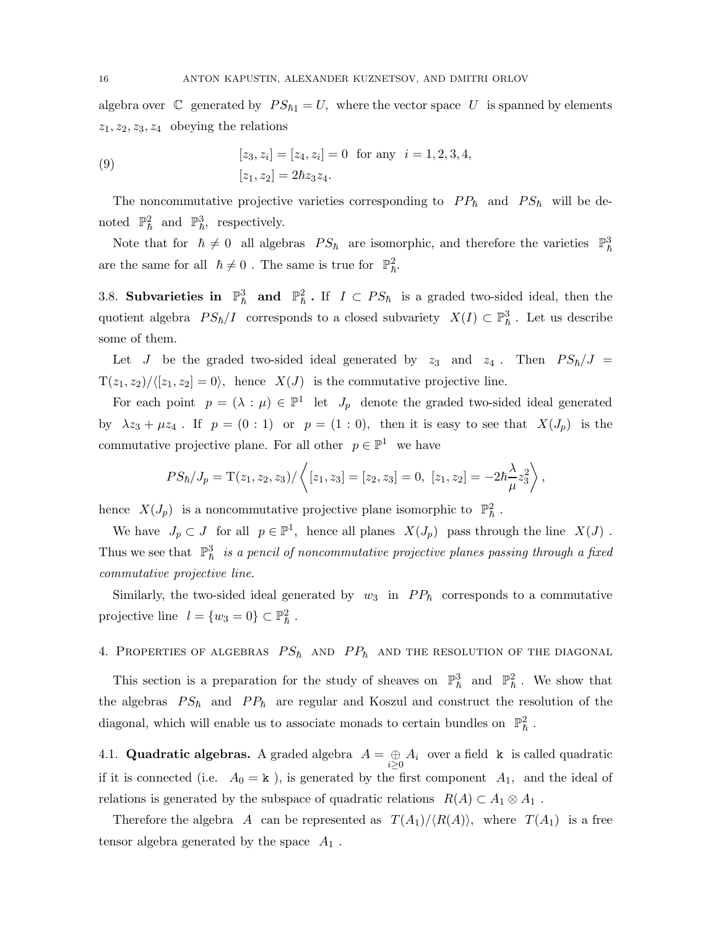<span id="page-16-0"></span>algebra over  $\mathbb C$  generated by  $PS_{\hbar1} = U$ , where the vector space U is spanned by elements  $z_1, z_2, z_3, z_4$  obeying the relations

(9) 
$$
[z_3, z_i] = [z_4, z_i] = 0 \text{ for any } i = 1, 2, 3, 4,
$$

$$
[z_1, z_2] = 2\hbar z_3 z_4.
$$

The noncommutative projective varieties corresponding to  $PP<sub>h</sub>$  and  $PS<sub>h</sub>$  will be denoted  $\mathbb{P}^2_{\hbar}$  and  $\mathbb{P}^3_{\hbar}$ , respectively.

Note that for  $~\hbar \neq 0~$  all algebras  $PS_{\hbar}~$  are isomorphic, and therefore the varieties  $\mathbb{P}^3_{\hbar}$ are the same for all  $~\hbar \neq 0$ . The same is true for  $~\mathbb{P}^2_{\hbar}$ .

3.8. Subvarieties in  $\mathbb{P}^3_{\hbar}$  and  $\mathbb{P}^2_{\hbar}$ . If  $I \subset PS_{\hbar}$  is a graded two-sided ideal, then the quotient algebra  $PS_{\hbar}/I$  corresponds to a closed subvariety  $X(I) \subset \mathbb{P}^3_{\hbar}$ . Let us describe some of them.

Let J be the graded two-sided ideal generated by  $z_3$  and  $z_4$ . Then  $PS_{\hbar}/J =$  $T(z_1, z_2)/\langle [z_1, z_2] = 0 \rangle$ , hence  $X(J)$  is the commutative projective line.

For each point  $p = (\lambda : \mu) \in \mathbb{P}^1$  let  $J_p$  denote the graded two-sided ideal generated by  $\lambda z_3 + \mu z_4$ . If  $p = (0:1)$  or  $p = (1:0)$ , then it is easy to see that  $X(J_p)$  is the commutative projective plane. For all other  $p \in \mathbb{P}^1$  we have

$$
PS_{\hbar}/J_p = \mathrm{T}(z_1, z_2, z_3) / \left\langle [z_1, z_3] = [z_2, z_3] = 0, [z_1, z_2] = -2\hbar \frac{\lambda}{\mu} z_3^2 \right\rangle,
$$

hence  $X(J_p)$  is a noncommutative projective plane isomorphic to  $\mathbb{P}^2_{\hbar}$ .

We have  $J_p \subset J$  for all  $p \in \mathbb{P}^1$ , hence all planes  $X(J_p)$  pass through the line  $X(J)$ . Thus we see that  $\mathbb{P}^3_{\hbar}$  *is a pencil of noncommutative projective planes passing through a fixed commutative projective line*.

Similarly, the two-sided ideal generated by  $w_3$  in  $PP<sub>\hbar</sub>$  corresponds to a commutative projective line  $l = \{w_3 = 0\} \subset \mathbb{P}^2_h$ .

# 4. PROPERTIES OF ALGEBRAS  $PS_{\hbar}$  and  $PP_{\hbar}$  and the resolution of the diagonal

This section is a preparation for the study of sheaves on  $\mathbb{P}^3_{\hbar}$  and  $\mathbb{P}^2_{\hbar}$ . We show that the algebras  $PS_{\hbar}$  and  $PP_{\hbar}$  are regular and Koszul and construct the resolution of the diagonal, which will enable us to associate monads to certain bundles on  $\mathbb{P}^2_{\hbar}$ .

4.1. **Quadratic algebras.** A graded algebra  $A = \bigoplus_{i \geq 0}$  $A_i$  over a field k is called quadratic if it is connected (i.e.  $A_0 = \kappa$ ), is generated by the first component  $A_1$ , and the ideal of relations is generated by the subspace of quadratic relations  $R(A) \subset A_1 \otimes A_1$ .

Therefore the algebra A can be represented as  $T(A_1)/\langle R(A) \rangle$ , where  $T(A_1)$  is a free tensor algebra generated by the space  $A_1$ .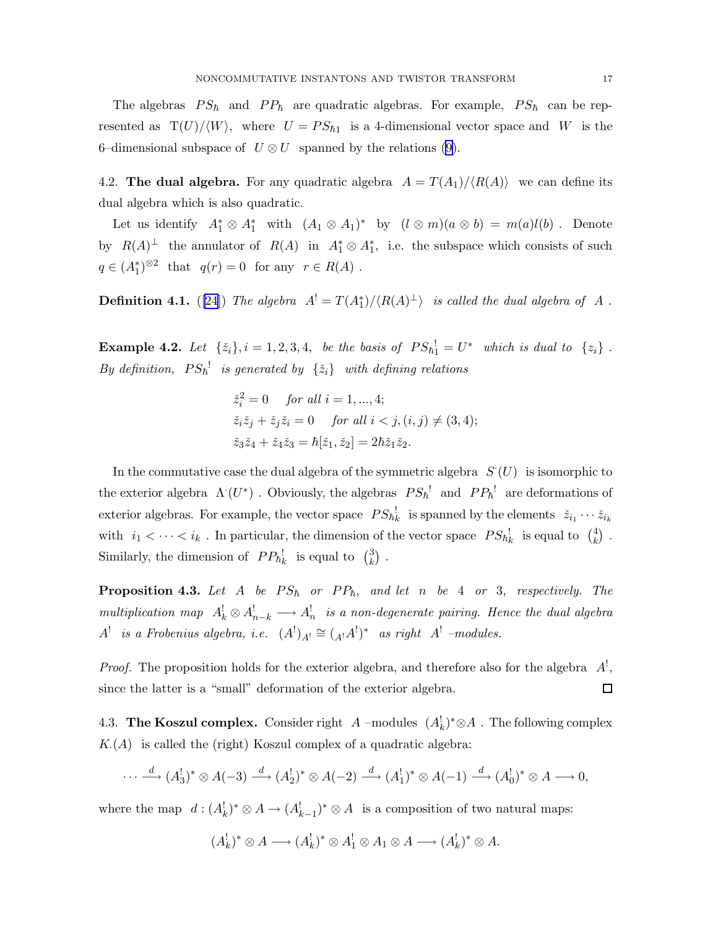The algebras  $PS_{\hbar}$  and  $PP_{\hbar}$  are quadratic algebras. For example,  $PS_{\hbar}$  can be represented as  $T(U)/\langle W \rangle$ , where  $U = PS_{\hbar 1}$  is a 4-dimensional vector space and W is the 6–dimensional subspace of  $U \otimes U$  spanned by the relations [\(9\)](#page-16-0).

4.2. The dual algebra. For any quadratic algebra  $A = T(A_1)/\langle R(A) \rangle$  we can define its dual algebra which is also quadratic.

Let us identify  $A_1^* \otimes A_1^*$  with  $(A_1 \otimes A_1)^*$  by  $(l \otimes m)(a \otimes b) = m(a)l(b)$ . Denote by  $R(A)^{\perp}$  the annulator of  $R(A)$  in  $A_1^* \otimes A_1^*$ , i.e. the subspace which consists of such  $q \in (A_1^*)^{\otimes 2}$  that  $q(r) = 0$  for any  $r \in R(A)$ .

**Definition 4.1.** ([[24\]](#page-55-0)) The algebra  $A^! = T(A_1^*)/\langle R(A)^{\perp} \rangle$  is called the dual algebra of A.

**Example 4.2.** Let  $\{\check{z}_i\}, i = 1, 2, 3, 4$ , be the basis of  $PS_{h_1}^{-1} = U^*$  which is dual to  $\{z_i\}$ .  $By \ definition, PS<sub>h</sub><sup>!</sup>$  *is generated by*  $\{z_i\}$  *with defining relations* 

$$
\begin{aligned}\n\check{z}_i^2 &= 0 \quad \text{for all } i = 1, \dots, 4; \\
\check{z}_i \check{z}_j + \check{z}_j \check{z}_i &= 0 \quad \text{for all } i < j, (i, j) \neq (3, 4); \\
\check{z}_3 \check{z}_4 + \check{z}_4 \check{z}_3 &= \hbar[\check{z}_1, \check{z}_2] = 2\hbar \check{z}_1 \check{z}_2.\n\end{aligned}
$$

In the commutative case the dual algebra of the symmetric algebra  $S'(U)$  is isomorphic to the exterior algebra  $\Lambda^{(U^*)}$ . Obviously, the algebras  $PS_{\hbar}$ <sup>!</sup> and  $PP_{\hbar}$ <sup>!</sup> are deformations of exterior algebras. For example, the vector space  $PS_{h_k}^{-1}$  is spanned by the elements  $\check{z}_{i_1} \cdots \check{z}_{i_k}$ with  $i_1 < \cdots < i_k$ . In particular, the dimension of the vector space  $PS_{h_k}^{\perp}$  is equal to  $\binom{4}{k}$  $\binom{4}{k}$ . Similarly, the dimension of  $PP_{\hbar k}^{\dagger}$  is equal to  $\binom{3}{k}$  $\binom{3}{k}$ .

**Proposition 4.3.** Let  $A$  be  $PS_{\hbar}$  or  $PP_{\hbar}$ , and let  $n$  be 4 or 3, respectively. The  $multiplication map \t A_k^! \otimes A_{n-k}^! \longrightarrow A_n^! \t is a non-degenerate pairing. Hence the dual algebra$  $A^!$  *is a Frobenius algebra, i.e.*  $(A^!)_{A^!} \cong (A^!A^!)^*$  *as right*  $A^!$  *–modules.* 

*Proof.* The proposition holds for the exterior algebra, and therefore also for the algebra  $A^!$ , since the latter is a "small" deformation of the exterior algebra.  $\Box$ 

4.3. The Koszul complex. Consider right  $A$  –modules  $(A_k^!)^* \otimes A$ . The following complex  $K(A)$  is called the (right) Koszul complex of a quadratic algebra:

$$
\cdots \xrightarrow{d} (A_3^!)^* \otimes A(-3) \xrightarrow{d} (A_2^!)^* \otimes A(-2) \xrightarrow{d} (A_1^!)^* \otimes A(-1) \xrightarrow{d} (A_0^!)^* \otimes A \longrightarrow 0,
$$

where the map  $d: (A_k^!)^* \otimes A \to (A_{k-1}^!)^* \otimes A$  is a composition of two natural maps:

$$
(A_k^!)^* \otimes A \longrightarrow (A_k^!)^* \otimes A_1^! \otimes A_1 \otimes A \longrightarrow (A_k^!)^* \otimes A.
$$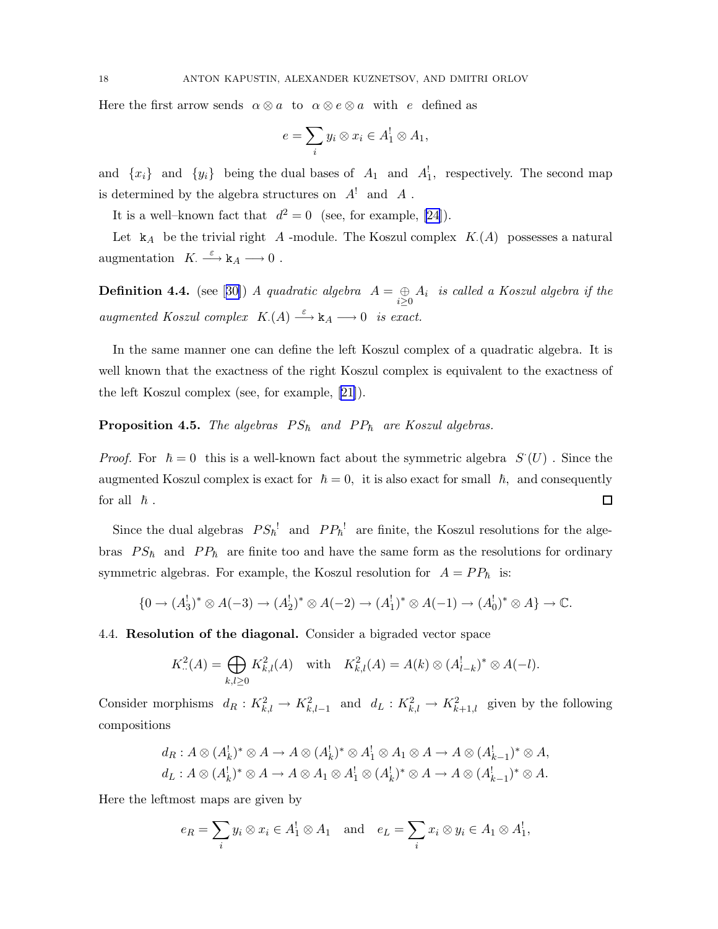Here the first arrow sends  $\alpha \otimes a$  to  $\alpha \otimes e \otimes a$  with e defined as

$$
e = \sum_{i} y_i \otimes x_i \in A_1^! \otimes A_1,
$$

and  $\{x_i\}$  and  $\{y_i\}$  being the dual bases of  $A_1$  and  $A_1^{\dagger}$ , respectively. The second map is determined by the algebra structures on  $A^!$  and  $A$ .

Itis a well-known fact that  $d^2 = 0$  (see, for example, [[24](#page-55-0)]).

Let  $k_A$  be the trivial right A -module. The Koszul complex  $K(A)$  possesses a natural augmentation  $K \xrightarrow{\varepsilon} \mathbf{k}_A \longrightarrow 0$ .

**Definition4.4.** (see [[30\]](#page-55-0)) *A quadratic algebra*  $A = \bigoplus_{i \geq 0}$ Ai *is called a Koszul algebra if the augmented Koszul complex*  $K(A) \xrightarrow{\varepsilon} \mathbf{k}_A \longrightarrow 0$  *is exact.* 

In the same manner one can define the left Koszul complex of a quadratic algebra. It is well known that the exactness of the right Koszul complex is equivalent to the exactness of the left Koszul complex (see, for example, [\[21\]](#page-54-0)).

**Proposition 4.5.** *The algebras*  $PS<sub>h</sub>$  *and*  $PP<sub>h</sub>$  *are Koszul algebras.* 

*Proof.* For  $\hbar = 0$  this is a well-known fact about the symmetric algebra  $S'(U)$ . Since the augmented Koszul complex is exact for  $~\hbar = 0$ , it is also exact for small  $~\hbar$ , and consequently  $\Box$ for all  $~\hbar$  .

Since the dual algebras  $PS_{\hbar}$ <sup>!</sup> and  $PP_{\hbar}$ <sup>!</sup> are finite, the Koszul resolutions for the algebras  $PS_{\hbar}$  and  $PP_{\hbar}$  are finite too and have the same form as the resolutions for ordinary symmetric algebras. For example, the Koszul resolution for  $A = PP<sub>h</sub>$  is:

$$
\{0 \to (A_3^1)^* \otimes A(-3) \to (A_2^1)^* \otimes A(-2) \to (A_1^1)^* \otimes A(-1) \to (A_0^1)^* \otimes A\} \to \mathbb{C}.
$$

4.4. Resolution of the diagonal. Consider a bigraded vector space

$$
K_{..}^{2}(A) = \bigoplus_{k,l \geq 0} K_{k,l}^{2}(A) \quad \text{with} \quad K_{k,l}^{2}(A) = A(k) \otimes (A_{l-k}^{!})^{*} \otimes A(-l).
$$

Consider morphisms  $d_R: K_{k,l}^2 \to K_{k,l-1}^2$  and  $d_L: K_{k,l}^2 \to K_{k+1,l}^2$  given by the following compositions

$$
d_R: A \otimes (A_k^!)^* \otimes A \to A \otimes (A_k^!)^* \otimes A_1^! \otimes A_1 \otimes A \to A \otimes (A_{k-1}^!)^* \otimes A,
$$
  

$$
d_L: A \otimes (A_k^!)^* \otimes A \to A \otimes A_1 \otimes A_1^! \otimes (A_k^!)^* \otimes A \to A \otimes (A_{k-1}^!)^* \otimes A.
$$

Here the leftmost maps are given by

$$
e_R = \sum_i y_i \otimes x_i \in A_1^! \otimes A_1 \quad \text{and} \quad e_L = \sum_i x_i \otimes y_i \in A_1 \otimes A_1^!,
$$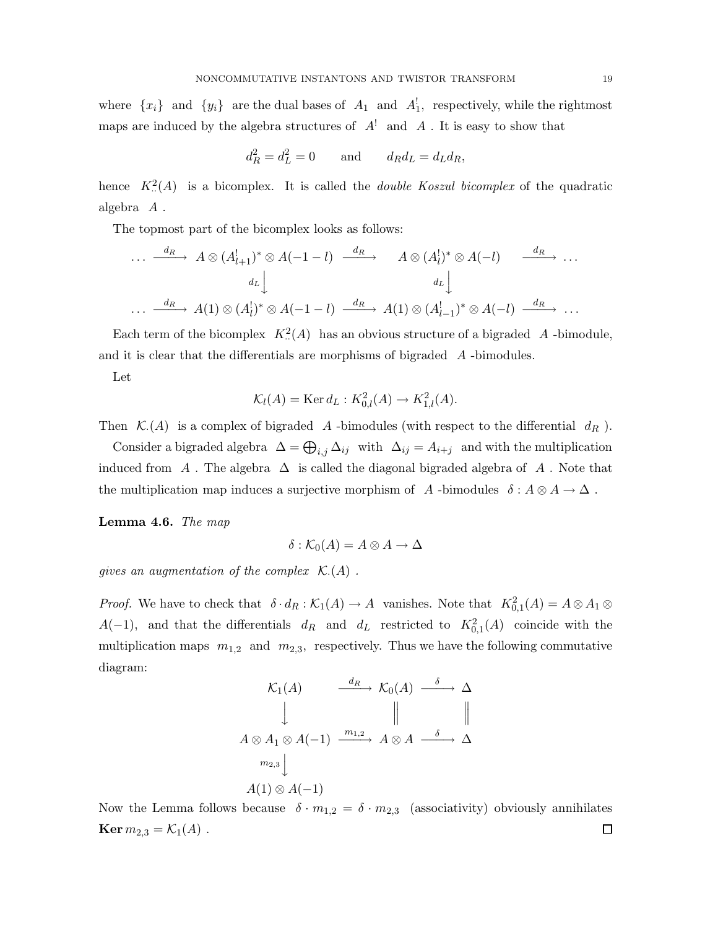<span id="page-19-0"></span>where  $\{x_i\}$  and  $\{y_i\}$  are the dual bases of  $A_1$  and  $A_1^!$ , respectively, while the rightmost maps are induced by the algebra structures of  $A<sup>!</sup>$  and  $A$ . It is easy to show that

$$
d_R^2 = d_L^2 = 0 \qquad \text{and} \qquad d_R d_L = d_L d_R,
$$

hence  $K^2(A)$  is a bicomplex. It is called the *double Koszul bicomplex* of the quadratic algebra A .

The topmost part of the bicomplex looks as follows:

$$
\cdots \xrightarrow{d_R} A \otimes (A_{l+1}^!)^* \otimes A(-1-l) \xrightarrow{d_R} A \otimes (A_l^!)^* \otimes A(-l) \xrightarrow{d_R} \cdots
$$

$$
\begin{array}{c} d_L \downarrow \qquad \qquad d_L \downarrow \qquad \qquad d_L \downarrow \qquad \qquad d_R \downarrow \qquad \qquad d_L \downarrow \qquad \qquad \cdots \xrightarrow{d_R} A(1) \otimes (A_l^!)^* \otimes A(-1-l) \xrightarrow{d_R} A(1) \otimes (A_{l-1}^!)^* \otimes A(-l) \xrightarrow{d_R} \cdots \end{array}
$$

Each term of the bicomplex  $K^2(\mathcal{A})$  has an obvious structure of a bigraded  $\mathcal{A}$ -bimodule, and it is clear that the differentials are morphisms of bigraded  $A$ -bimodules.

Let

$$
\mathcal{K}_l(A) = \text{Ker}\, d_L : K^2_{0,l}(A) \to K^2_{1,l}(A).
$$

Then  $\mathcal{K}(A)$  is a complex of bigraded  $A$  -bimodules (with respect to the differential  $d_R$ ).

Consider a bigraded algebra  $\Delta = \bigoplus_{i,j} \Delta_{ij}$  with  $\Delta_{ij} = A_{i+j}$  and with the multiplication induced from A. The algebra  $\Delta$  is called the diagonal bigraded algebra of A. Note that the multiplication map induces a surjective morphism of A -bimodules  $\delta : A \otimes A \to \Delta$ .

Lemma 4.6. *The map*

$$
\delta: \mathcal{K}_0(A) = A \otimes A \to \Delta
$$

*gives an augmentation of the complex*  $\mathcal{K}(A)$ .

*Proof.* We have to check that  $\delta \cdot d_R : \mathcal{K}_1(A) \to A$  vanishes. Note that  $K^2_{0,1}(A) = A \otimes A_1 \otimes A_2$  $A(-1)$ , and that the differentials  $d_R$  and  $d_L$  restricted to  $K_{0,1}^2(A)$  coincide with the multiplication maps  $m_{1,2}$  and  $m_{2,3}$ , respectively. Thus we have the following commutative diagram:

$$
\begin{array}{ccc}\n\mathcal{K}_1(A) & \xrightarrow{d_R} & \mathcal{K}_0(A) & \xrightarrow{\delta} & \Delta \\
\downarrow & & & \parallel & & \parallel \\
A \otimes A_1 \otimes A(-1) & \xrightarrow{m_{1,2}} & A \otimes A & \xrightarrow{\delta} & \Delta \\
& & & & \downarrow \\
& & & & \\
A(1) \otimes A(-1) & & & & \n\end{array}
$$

Now the Lemma follows because  $\delta \cdot m_{1,2} = \delta \cdot m_{2,3}$  (associativity) obviously annihilates **Ker**  $m_{2,3} = \mathcal{K}_1(A)$ .  $\Box$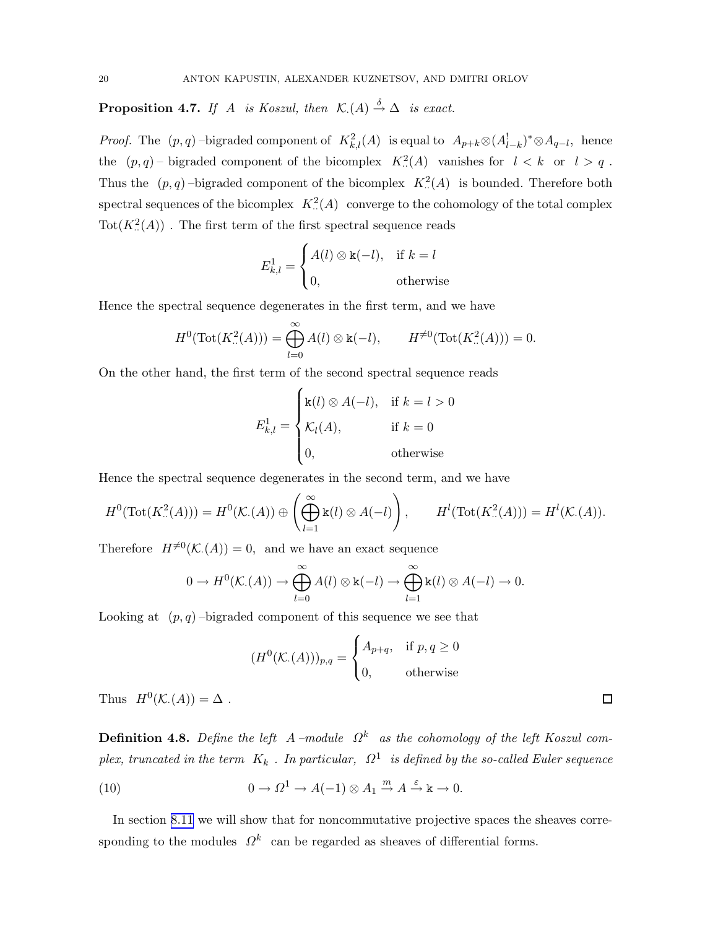<span id="page-20-0"></span>**Proposition 4.7.** *If*  $A$  *is Koszul, then*  $\mathcal{K}(A) \stackrel{\delta}{\rightarrow} \Delta$  *is exact.* 

*Proof.* The  $(p, q)$  –bigraded component of  $K_{k,l}^2(A)$  is equal to  $A_{p+k} \otimes (A_{l-k}^!)^* \otimes A_{q-l}$ , hence the  $(p, q)$  – bigraded component of the bicomplex  $K^2(\Lambda)$  vanishes for  $l < k$  or  $l > q$ . Thus the  $(p, q)$  -bigraded component of the bicomplex  $K^2(A)$  is bounded. Therefore both spectral sequences of the bicomplex  $K^2(A)$  converge to the cohomology of the total complex  $\mathrm{Tot}(K^2(\mathcal{A}))$ . The first term of the first spectral sequence reads

$$
E_{k,l}^1 = \begin{cases} A(l) \otimes k(-l), & \text{if } k = l \\ 0, & \text{otherwise} \end{cases}
$$

Hence the spectral sequence degenerates in the first term, and we have

$$
H^0(\text{Tot}(K^2(\Lambda))) = \bigoplus_{l=0}^{\infty} A(l) \otimes k(-l), \qquad H^{\neq 0}(\text{Tot}(K^2(\Lambda))) = 0.
$$

On the other hand, the first term of the second spectral sequence reads

$$
E_{k,l}^1 = \begin{cases} \kappa(l) \otimes A(-l), & \text{if } k = l > 0 \\ \mathcal{K}_l(A), & \text{if } k = 0 \\ 0, & \text{otherwise} \end{cases}
$$

Hence the spectral sequence degenerates in the second term, and we have

$$
H^0(\text{Tot}(K^2(\Lambda))) = H^0(\mathcal{K}(A)) \oplus \left( \bigoplus_{l=1}^{\infty} \mathbf{k}(l) \otimes A(-l) \right), \qquad H^l(\text{Tot}(K^2(\Lambda))) = H^l(\mathcal{K}(A)).
$$

Therefore  $H^{\neq 0}(\mathcal{K}(A)) = 0$ , and we have an exact sequence

$$
0 \to H^0(\mathcal{K}(A)) \to \bigoplus_{l=0}^{\infty} A(l) \otimes k(-l) \to \bigoplus_{l=1}^{\infty} k(l) \otimes A(-l) \to 0.
$$

Looking at  $(p,q)$ -bigraded component of this sequence we see that

$$
(H^0(\mathcal{K}.(A)))_{p,q} = \begin{cases} A_{p+q}, & \text{if } p,q \ge 0 \\ 0, & \text{otherwise} \end{cases}
$$

Thus  $H^0(\mathcal{K}(A)) = \Delta$ .

**Definition 4.8.** Define the left A-module  $\Omega^k$  as the cohomology of the left Koszul com*plex, truncated in the term*  $K_k$  . In particular,  $\Omega^1$  is defined by the so-called Euler sequence

(10) 
$$
0 \to \Omega^1 \to A(-1) \otimes A_1 \stackrel{m}{\to} A \stackrel{\varepsilon}{\to} \mathbf{k} \to 0.
$$

In section [8.11](#page-47-0) we will show that for noncommutative projective spaces the sheaves corresponding to the modules  $\Omega^k$  can be regarded as sheaves of differential forms.

 $\Box$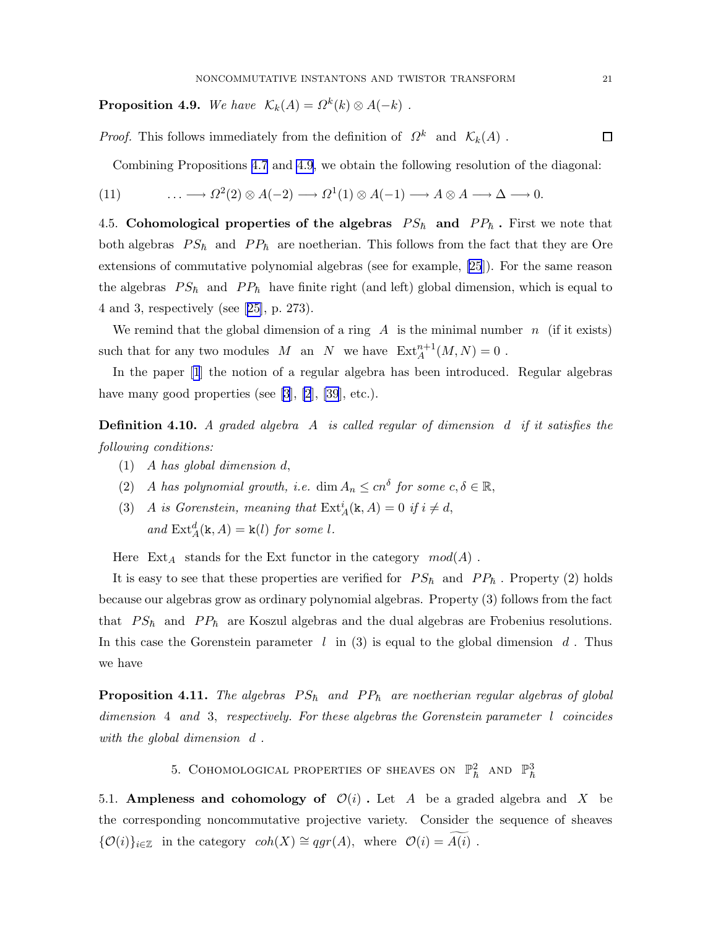<span id="page-21-0"></span>**Proposition 4.9.** *We have*  $\mathcal{K}_k(A) = \Omega^k(k) \otimes A(-k)$ .

*Proof.* This follows immediately from the definition of  $\Omega^k$  and  $\mathcal{K}_k(A)$ .

Combining Propositions [4.7](#page-19-0) and [4.9](#page-20-0), we obtain the following resolution of the diagonal:

(11) 
$$
\qquad \qquad \ldots \longrightarrow \Omega^2(2) \otimes A(-2) \longrightarrow \Omega^1(1) \otimes A(-1) \longrightarrow A \otimes A \longrightarrow \Delta \longrightarrow 0.
$$

4.5. Cohomological properties of the algebras  $PS<sub>h</sub>$  and  $PP<sub>h</sub>$ . First we note that both algebras  $PS_{\hbar}$  and  $PP_{\hbar}$  are noetherian. This follows from the fact that they are Ore extensions of commutative polynomial algebras (see for example, [\[25](#page-55-0)]). For the same reason the algebras  $PS<sub>h</sub>$  and  $PP<sub>h</sub>$  have finite right (and left) global dimension, which is equal to 4 and 3, respectively (see[[25\]](#page-55-0), p. 273).

We remind that the global dimension of a ring  $A$  is the minimal number  $n$  (if it exists) such that for any two modules  $M$  an  $N$  we have  $\text{Ext}_{A}^{n+1}(M, N) = 0$ .

In the paper [\[1](#page-54-0)] the notion of a regular algebra has been introduced. Regular algebras havemany good properties (see [[3](#page-54-0)], [\[2](#page-54-0)], [\[39](#page-55-0)], etc.).

Definition 4.10. *A graded algebra* A *is called regular of dimension* d *if it satisfies the following conditions:*

- (1) A *has global dimension* d,
- (2) A has polynomial growth, i.e.  $\dim A_n \leq cn^{\delta}$  for some  $c, \delta \in \mathbb{R}$ ,
- (3) A *is Gorenstein, meaning that*  $\text{Ext}_{A}^{i}(\mathbf{k}, A) = 0$  *if*  $i \neq d$ , and  $\text{Ext}_{A}^{d}(\mathbf{k}, A) = \mathbf{k}(l)$  *for some l*.

Here  $\text{Ext}_A$  stands for the Ext functor in the category  $mod(A)$ .

It is easy to see that these properties are verified for  $PS_{\hbar}$  and  $PP_{\hbar}$ . Property (2) holds because our algebras grow as ordinary polynomial algebras. Property (3) follows from the fact that  $PS_{\hbar}$  and  $PP_{\hbar}$  are Koszul algebras and the dual algebras are Frobenius resolutions. In this case the Gorenstein parameter  $l$  in (3) is equal to the global dimension  $d$ . Thus we have

**Proposition 4.11.** *The algebras*  $PS<sub>h</sub>$  *and*  $PP<sub>h</sub>$  *are noetherian regular algebras of global dimension* 4 *and* 3, *respectively. For these algebras the Gorenstein parameter* l *coincides with the global dimension* d *.*

5. COHOMOLOGICAL PROPERTIES OF SHEAVES ON  $\mathbb{P}^2_{\hbar}$  and  $\mathbb{P}^3_{\hbar}$ 

5.1. Ampleness and cohomology of  $\mathcal{O}(i)$ . Let A be a graded algebra and X be the corresponding noncommutative projective variety. Consider the sequence of sheaves  ${\{\mathcal{O}(i)\}}_{i\in\mathbb{Z}}$  in the category  $coh(X)\cong qgr(A)$ , where  $\mathcal{O}(i)=\overline{A(i)}$ .

 $\Box$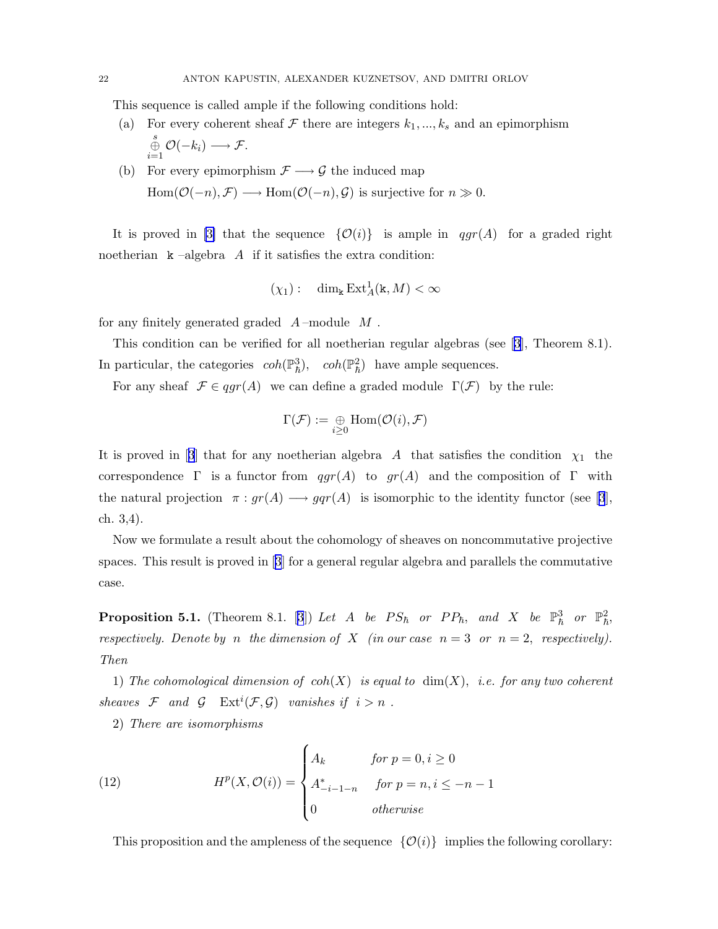<span id="page-22-0"></span>This sequence is called ample if the following conditions hold:

- (a) For every coherent sheaf  $\mathcal F$  there are integers  $k_1, ..., k_s$  and an epimorphism s  $\bigoplus_{i=1}^{\oplus} \mathcal{O}(-k_i) \longrightarrow \mathcal{F}.$
- (b) For every epimorphism  $\mathcal{F} \longrightarrow \mathcal{G}$  the induced map Hom $(\mathcal{O}(-n), \mathcal{F}) \longrightarrow \text{Hom}(\mathcal{O}(-n), \mathcal{G})$  is surjective for  $n \gg 0$ .

It is proved in [\[3\]](#page-54-0) that the sequence  $\{\mathcal{O}(i)\}\$ is ample in  $qgr(A)$  for a graded right noetherian  $k$  –algebra A if it satisfies the extra condition:

$$
(\chi_1): \quad \dim_{\mathbf{k}} \operatorname{Ext}^1_A({\mathbf{k}},M) < \infty
$$

for any finitely generated graded  $A$ -module  $M$ .

This condition can be verified for all noetherian regular algebras (see[[3](#page-54-0)], Theorem 8.1). In particular, the categories  $\operatorname{coh}(\mathbb{P}^3_{\hbar})$ ,  $\operatorname{coh}(\mathbb{P}^2_{\hbar})$  have ample sequences.

For any sheaf  $\mathcal{F} \in qgr(A)$  we can define a graded module  $\Gamma(\mathcal{F})$  by the rule:

$$
\Gamma(\mathcal{F}):=\mathop{\oplus}_{i\geq 0}\mathrm{Hom}(\mathcal{O}(i),\mathcal{F})
$$

Itis proved in [[3](#page-54-0)] that for any noetherian algebra A that satisfies the condition  $\chi_1$  the correspondence  $\Gamma$  is a functor from  $qgr(A)$  to  $gr(A)$  and the composition of  $\Gamma$  with the natural projection  $\pi : gr(A) \longrightarrow gqr(A)$  is isomorphic to the identity functor (see [\[3](#page-54-0)], ch. 3,4).

Now we formulate a result about the cohomology of sheaves on noncommutative projective spaces. This result is proved in[[3](#page-54-0)] for a general regular algebra and parallels the commutative case.

**Proposition5.1.** (Theorem 8.1. [[3](#page-54-0)]) Let A be  $PS_{\hbar}$  or  $PP_{\hbar}$ , and X be  $\mathbb{P}^3_{\hbar}$  or  $\mathbb{P}^2_{\hbar}$ . *respectively. Denote by n* the dimension of X (in our case  $n = 3$  or  $n = 2$ , respectively). *Then*

1) *The cohomological dimension of* coh(X) *is equal to* dim(X), *i.e. for any two coherent* sheaves F and  $\mathcal{G}$  Ext<sup>i</sup> $(\mathcal{F}, \mathcal{G})$  vanishes if  $i > n$ .

2) *There are isomorphisms*

(12) 
$$
H^{p}(X, \mathcal{O}(i)) = \begin{cases} A_{k} & \text{for } p = 0, i \ge 0 \\ A_{-i-1-n}^{*} & \text{for } p = n, i \le -n-1 \\ 0 & \text{otherwise} \end{cases}
$$

This proposition and the ampleness of the sequence  $\{\mathcal{O}(i)\}\$ implies the following corollary: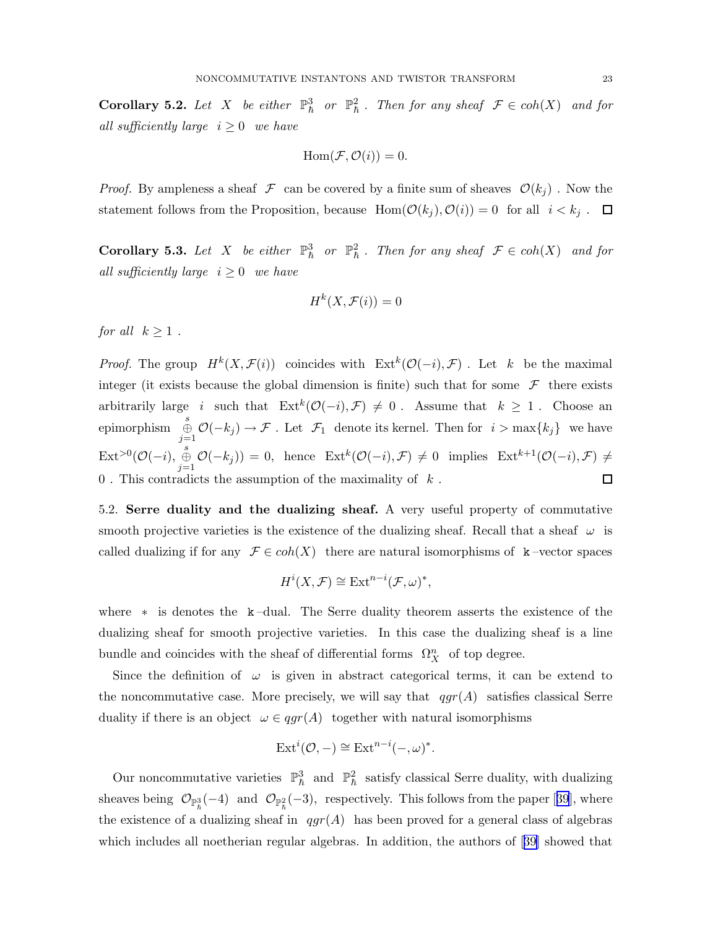<span id="page-23-0"></span>**Corollary 5.2.** Let X be either  $\mathbb{P}^3_{\hbar}$  or  $\mathbb{P}^2_{\hbar}$ . Then for any sheaf  $\mathcal{F} \in coh(X)$  and for *all sufficiently large*  $i \geq 0$  *we have* 

$$
\operatorname{Hom}(\mathcal{F},\mathcal{O}(i))=0.
$$

*Proof.* By ampleness a sheaf  $\mathcal F$  can be covered by a finite sum of sheaves  $\mathcal O(k_i)$ . Now the statement follows from the Proposition, because  $Hom(O(k_j), O(i)) = 0$  for all  $i < k_j$ .  $\Box$ 

**Corollary 5.3.** Let X be either  $\mathbb{P}^3_{\hbar}$  or  $\mathbb{P}^2_{\hbar}$ . Then for any sheaf  $\mathcal{F} \in coh(X)$  and for *all sufficiently large*  $i \geq 0$  *we have* 

$$
H^k(X, \mathcal{F}(i)) = 0
$$

*for all*  $k \geq 1$ .

*Proof.* The group  $H^k(X, \mathcal{F}(i))$  coincides with  $\operatorname{Ext}^k(\mathcal{O}(-i), \mathcal{F})$ . Let k be the maximal integer (it exists because the global dimension is finite) such that for some  $\mathcal F$  there exists arbitrarily large *i* such that  $Ext^k(\mathcal{O}(-i), \mathcal{F}) \neq 0$ . Assume that  $k \geq 1$ . Choose an epimorphism s  $\bigoplus_{j=1}^{\infty} \mathcal{O}(-k_j) \to \mathcal{F}$ . Let  $\mathcal{F}_1$  denote its kernel. Then for  $i > \max\{k_j\}$  we have Ext<sup>>0</sup>( $\mathcal{O}(-i)$ ,  $\oplus$  $\bigoplus_{j=1}^{\infty} \mathcal{O}(-k_j) = 0$ , hence  $\operatorname{Ext}^k(\mathcal{O}(-i), \mathcal{F}) \neq 0$  implies  $\operatorname{Ext}^{k+1}(\mathcal{O}(-i), \mathcal{F}) \neq 0$ 0. This contradicts the assumption of the maximality of  $k$ . 口

5.2. Serre duality and the dualizing sheaf. A very useful property of commutative smooth projective varieties is the existence of the dualizing sheaf. Recall that a sheaf  $\omega$  is called dualizing if for any  $\mathcal{F} \in coh(X)$  there are natural isomorphisms of k-vector spaces

$$
H^{i}(X,\mathcal{F}) \cong \text{Ext}^{n-i}(\mathcal{F},\omega)^{*},
$$

where <sup>∗</sup> is denotes the <sup>k</sup> –dual. The Serre duality theorem asserts the existence of the dualizing sheaf for smooth projective varieties. In this case the dualizing sheaf is a line bundle and coincides with the sheaf of differential forms  $\Omega_X^n$  of top degree.

Since the definition of  $\omega$  is given in abstract categorical terms, it can be extend to the noncommutative case. More precisely, we will say that  $qgr(A)$  satisfies classical Serre duality if there is an object  $\omega \in qgr(A)$  together with natural isomorphisms

$$
Ext^{i}(\mathcal{O}, -) \cong Ext^{n-i}(-, \omega)^{*}.
$$

Our noncommutative varieties  $\mathbb{P}^3_{\hbar}$  and  $\mathbb{P}^2_{\hbar}$  satisfy classical Serre duality, with dualizing sheavesbeing  $\mathcal{O}_{\mathbb{P}^3_\hbar}(-4)$  and  $\mathcal{O}_{\mathbb{P}^2_\hbar}(-3)$ , respectively. This follows from the paper [[39](#page-55-0)], where the existence of a dualizing sheaf in  $qgr(A)$  has been proved for a general class of algebras which includes all noetherian regular algebras. In addition, the authors of[[39\]](#page-55-0) showed that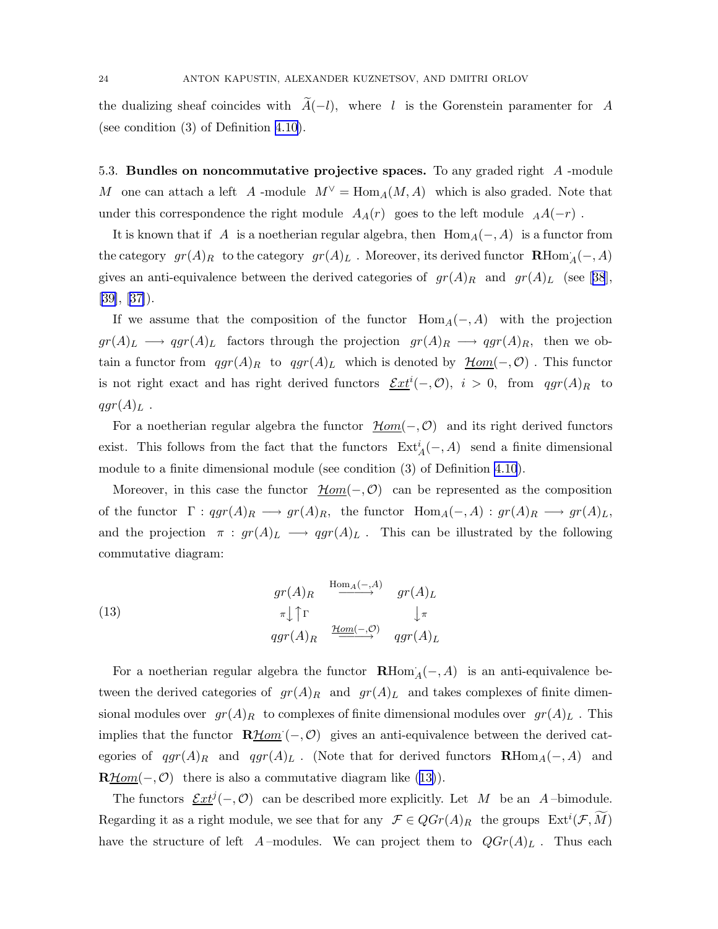<span id="page-24-0"></span>the dualizing sheaf coincides with  $\tilde{A}(-l)$ , where l is the Gorenstein paramenter for A (see condition (3) of Definition [4.10\)](#page-21-0).

5.3. Bundles on noncommutative projective spaces. To any graded right  $A$ -module M one can attach a left A -module  $M^{\vee} = \text{Hom}_A(M, A)$  which is also graded. Note that under this correspondence the right module  $A_A(r)$  goes to the left module  $A(A(-r))$ .

It is known that if A is a noetherian regular algebra, then  $\text{Hom}_A(-,A)$  is a functor from the category  $gr(A)_R$  to the category  $gr(A)_L$ . Moreover, its derived functor  $\mathbf{R}\text{Hom}_A(-,A)$ givesan anti-equivalence between the derived categories of  $gr(A)_R$  and  $gr(A)_L$  (see [[38](#page-55-0)], [\[39](#page-55-0)],[[37\]](#page-55-0)).

If we assume that the composition of the functor  $\text{Hom}_A(-,A)$  with the projection  $gr(A)_L \longrightarrow qgr(A)_L$  factors through the projection  $gr(A)_R \longrightarrow qgr(A)_R$ , then we obtain a functor from  $qgr(A)_R$  to  $qgr(A)_L$  which is denoted by  $\underline{\mathcal{H}om}(-, \mathcal{O})$ . This functor is not right exact and has right derived functors  $\mathcal{E}xt^{i}(-,0), i > 0$ , from  $qgr(A)_{R}$  to  $qgr(A)<sub>L</sub>$ .

For a noetherian regular algebra the functor  $\mathcal{H}om(-, \mathcal{O})$  and its right derived functors exist. This follows from the fact that the functors  $\operatorname{Ext}_A^i(-, A)$  send a finite dimensional module to a finite dimensional module (see condition (3) of Definition [4.10](#page-21-0)).

Moreover, in this case the functor  $\mathcal{H}om(-,\mathcal{O})$  can be represented as the composition of the functor  $\Gamma : qgr(A)_R \longrightarrow gr(A)_R$ , the functor  $\text{Hom}_A(-,A) : gr(A)_R \longrightarrow gr(A)_L$ , and the projection  $\pi : gr(A)<sub>L</sub> \longrightarrow qgr(A)<sub>L</sub>$ . This can be illustrated by the following commutative diagram:

(13) 
$$
\begin{array}{ccc}\n\text{gr}(A)_R & \xrightarrow{\text{Hom}_A(-,A)} & \text{gr}(A)_L \\
\pi \downarrow \uparrow \Gamma & & \downarrow \pi \\
\text{gr}(A)_R & \xrightarrow{\text{Hom}(-,O)} & \text{gr}(A)_L\n\end{array}
$$

For a noetherian regular algebra the functor  $\mathbf{R}\text{Hom}_A(-,A)$  is an anti-equivalence between the derived categories of  $gr(A)_R$  and  $gr(A)_L$  and takes complexes of finite dimensional modules over  $gr(A)_R$  to complexes of finite dimensional modules over  $gr(A)_L$ . This implies that the functor  $\mathbf{R}\underline{\mathcal{H}om}$  (-,  $\mathcal{O}$ ) gives an anti-equivalence between the derived categories of  $qgr(A)_R$  and  $qgr(A)_L$ . (Note that for derived functors **R**Hom<sub>A</sub>(−,A) and  $\mathbf{R}\underline{\mathcal{H}om}(-,\mathcal{O})$  there is also a commutative diagram like (13)).

The functors  $\mathcal{E}xt^{j}(-,0)$  can be described more explicitly. Let M be an A-bimodule. Regarding it as a right module, we see that for any  $\mathcal{F} \in QGr(A)_R$  the groups  $Ext^i(\mathcal{F}, \widetilde{M})$ have the structure of left A-modules. We can project them to  $QGr(A)<sub>L</sub>$ . Thus each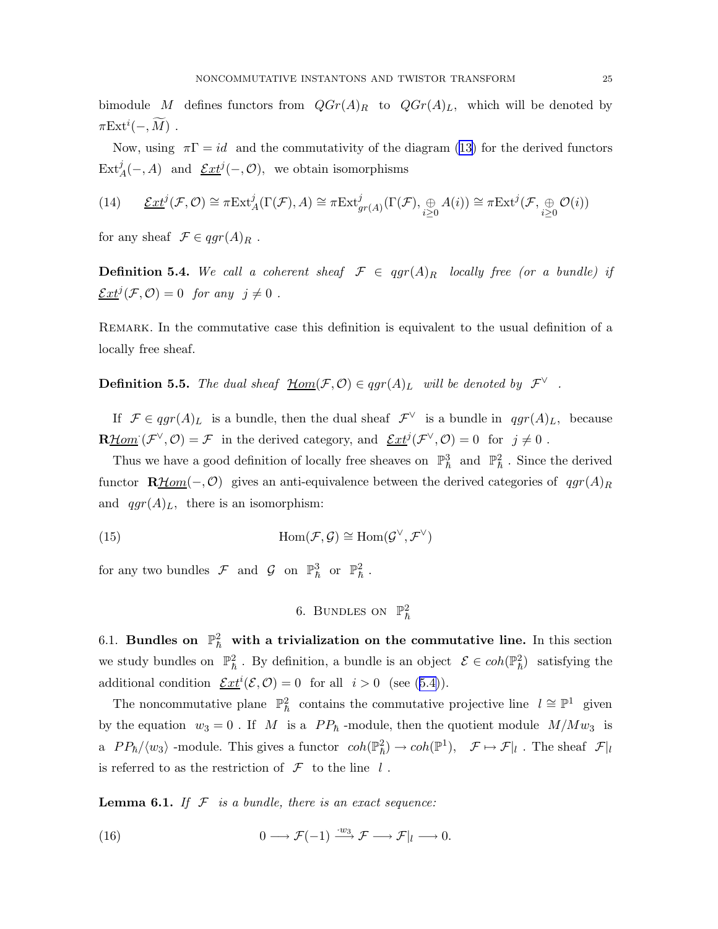<span id="page-25-0"></span>bimodule M defines functors from  $QGr(A)_R$  to  $QGr(A)_L$ , which will be denoted by  $\pi \text{Ext}^i(-, \widetilde{M})$ .

Now,using  $\pi \Gamma = id$  and the commutativity of the diagram ([13\)](#page-24-0) for the derived functors  $\text{Ext}_{A}^{j}(-, A)$  and  $\underline{\mathcal{E}xt}^{j}(-, \mathcal{O})$ , we obtain isomorphisms

(14) 
$$
\underline{\mathcal{E}xt}^{j}(\mathcal{F},\mathcal{O}) \cong \pi \mathrm{Ext}^{j}_{A}(\Gamma(\mathcal{F}),A) \cong \pi \mathrm{Ext}^{j}_{gr(A)}(\Gamma(\mathcal{F}),\bigoplus_{i\geq 0} A(i)) \cong \pi \mathrm{Ext}^{j}(\mathcal{F},\bigoplus_{i\geq 0} \mathcal{O}(i))
$$

for any sheaf  $\mathcal{F} \in qgr(A)_R$ .

**Definition 5.4.** We call a coherent sheaf  $\mathcal{F} \in qgr(A)_R$  *locally free (or a bundle) if*  $\underline{\mathcal{E}}xt^{j}(\mathcal{F},\mathcal{O})=0$  *for any*  $j\neq 0$ .

REMARK. In the commutative case this definition is equivalent to the usual definition of a locally free sheaf.

**Definition 5.5.** The dual sheaf  $\underline{Hom}(\mathcal{F}, \mathcal{O}) \in qgr(A)_L$  will be denoted by  $\mathcal{F}^{\vee}$ .

If  $\mathcal{F} \in qgr(A)_L$  is a bundle, then the dual sheaf  $\mathcal{F}^{\vee}$  is a bundle in  $qgr(A)_L$ , because  $\mathbf{R}\underline{\mathcal{H}om}$   $(\mathcal{F}^{\vee}, \mathcal{O}) = \mathcal{F}$  in the derived category, and  $\underline{\mathcal{E}xt}^j(\mathcal{F}^{\vee}, \mathcal{O}) = 0$  for  $j \neq 0$ .

Thus we have a good definition of locally free sheaves on  $\mathbb{P}^3_{\hbar}$  and  $\mathbb{P}^2_{\hbar}$ . Since the derived functor  $\mathbf{R}_{\text{Hom}}(-, \mathcal{O})$  gives an anti-equivalence between the derived categories of  $qgr(A)_R$ and  $qgr(A)<sub>L</sub>$ , there is an isomorphism:

(15) 
$$
\text{Hom}(\mathcal{F}, \mathcal{G}) \cong \text{Hom}(\mathcal{G}^{\vee}, \mathcal{F}^{\vee})
$$

for any two bundles  $\mathcal{F}$  and  $\mathcal{G}$  on  $\mathbb{P}^3_{\hbar}$  or  $\mathbb{P}^2_{\hbar}$ .

6. BUNDLES ON 
$$
\mathbb{P}^2_{\hbar}
$$

6.1. Bundles on  $\mathbb{P}^2_{\hbar}$  with a trivialization on the commutative line. In this section we study bundles on  $\mathbb{P}^2_{\hbar}$ . By definition, a bundle is an object  $\mathcal{E} \in coh(\mathbb{P}^2_{\hbar})$  satisfying the additional condition  $\underline{\mathcal{E}xt}^i(\mathcal{E},\mathcal{O})=0$  for all  $i>0$  (see (5.4)).

The noncommutative plane  $\mathbb{P}^2_{\hbar}$  contains the commutative projective line  $l \cong \mathbb{P}^1$  given by the equation  $w_3 = 0$ . If M is a  $PP<sub>\hbar</sub>$ -module, then the quotient module  $M/Mw_3$  is a  $PP_{\hbar}/\langle w_3\rangle$  -module. This gives a functor  $\operatorname{coh}(\mathbb{P}^2_{\hbar}) \to \operatorname{coh}(\mathbb{P}^1), \quad \mathcal{F} \mapsto \mathcal{F}|_l$ . The sheaf  $\mathcal{F}|_l$ is referred to as the restriction of  $\mathcal F$  to the line  $l$ .

**Lemma 6.1.** If  $F$  *is a bundle, there is an exact sequence:* 

(16) 
$$
0 \longrightarrow \mathcal{F}(-1) \xrightarrow{w_3} \mathcal{F} \longrightarrow \mathcal{F}|_l \longrightarrow 0.
$$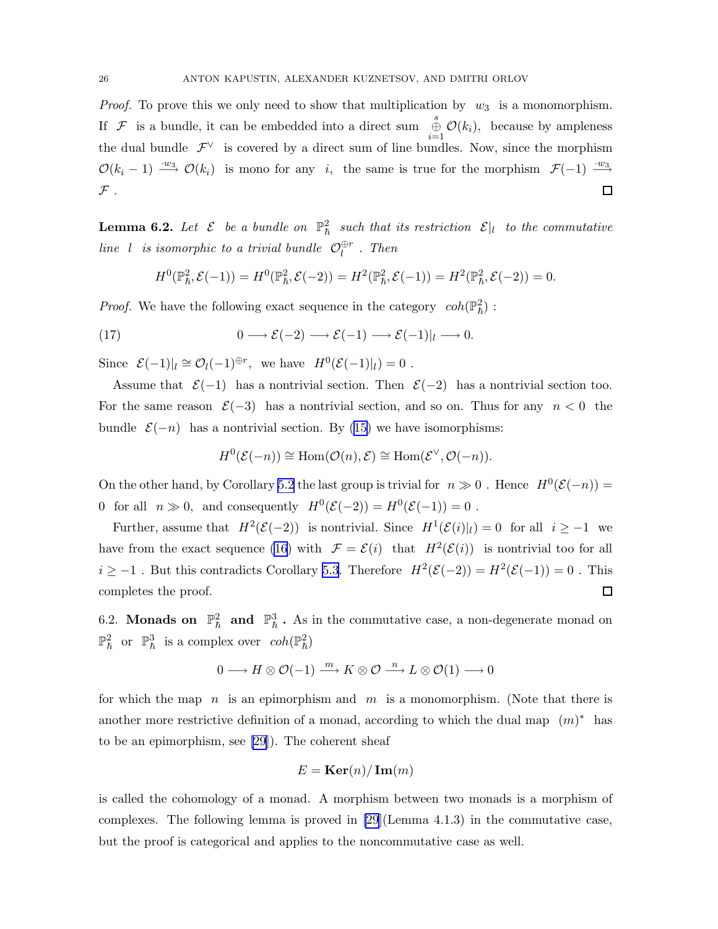<span id="page-26-0"></span>*Proof.* To prove this we only need to show that multiplication by  $w_3$  is a monomorphism. If  $\mathcal F$  is a bundle, it can be embedded into a direct sum  $\int_{0}^{s}$  $\bigoplus_{i=1}^{\infty} \mathcal{O}(k_i)$ , because by ampleness the dual bundle  $\mathcal{F}^{\vee}$  is covered by a direct sum of line bundles. Now, since the morphism  $\mathcal{O}(k_i - 1) \stackrel{\cdot w_3}{\longrightarrow} \mathcal{O}(k_i)$  is mono for any i, the same is true for the morphism  $\mathcal{F}(-1) \stackrel{\cdot w_3}{\longrightarrow}$  ${\mathcal F}$  .  $\Box$ 

**Lemma 6.2.** Let  $\mathcal{E}$  be a bundle on  $\mathbb{P}^2_{\hbar}$  such that its restriction  $\mathcal{E}|_l$  to the commutative *line l is isomorphic to a trivial bundle*  $\mathcal{O}_l^{\oplus r}$  *. Then* 

$$
H^{0}(\mathbb{P}_{\hbar}^{2}, \mathcal{E}(-1)) = H^{0}(\mathbb{P}_{\hbar}^{2}, \mathcal{E}(-2)) = H^{2}(\mathbb{P}_{\hbar}^{2}, \mathcal{E}(-1)) = H^{2}(\mathbb{P}_{\hbar}^{2}, \mathcal{E}(-2)) = 0.
$$

*Proof.* We have the following exact sequence in the category  $\coh(\mathbb{P}_{\hbar}^2)$ :

(17) 
$$
0 \longrightarrow \mathcal{E}(-2) \longrightarrow \mathcal{E}(-1) \longrightarrow \mathcal{E}(-1)|_{l} \longrightarrow 0.
$$

Since  $\mathcal{E}(-1)|_l \cong \mathcal{O}_l(-1)^{\oplus r}$ , we have  $H^0(\mathcal{E}(-1)|_l) = 0$ .

Assume that  $\mathcal{E}(-1)$  has a nontrivial section. Then  $\mathcal{E}(-2)$  has a nontrivial section too. For the same reason  $\mathcal{E}(-3)$  has a nontrivial section, and so on. Thus for any  $n < 0$  the bundle  $\mathcal{E}(-n)$  has a nontrivial section. By [\(15\)](#page-25-0) we have isomorphisms:

$$
H^{0}(\mathcal{E}(-n)) \cong \text{Hom}(\mathcal{O}(n), \mathcal{E}) \cong \text{Hom}(\mathcal{E}^{\vee}, \mathcal{O}(-n)).
$$

On the other hand, by Corollary [5.2](#page-22-0) the last group is trivial for  $n \gg 0$ . Hence  $H^0(\mathcal{E}(-n)) =$ 0 for all  $n \gg 0$ , and consequently  $H^0(\mathcal{E}(-2)) = H^0(\mathcal{E}(-1)) = 0$ .

Further, assume that  $H^2(\mathcal{E}(-2))$  is nontrivial. Since  $H^1(\mathcal{E}(i)|_l) = 0$  for all  $i \geq -1$  we have from the exact sequence [\(16](#page-25-0)) with  $\mathcal{F} = \mathcal{E}(i)$  that  $H^2(\mathcal{E}(i))$  is nontrivial too for all  $i \ge -1$ . But this contradicts Corollary [5.3.](#page-23-0) Therefore  $H^2(\mathcal{E}(-2)) = H^2(\mathcal{E}(-1)) = 0$ . This  $\Box$ completes the proof.

6.2. Monads on  $\mathbb{P}^2_{\hbar}$  and  $\mathbb{P}^3_{\hbar}$ . As in the commutative case, a non-degenerate monad on  $\mathbb{P}^2_{\hbar}$  or  $\mathbb{P}^3_{\hbar}$  is a complex over  $coh(\mathbb{P}^2_{\hbar})$ 

$$
0 \longrightarrow H \otimes \mathcal{O}(-1) \xrightarrow{m} K \otimes \mathcal{O} \xrightarrow{n} L \otimes \mathcal{O}(1) \longrightarrow 0
$$

for which the map  $n$  is an epimorphism and  $m$  is a monomorphism. (Note that there is another more restrictive definition of a monad, according to which the dual map  $(m)^*$  has to be an epimorphism, see [\[29](#page-55-0)]). The coherent sheaf

$$
E = \mathbf{Ker}(n)/\mathbf{Im}(m)
$$

is called the cohomology of a monad. A morphism between two monads is a morphism of complexes. The following lemma is proved in  $[29]$ (Lemma 4.1.3) in the commutative case, but the proof is categorical and applies to the noncommutative case as well.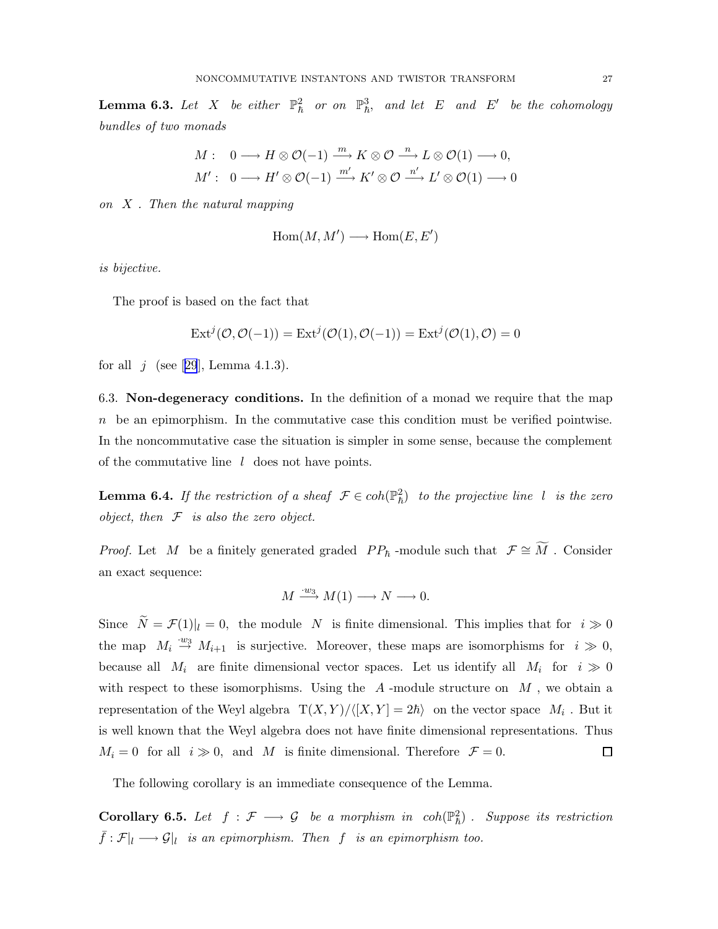<span id="page-27-0"></span>**Lemma 6.3.** Let X be either  $\mathbb{P}^2_{\hbar}$  or on  $\mathbb{P}^3_{\hbar}$ , and let E and E' be the cohomology *bundles of two monads*

$$
M: \quad 0 \longrightarrow H \otimes \mathcal{O}(-1) \xrightarrow{m} K \otimes \mathcal{O} \xrightarrow{n} L \otimes \mathcal{O}(1) \longrightarrow 0,
$$
  

$$
M': \quad 0 \longrightarrow H' \otimes \mathcal{O}(-1) \xrightarrow{m'} K' \otimes \mathcal{O} \xrightarrow{n'} L' \otimes \mathcal{O}(1) \longrightarrow 0
$$

*on* X *. Then the natural mapping*

$$
Hom(M, M') \longrightarrow Hom(E, E')
$$

*is bijective.*

The proof is based on the fact that

$$
Ext^{j}(\mathcal{O}, \mathcal{O}(-1)) = Ext^{j}(\mathcal{O}(1), \mathcal{O}(-1)) = Ext^{j}(\mathcal{O}(1), \mathcal{O}) = 0
$$

forall  $j$  (see [[29](#page-55-0)], Lemma 4.1.3).

6.3. Non-degeneracy conditions. In the definition of a monad we require that the map n be an epimorphism. In the commutative case this condition must be verified pointwise. In the noncommutative case the situation is simpler in some sense, because the complement of the commutative line  $l$  does not have points.

**Lemma 6.4.** If the restriction of a sheaf  $\mathcal{F} \in \text{coh}(\mathbb{P}^2_{\hbar})$  to the projective line l is the zero *object, then* F *is also the zero object.*

*Proof.* Let  $M$  be a finitely generated graded  $PP_{\hbar}$  -module such that  $\mathcal{F} \cong \widetilde{M}$  . Consider an exact sequence:

$$
M \xrightarrow{\cdot w_3} M(1) \longrightarrow N \longrightarrow 0.
$$

Since  $\widetilde{N} = \mathcal{F}(1)|_l = 0$ , the module N is finite dimensional. This implies that for  $i \gg 0$ the map  $M_i \stackrel{w_3}{\rightarrow} M_{i+1}$  is surjective. Moreover, these maps are isomorphisms for  $i \gg 0$ , because all  $M_i$  are finite dimensional vector spaces. Let us identify all  $M_i$  for  $i \gg 0$ with respect to these isomorphisms. Using the  $A$ -module structure on  $M$ , we obtain a representation of the Weyl algebra  $T(X, Y)/\langle [X, Y] = 2\hbar \rangle$  on the vector space  $M_i$ . But it is well known that the Weyl algebra does not have finite dimensional representations. Thus  $M_i = 0$  for all  $i \gg 0$ , and M is finite dimensional. Therefore  $\mathcal{F} = 0$ . □

The following corollary is an immediate consequence of the Lemma.

**Corollary 6.5.** Let  $f : \mathcal{F} \longrightarrow \mathcal{G}$  be a morphism in  $coh(\mathbb{P}^2_{\hbar})$  . Suppose its restriction  $\bar{f}: \mathcal{F}|_{l} \longrightarrow \mathcal{G}|_{l}$  is an epimorphism. Then f is an epimorphism too.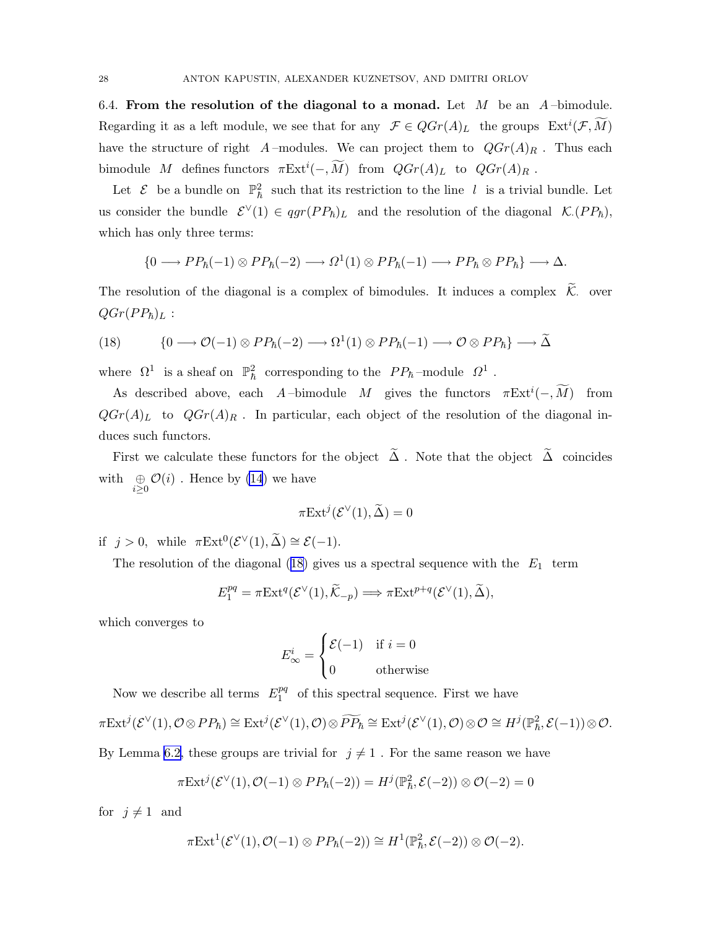6.4. From the resolution of the diagonal to a monad. Let  $M$  be an  $A$ -bimodule. Regarding it as a left module, we see that for any  $\mathcal{F} \in QGr(A)<sub>L</sub>$  the groups  $Ext^i(\mathcal{F}, \widetilde{M})$ have the structure of right A-modules. We can project them to  $QGr(A)_R$ . Thus each bimodule M defines functors  $\pi \text{Ext}^i(-, \widetilde{M})$  from  $QGr(A)_L$  to  $QGr(A)_R$ .

Let  $\mathcal E$  be a bundle on  $\mathbb P_h^2$  such that its restriction to the line l is a trivial bundle. Let us consider the bundle  $\mathcal{E}^{\vee}(1) \in qgr(PP_{\hbar})_L$  and the resolution of the diagonal  $\mathcal{K}(PP_{\hbar})$ , which has only three terms:

$$
\{0 \longrightarrow PP_{\hbar}(-1) \otimes PP_{\hbar}(-2) \longrightarrow \Omega^1(1) \otimes PP_{\hbar}(-1) \longrightarrow PP_{\hbar} \otimes PP_{\hbar}\} \longrightarrow \Delta.
$$

The resolution of the diagonal is a complex of bimodules. It induces a complex  $\widetilde{\mathcal{K}}$  over  $QGr(PP<sub>h</sub>)<sub>L</sub>$ :

(18) 
$$
\{0 \longrightarrow \mathcal{O}(-1) \otimes PP_{\hbar}(-2) \longrightarrow \Omega^{1}(1) \otimes PP_{\hbar}(-1) \longrightarrow \mathcal{O} \otimes PP_{\hbar}\} \longrightarrow \widetilde{\Delta}
$$

where  $\Omega^1$  is a sheaf on  $\mathbb{P}^2_{\hbar}$  corresponding to the  $PP_{\hbar}$ -module  $\Omega^1$ .

As described above, each A –bimodule M gives the functors  $\pi \text{Ext}^i(-, \tilde{M})$  from  $QGr(A)<sub>L</sub>$  to  $QGr(A)<sub>R</sub>$ . In particular, each object of the resolution of the diagonal induces such functors.

First we calculate these functors for the object  $\Delta$ . Note that the object  $\Delta$  coincides with  $\bigoplus_{i\geq 0} \mathcal{O}(i)$ . Hence by [\(14](#page-25-0)) we have

$$
\pi \mathrm{Ext}^j(\mathcal{E}^{\vee}(1), \widetilde{\Delta}) = 0
$$

if  $j > 0$ , while  $\pi \text{Ext}^0(\mathcal{E}^{\vee}(1), \tilde{\Delta}) \cong \mathcal{E}(-1)$ .

The resolution of the diagonal (18) gives us a spectral sequence with the  $E_1$  term

$$
E_1^{pq} = \pi \text{Ext}^q(\mathcal{E}^{\vee}(1), \widetilde{\mathcal{K}}_{-p}) \Longrightarrow \pi \text{Ext}^{p+q}(\mathcal{E}^{\vee}(1), \widetilde{\Delta}),
$$

which converges to

$$
E_{\infty}^{i} = \begin{cases} \mathcal{E}(-1) & \text{if } i = 0\\ 0 & \text{otherwise} \end{cases}
$$

Now we describe all terms  $E_1^{pq}$  $_1^{pq}$  of this spectral sequence. First we have

$$
\pi \mathrm{Ext}^j(\mathcal{E}^{\vee}(1), \mathcal{O} \otimes PP_{\hbar}) \cong \mathrm{Ext}^j(\mathcal{E}^{\vee}(1), \mathcal{O}) \otimes \widetilde{PP}_{\hbar} \cong \mathrm{Ext}^j(\mathcal{E}^{\vee}(1), \mathcal{O}) \otimes \mathcal{O} \cong H^j(\mathbb{P}_{\hbar}^2, \mathcal{E}(-1)) \otimes \mathcal{O}.
$$

By Lemma [6.2,](#page-26-0) these groups are trivial for  $j \neq 1$ . For the same reason we have

$$
\pi \text{Ext}^{j}(\mathcal{E}^{\vee}(1), \mathcal{O}(-1) \otimes PP_{\hbar}(-2)) = H^{j}(\mathbb{P}_{\hbar}^{2}, \mathcal{E}(-2)) \otimes \mathcal{O}(-2) = 0
$$

for  $j \neq 1$  and

$$
\pi \mathrm{Ext}^1(\mathcal{E}^{\vee}(1), \mathcal{O}(-1) \otimes PP_{\hbar}(-2)) \cong H^1(\mathbb{P}_{\hbar}^2, \mathcal{E}(-2)) \otimes \mathcal{O}(-2).
$$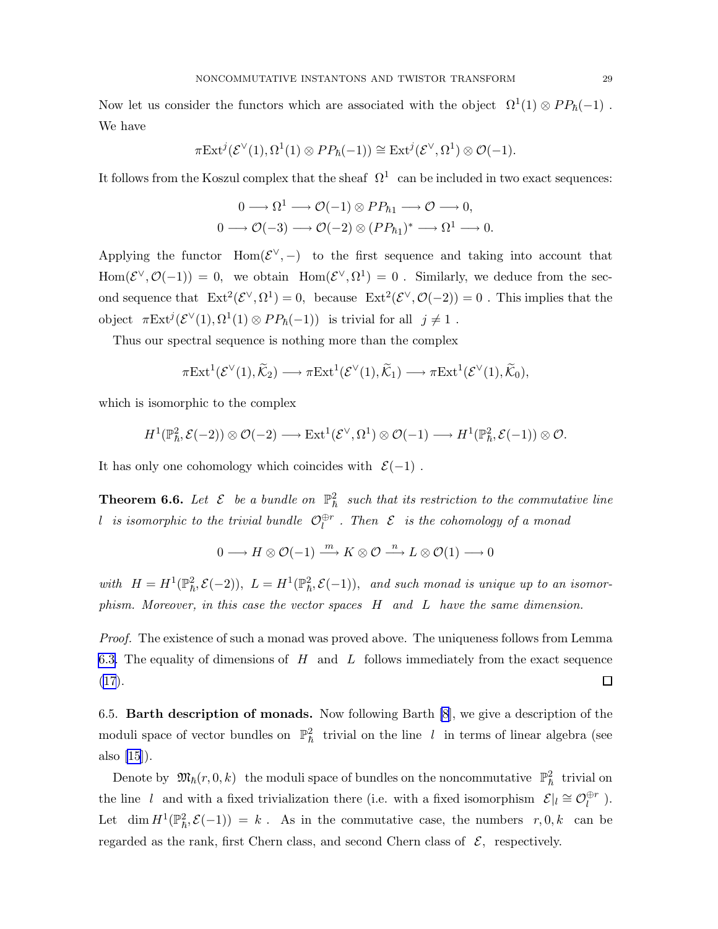Now let us consider the functors which are associated with the object  $\Omega^1(1) \otimes PP_{\hbar}(-1)$ . We have

$$
\pi \mathrm{Ext}^j(\mathcal{E}^{\vee}(1), \Omega^1(1) \otimes PP_{\hbar}(-1)) \cong \mathrm{Ext}^j(\mathcal{E}^{\vee}, \Omega^1) \otimes \mathcal{O}(-1).
$$

It follows from the Koszul complex that the sheaf  $\Omega^1$  can be included in two exact sequences:

$$
0 \longrightarrow \Omega^1 \longrightarrow \mathcal{O}(-1) \otimes PP_{\hbar 1} \longrightarrow \mathcal{O} \longrightarrow 0,
$$
  

$$
0 \longrightarrow \mathcal{O}(-3) \longrightarrow \mathcal{O}(-2) \otimes (PP_{\hbar 1})^* \longrightarrow \Omega^1 \longrightarrow 0.
$$

Applying the functor  $Hom(\mathcal{E}^{\vee},-)$  to the first sequence and taking into account that  $Hom(\mathcal{E}^{\vee},\mathcal{O}(-1)) = 0$ , we obtain  $Hom(\mathcal{E}^{\vee},\Omega^1) = 0$ . Similarly, we deduce from the second sequence that  $\ Ext^2(\mathcal{E}^{\vee}, \Omega^1) = 0$ , because  $\ Ext^2(\mathcal{E}^{\vee}, \mathcal{O}(-2)) = 0$ . This implies that the object  $\pi \text{Ext}^{j}(\mathcal{E}^{\vee}(1), \Omega^{1}(1) \otimes PP_{\hbar}(-1))$  is trivial for all  $j \neq 1$ .

Thus our spectral sequence is nothing more than the complex

$$
\pi \mathrm{Ext}^1(\mathcal{E}^{\vee}(1),\widetilde{\mathcal{K}}_2) \longrightarrow \pi \mathrm{Ext}^1(\mathcal{E}^{\vee}(1),\widetilde{\mathcal{K}}_1) \longrightarrow \pi \mathrm{Ext}^1(\mathcal{E}^{\vee}(1),\widetilde{\mathcal{K}}_0),
$$

which is isomorphic to the complex

$$
H^1(\mathbb{P}^2_{\hbar},\mathcal{E}(-2))\otimes \mathcal{O}(-2)\longrightarrow \mathrm{Ext}^1(\mathcal{E}^{\vee},\Omega^1)\otimes \mathcal{O}(-1)\longrightarrow H^1(\mathbb{P}^2_{\hbar},\mathcal{E}(-1))\otimes \mathcal{O}.
$$

It has only one cohomology which coincides with  $\mathcal{E}(-1)$ .

**Theorem 6.6.** Let  $\mathcal{E}$  be a bundle on  $\mathbb{P}^2_{\hbar}$  such that its restriction to the commutative line *l* is isomorphic to the trivial bundle  $\mathcal{O}_l^{\oplus r}$  . Then  $\mathcal E$  is the cohomology of a monad

$$
0 \longrightarrow H \otimes \mathcal{O}(-1) \xrightarrow{m} K \otimes \mathcal{O} \xrightarrow{n} L \otimes \mathcal{O}(1) \longrightarrow 0
$$

 $with H = H^{1}(\mathbb{P}_{\hbar}^{2}, \mathcal{E}(-2)), L = H^{1}(\mathbb{P}_{\hbar}^{2}, \mathcal{E}(-1)), and such monad is unique up to an isomor$ *phism. Moreover, in this case the vector spaces* H *and* L *have the same dimension.*

*Proof.* The existence of such a monad was proved above. The uniqueness follows from Lemma [6.3.](#page-26-0) The equality of dimensions of  $H$  and  $L$  follows immediately from the exact sequence  $(17).$  $(17).$  $\Box$ 

6.5. Barth description of monads. Now following Barth [\[8\]](#page-54-0), we give a description of the moduli space of vector bundles on  $\mathbb{P}^2_{\hbar}$  trivial on the line l in terms of linear algebra (see also [\[15](#page-54-0)]).

Denote by  $\mathfrak{M}_{\hbar}(r,0,k)$  the moduli space of bundles on the noncommutative  $\mathbb{P}^2_{\hbar}$  trivial on the line l and with a fixed trivialization there (i.e. with a fixed isomorphism  $\mathcal{E}|_l \cong \mathcal{O}_l^{\oplus r}$ ). Let  $\dim H^1(\mathbb{P}_\hbar^2, \mathcal{E}(-1)) = k$ . As in the commutative case, the numbers  $r, 0, k$  can be regarded as the rank, first Chern class, and second Chern class of  $\mathcal{E}$ , respectively.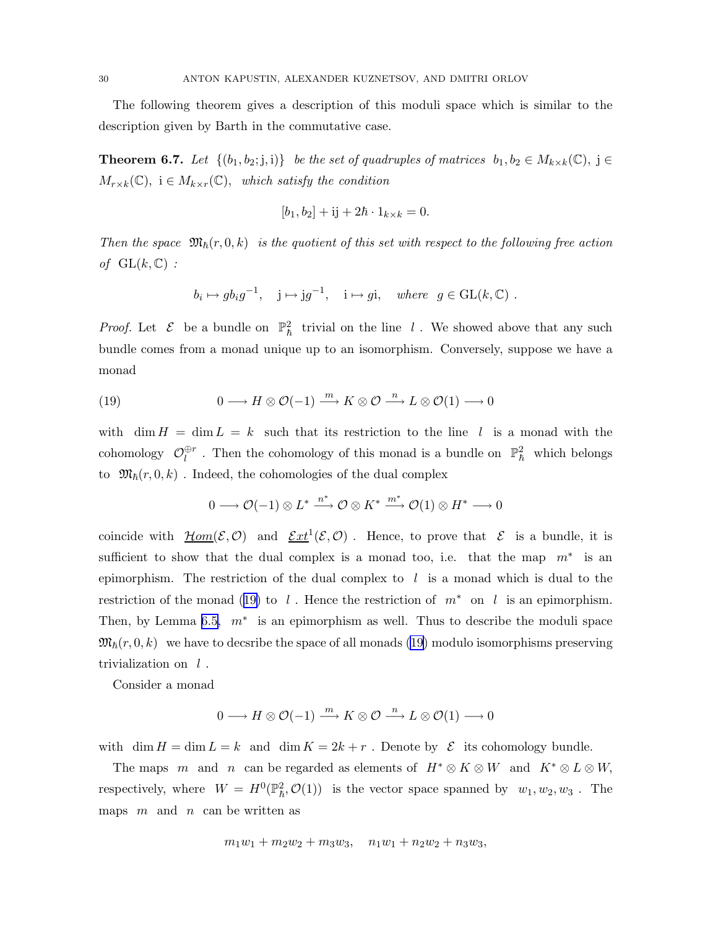The following theorem gives a description of this moduli space which is similar to the description given by Barth in the commutative case.

**Theorem 6.7.** Let  $\{(b_1,b_2; j,i)\}\)$  *be the set of quadruples of matrices*  $b_1, b_2 \in M_{k \times k}(\mathbb{C}), j \in \mathbb{C}$  $M_{r\times k}(\mathbb{C}),$  i  $\in M_{k\times r}(\mathbb{C}),$  which satisfy the condition

$$
[b_1, b_2] + ij + 2\hbar \cdot 1_{k \times k} = 0.
$$

*Then the space*  $\mathfrak{M}_{\hbar}(r, 0, k)$  *is the quotient of this set with respect to the following free action of*  $GL(k, \mathbb{C})$  :

$$
b_i \mapsto g b_i g^{-1}, \quad j \mapsto j g^{-1}, \quad i \mapsto g i, \quad where \quad g \in GL(k, \mathbb{C})
$$
.

*Proof.* Let  $\mathcal{E}$  be a bundle on  $\mathbb{P}^2_{\hbar}$  trivial on the line l. We showed above that any such bundle comes from a monad unique up to an isomorphism. Conversely, suppose we have a monad

(19) 
$$
0 \longrightarrow H \otimes \mathcal{O}(-1) \xrightarrow{m} K \otimes \mathcal{O} \xrightarrow{n} L \otimes \mathcal{O}(1) \longrightarrow 0
$$

with  $\dim H = \dim L = k$  such that its restriction to the line l is a monad with the cohomology  $\mathcal{O}_l^{\oplus r}$ . Then the cohomology of this monad is a bundle on  $\mathbb{P}^2_{\hbar}$  which belongs to  $\mathfrak{M}_{\hbar}(r, 0, k)$ . Indeed, the cohomologies of the dual complex

$$
0\longrightarrow \mathcal{O}(-1)\otimes L^{*}\stackrel{n^{*}}{\longrightarrow} \mathcal{O}\otimes K^{*}\stackrel{m^{*}}{\longrightarrow} \mathcal{O}(1)\otimes H^{*}\longrightarrow 0
$$

coincide with  $\underline{\mathcal{H}om}(\mathcal{E}, \mathcal{O})$  and  $\underline{\mathcal{E}xt}^1(\mathcal{E}, \mathcal{O})$ . Hence, to prove that  $\mathcal E$  is a bundle, it is sufficient to show that the dual complex is a monad too, i.e. that the map  $m^*$  is an epimorphism. The restriction of the dual complex to  $l$  is a monad which is dual to the restriction of the monad (19) to l. Hence the restriction of  $m^*$  on l is an epimorphism. Then, by Lemma [6.5,](#page-27-0)  $m^*$  is an epimorphism as well. Thus to describe the moduli space  $\mathfrak{M}_{\hbar}(r, 0, k)$  we have to decsribe the space of all monads (19) modulo isomorphisms preserving trivialization on  $l$ .

Consider a monad

$$
0 \longrightarrow H \otimes \mathcal{O}(-1) \xrightarrow{m} K \otimes \mathcal{O} \xrightarrow{n} L \otimes \mathcal{O}(1) \longrightarrow 0
$$

with dim  $H = \dim L = k$  and  $\dim K = 2k + r$ . Denote by  $\mathcal E$  its cohomology bundle.

The maps m and n can be regarded as elements of  $H^* \otimes K \otimes W$  and  $K^* \otimes L \otimes W$ , respectively, where  $W = H^0(\mathbb{P}_h^2, \mathcal{O}(1))$  is the vector space spanned by  $w_1, w_2, w_3$ . The maps  $m$  and  $n$  can be written as

$$
m_1w_1 + m_2w_2 + m_3w_3, \quad n_1w_1 + n_2w_2 + n_3w_3,
$$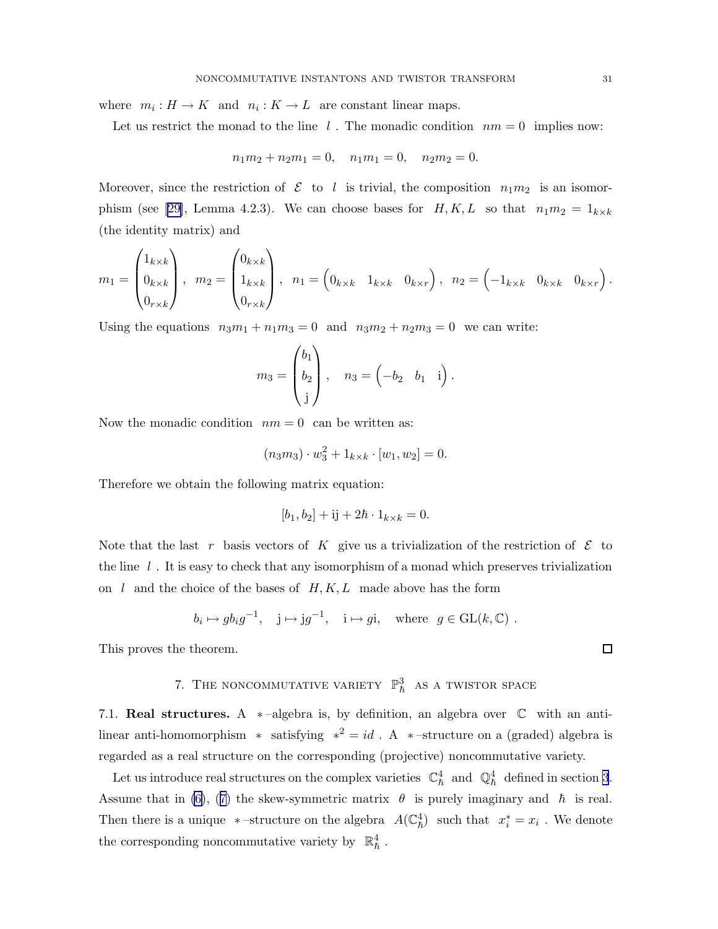<span id="page-31-0"></span>where  $m_i: H \to K$  and  $n_i: K \to L$  are constant linear maps.

Let us restrict the monad to the line l. The monadic condition  $nm = 0$  implies now:

$$
n_1m_2 + n_2m_1 = 0, \quad n_1m_1 = 0, \quad n_2m_2 = 0.
$$

Moreover, since the restriction of  $\mathcal E$  to l is trivial, the composition  $n_1m_2$  is an isomor-phism (see [\[29](#page-55-0)], Lemma 4.2.3). We can choose bases for  $H, K, L$  so that  $n_1m_2 = 1_{k \times k}$ (the identity matrix) and

$$
m_1 = \begin{pmatrix} 1_{k \times k} \\ 0_{k \times k} \\ 0_{r \times k} \end{pmatrix}, \quad m_2 = \begin{pmatrix} 0_{k \times k} \\ 1_{k \times k} \\ 0_{r \times k} \end{pmatrix}, \quad n_1 = \begin{pmatrix} 0_{k \times k} & 1_{k \times k} & 0_{k \times r} \end{pmatrix}, \quad n_2 = \begin{pmatrix} -1_{k \times k} & 0_{k \times k} & 0_{k \times r} \end{pmatrix}.
$$

Using the equations  $n_3m_1 + n_1m_3 = 0$  and  $n_3m_2 + n_2m_3 = 0$  we can write:

$$
m_3 = \begin{pmatrix} b_1 \\ b_2 \\ \vdots \end{pmatrix}, \quad n_3 = \begin{pmatrix} -b_2 & b_1 & \mathrm{i} \end{pmatrix}.
$$

Now the monadic condition  $nm = 0$  can be written as:

$$
(n_3m_3)\cdot w_3^2 + 1_{k \times k} \cdot [w_1, w_2] = 0.
$$

Therefore we obtain the following matrix equation:

$$
[b_1, b_2] + ij + 2\hbar \cdot 1_{k \times k} = 0.
$$

Note that the last r basis vectors of K give us a trivialization of the restriction of  $\mathcal E$  to the line  $l$ . It is easy to check that any isomorphism of a monad which preserves trivialization on l and the choice of the bases of  $H, K, L$  made above has the form

$$
b_i \mapsto g b_i g^{-1}, \quad j \mapsto j g^{-1}, \quad i \mapsto g i, \quad \text{where} \quad g \in \text{GL}(k, \mathbb{C})
$$
.

This proves the theorem.

# 7. THE NONCOMMUTATIVE VARIETY  $\mathbb{P}^3_{\hbar}$  as a twistor space

7.1. Real structures. A ∗-algebra is, by definition, an algebra over  $\mathbb C$  with an antilinear anti-homomorphism \* satisfying  $*^2 = id$ . A \*-structure on a (graded) algebra is regarded as a real structure on the corresponding (projective) noncommutative variety.

Let us introduce real structures on the complex varieties  $\mathbb{C}_{\hbar}^4$  and  $\mathbb{Q}_{\hbar}^4$  defined in section [3](#page-11-0). Assume that in [\(6\)](#page-14-0),([7\)](#page-15-0) the skew-symmetric matrix  $\theta$  is purely imaginary and  $\hbar$  is real. Then there is a unique  $*$ -structure on the algebra  $A(\mathbb{C}_{\hbar}^4)$  such that  $x_i^* = x_i$ . We denote the corresponding noncommutative variety by  $\mathbb{R}^4_b$ .

 $\Box$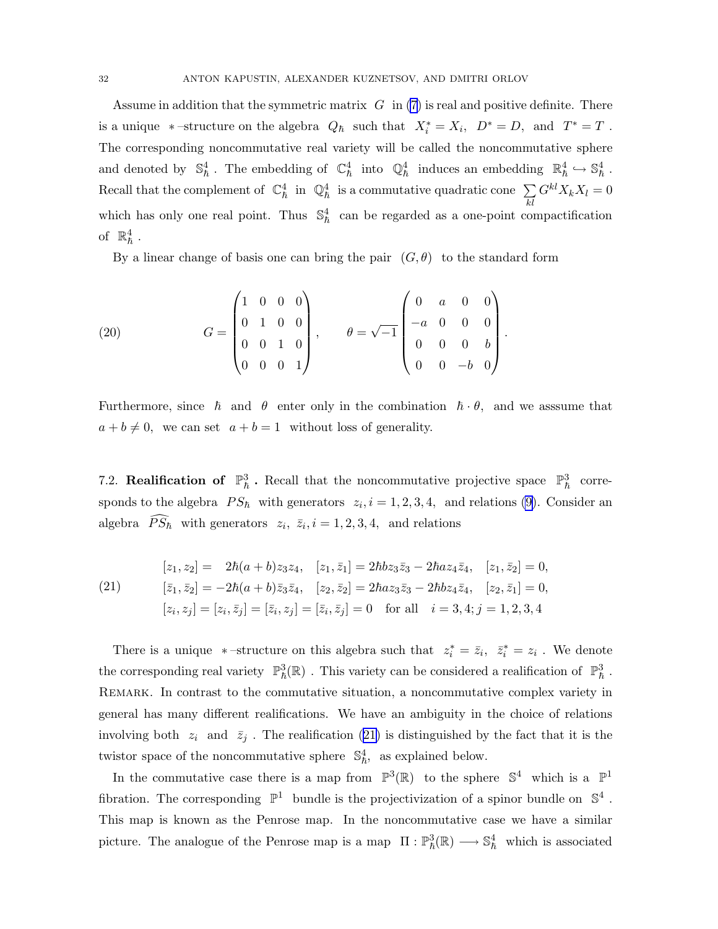Assume in addition that the symmetric matrix  $G$  in [\(7\)](#page-15-0) is real and positive definite. There is a unique  $*$ -structure on the algebra  $Q_{\hbar}$  such that  $X_i^* = X_i$ ,  $D^* = D$ , and  $T^* = T$ . The corresponding noncommutative real variety will be called the noncommutative sphere and denoted by  $\mathbb{S}^4_{\hbar}$ . The embedding of  $\mathbb{C}^4_{\hbar}$  into  $\mathbb{Q}^4_{\hbar}$  induces an embedding  $\mathbb{R}^4_{\hbar} \hookrightarrow \mathbb{S}^4_{\hbar}$ . Recall that the complement of  $\mathbb{C}_{\hbar}^4$  in  $\mathbb{Q}_{\hbar}^4$  is a commutative quadratic cone  $\sum G^{kl}X_kX_l=0$ kl which has only one real point. Thus  $\mathbb{S}^4_{\hbar}$  can be regarded as a one-point compactification of  $\mathbb{R}^4_{\hbar}$  .

By a linear change of basis one can bring the pair  $(G, \theta)$  to the standard form

(20) 
$$
G = \begin{pmatrix} 1 & 0 & 0 & 0 \\ 0 & 1 & 0 & 0 \\ 0 & 0 & 1 & 0 \\ 0 & 0 & 0 & 1 \end{pmatrix}, \qquad \theta = \sqrt{-1} \begin{pmatrix} 0 & a & 0 & 0 \\ -a & 0 & 0 & 0 \\ 0 & 0 & 0 & b \\ 0 & 0 & -b & 0 \end{pmatrix}.
$$

Furthermore, since  $\hbar$  and  $\theta$  enter only in the combination  $\hbar \cdot \theta$ , and we asssume that  $a + b \neq 0$ , we can set  $a + b = 1$  without loss of generality.

7.2. Realification of  $\mathbb{P}^3_{\hbar}$ . Recall that the noncommutative projective space  $\mathbb{P}^3_{\hbar}$  corresponds to the algebra  $PS_{\hbar}$  with generators  $z_i, i = 1, 2, 3, 4$ , and relations [\(9\)](#page-16-0). Consider an algebra  $PS_{\hbar}$  with generators  $z_i$ ,  $\bar{z}_i$ ,  $i = 1, 2, 3, 4$ , and relations

(21) 
$$
[z_1, z_2] = 2\hbar(a+b)z_3z_4, [z_1, \bar{z}_1] = 2\hbar b z_3\bar{z}_3 - 2\hbar a z_4\bar{z}_4, [z_1, \bar{z}_2] = 0,
$$

$$
[\bar{z}_1, \bar{z}_2] = -2\hbar(a+b)\bar{z}_3\bar{z}_4, [z_2, \bar{z}_2] = 2\hbar a z_3\bar{z}_3 - 2\hbar b z_4\bar{z}_4, [z_2, \bar{z}_1] = 0,
$$

$$
[z_i, z_j] = [z_i, \bar{z}_j] = [\bar{z}_i, z_j] = [\bar{z}_i, \bar{z}_j] = 0 \text{ for all } i = 3, 4; j = 1, 2, 3, 4
$$

There is a unique  $*$ -structure on this algebra such that  $z_i^* = \bar{z}_i$ ,  $\bar{z}_i^* = z_i$ . We denote the corresponding real variety  $\mathbb{P}^3_{\hbar}(\mathbb{R})$ . This variety can be considered a realification of  $\mathbb{P}^3_{\hbar}$ . REMARK. In contrast to the commutative situation, a noncommutative complex variety in general has many different realifications. We have an ambiguity in the choice of relations involving both  $z_i$  and  $\bar{z}_j$ . The realification (21) is distinguished by the fact that it is the twistor space of the noncommutative sphere  $\mathbb{S}^4_{\hbar}$ , as explained below.

In the commutative case there is a map from  $\mathbb{P}^3(\mathbb{R})$  to the sphere  $\mathbb{S}^4$  which is a  $\mathbb{P}^1$ fibration. The corresponding  $\mathbb{P}^1$  bundle is the projectivization of a spinor bundle on  $\mathbb{S}^4$ . This map is known as the Penrose map. In the noncommutative case we have a similar picture. The analogue of the Penrose map is a map  $\Pi : \mathbb{P}^3_{\hbar}(\mathbb{R}) \longrightarrow \mathbb{S}^4_{\hbar}$  which is associated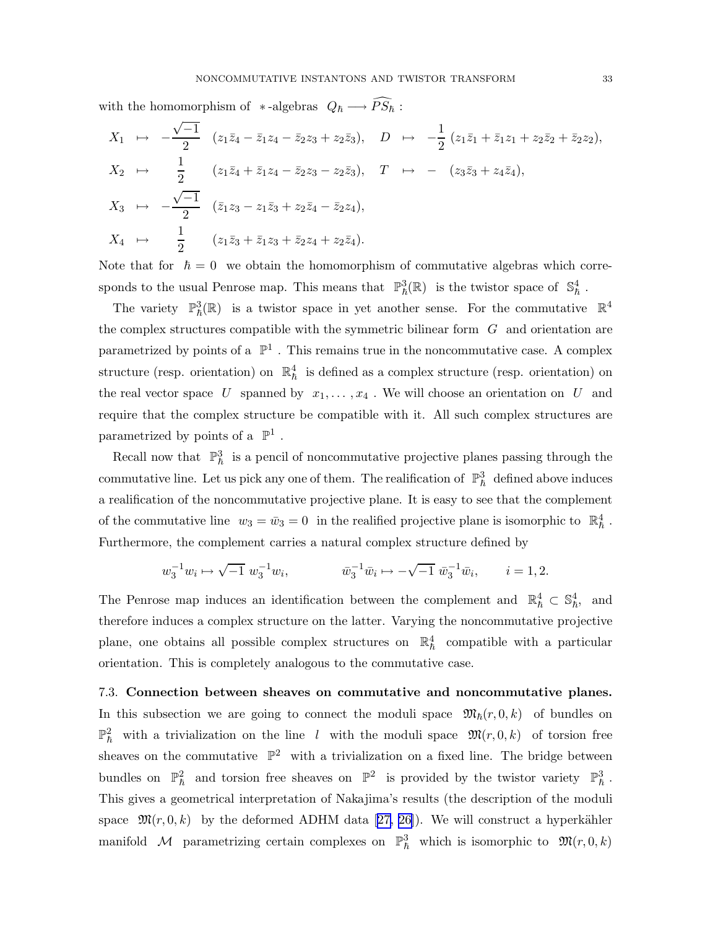with the homomorphism of  $*$ -algebras  $Q_{\hbar} \longrightarrow \widehat{PS}_{\hbar}$ :

$$
X_1 \mapsto -\frac{\sqrt{-1}}{2} \quad (z_1 \bar{z}_4 - \bar{z}_1 z_4 - \bar{z}_2 z_3 + z_2 \bar{z}_3), \quad D \mapsto -\frac{1}{2} \left( z_1 \bar{z}_1 + \bar{z}_1 z_1 + z_2 \bar{z}_2 + \bar{z}_2 z_2 \right),
$$
  
\n
$$
X_2 \mapsto \frac{1}{2} \quad (z_1 \bar{z}_4 + \bar{z}_1 z_4 - \bar{z}_2 z_3 - z_2 \bar{z}_3), \quad T \mapsto - \left( z_3 \bar{z}_3 + z_4 \bar{z}_4 \right),
$$
  
\n
$$
X_3 \mapsto -\frac{\sqrt{-1}}{2} \quad (\bar{z}_1 z_3 - z_1 \bar{z}_3 + z_2 \bar{z}_4 - \bar{z}_2 z_4),
$$
  
\n
$$
X_4 \mapsto \frac{1}{2} \quad (z_1 \bar{z}_3 + \bar{z}_1 z_3 + \bar{z}_2 z_4 + z_2 \bar{z}_4).
$$

Note that for  $\hbar = 0$  we obtain the homomorphism of commutative algebras which corresponds to the usual Penrose map. This means that  $\mathbb{P}^3_{\hbar}(\mathbb{R})$  is the twistor space of  $\mathbb{S}^4_{\hbar}$ .

The variety  $\mathbb{P}^3_{\hbar}(\mathbb{R})$  is a twistor space in yet another sense. For the commutative  $\mathbb{R}^4$ the complex structures compatible with the symmetric bilinear form  $G$  and orientation are parametrized by points of a  $\mathbb{P}^1$ . This remains true in the noncommutative case. A complex structure (resp. orientation) on  $\mathbb{R}^4_{\hbar}$  is defined as a complex structure (resp. orientation) on the real vector space U spanned by  $x_1, \ldots, x_4$ . We will choose an orientation on U and require that the complex structure be compatible with it. All such complex structures are parametrized by points of a  $\mathbb{P}^1$ .

Recall now that  $\mathbb{P}^3_{\hbar}$  is a pencil of noncommutative projective planes passing through the commutative line. Let us pick any one of them. The realification of  $\mathbb{P}^3_{\hbar}$  defined above induces a realification of the noncommutative projective plane. It is easy to see that the complement of the commutative line  $w_3 = \bar{w}_3 = 0$  in the realified projective plane is isomorphic to  $\mathbb{R}^4$ . Furthermore, the complement carries a natural complex structure defined by

$$
w_3^{-1}w_i \mapsto \sqrt{-1} w_3^{-1}w_i
$$
,  $\overline{w}_3^{-1}\overline{w}_i \mapsto -\sqrt{-1} \ \overline{w}_3^{-1}\overline{w}_i$ ,  $i = 1, 2$ .

The Penrose map induces an identification between the complement and  $\mathbb{R}^4_\hbar \subset \mathbb{S}^4_\hbar$ , and therefore induces a complex structure on the latter. Varying the noncommutative projective plane, one obtains all possible complex structures on  $\mathbb{R}^4_\hbar$  compatible with a particular orientation. This is completely analogous to the commutative case.

7.3. Connection between sheaves on commutative and noncommutative planes. In this subsection we are going to connect the moduli space  $\mathfrak{M}_{\hbar}(r, 0, k)$  of bundles on  $\mathbb{P}^2_{\hbar}$  with a trivialization on the line l with the moduli space  $\mathfrak{M}(r,0,k)$  of torsion free sheaves on the commutative  $\mathbb{P}^2$  with a trivialization on a fixed line. The bridge between bundles on  $\mathbb{P}^2_{\hbar}$  and torsion free sheaves on  $\mathbb{P}^2$  is provided by the twistor variety  $\mathbb{P}^3_{\hbar}$ . This gives a geometrical interpretation of Nakajima's results (the description of the moduli space  $\mathfrak{M}(r, 0, k)$  by the deformed ADHM data [\[27, 26\]](#page-55-0)). We will construct a hyperkähler manifold M parametrizing certain complexes on  $\mathbb{P}^3_{\hbar}$  which is isomorphic to  $\mathfrak{M}(r,0,k)$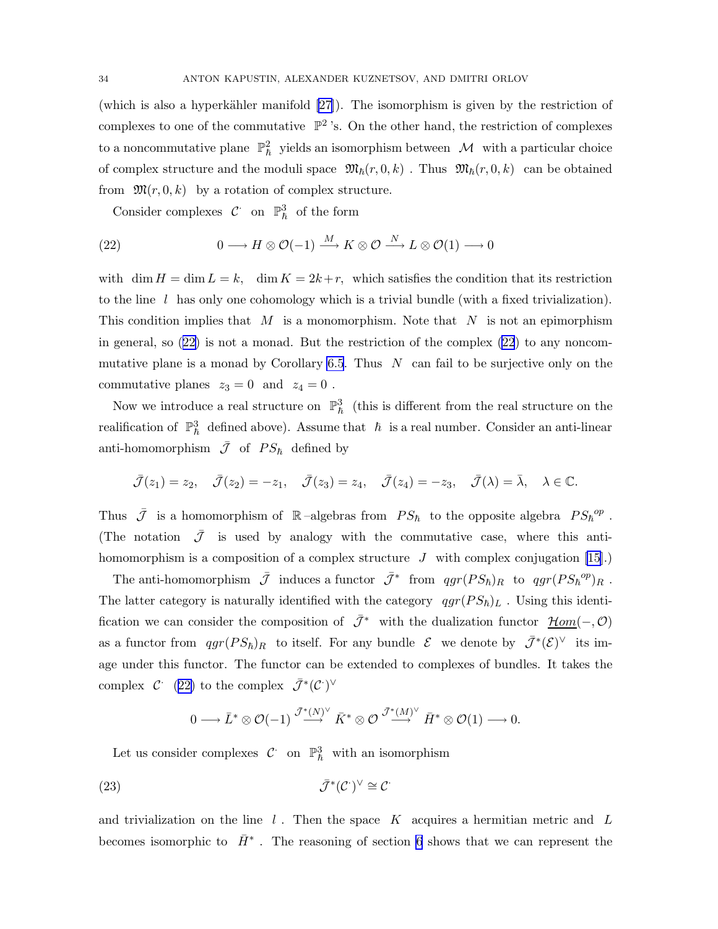<span id="page-34-0"></span>(which is also a hyperkähler manifold  $[27]$ ). The isomorphism is given by the restriction of complexes to one of the commutative  $\mathbb{P}^2$ 's. On the other hand, the restriction of complexes to a noncommutative plane  $\mathbb{P}^2_{\hbar}$  yields an isomorphism between  $\mathcal M$  with a particular choice of complex structure and the moduli space  $\mathfrak{M}_{\hbar}(r, 0, k)$ . Thus  $\mathfrak{M}_{\hbar}(r, 0, k)$  can be obtained from  $\mathfrak{M}(r, 0, k)$  by a rotation of complex structure.

Consider complexes  $\mathcal{C}$  on  $\mathbb{P}^3_{\hbar}$  of the form

(22) 
$$
0 \longrightarrow H \otimes \mathcal{O}(-1) \xrightarrow{M} K \otimes \mathcal{O} \xrightarrow{N} L \otimes \mathcal{O}(1) \longrightarrow 0
$$

with  $\dim H = \dim L = k$ ,  $\dim K = 2k+r$ , which satisfies the condition that its restriction to the line  $l$  has only one cohomology which is a trivial bundle (with a fixed trivialization). This condition implies that  $M$  is a monomorphism. Note that  $N$  is not an epimorphism in general, so (22) is not a monad. But the restriction of the complex (22) to any noncom-mutative plane is a monad by Corollary [6.5](#page-27-0). Thus  $N$  can fail to be surjective only on the commutative planes  $z_3 = 0$  and  $z_4 = 0$ .

Now we introduce a real structure on  $\mathbb{P}^3_{\hbar}$  (this is different from the real structure on the realification of  $\mathbb{P}^3_{\hbar}$  defined above). Assume that  $~\hbar~$  is a real number. Consider an anti-linear anti-homomorphism  $\bar{\mathcal{J}}$  of  $PS_{\hbar}$  defined by

$$
\bar{\mathcal{J}}(z_1) = z_2, \quad \bar{\mathcal{J}}(z_2) = -z_1, \quad \bar{\mathcal{J}}(z_3) = z_4, \quad \bar{\mathcal{J}}(z_4) = -z_3, \quad \bar{\mathcal{J}}(\lambda) = \bar{\lambda}, \quad \lambda \in \mathbb{C}.
$$

Thus  $\bar{\mathcal{J}}$  is a homomorphism of  $\mathbb{R}$ -algebras from  $PS_{\hbar}$  to the opposite algebra  $PS_{\hbar}^{op}$ . (The notation  $\bar{\mathcal{J}}$  is used by analogy with the commutative case, where this antihomomorphism is a composition of a complex structure  $J$  with complex conjugation [\[15](#page-54-0)].)

The anti-homomorphism  $\bar{\mathcal{J}}$  induces a functor  $\bar{\mathcal{J}}^*$  from  $qgr(PS_{\hbar})_R$  to  $qgr(PS_{\hbar}^{op})_R$ . The latter category is naturally identified with the category  $qgr(PS_{\hbar})_L$ . Using this identification we can consider the composition of  $\bar{\mathcal{J}}^*$  with the dualization functor  $\mathcal{H}om(-, \mathcal{O})$ as a functor from  $qgr(PS_{\hbar})_R$  to itself. For any bundle  $\mathcal E$  we denote by  $\bar{\mathcal{J}}^*(\mathcal{E})^{\vee}$  its image under this functor. The functor can be extended to complexes of bundles. It takes the complex  $\mathcal{C}^{\cdot}$  (22) to the complex  $\bar{\mathcal{J}}^{*}(\mathcal{C}^{\cdot})^{\vee}$ 

$$
0 \longrightarrow \bar{L}^* \otimes \mathcal{O}(-1) \stackrel{\bar{\mathcal{J}}^*(N)^\vee}{\longrightarrow} \bar{K}^* \otimes \mathcal{O} \stackrel{\bar{\mathcal{J}}^*(M)^\vee}{\longrightarrow} \bar{H}^* \otimes \mathcal{O}(1) \longrightarrow 0.
$$

Let us consider complexes  $\mathcal{C}$  on  $\mathbb{P}^3_{\hbar}$  with an isomorphism

(23) 
$$
\bar{\mathcal{J}}^*(\mathcal{C})^{\vee} \cong \mathcal{C}
$$

and trivialization on the line  $l$ . Then the space K acquires a hermitian metric and L becomes isomorphic to  $\bar{H}^*$ . The reasoning of section [6](#page-25-0) shows that we can represent the

·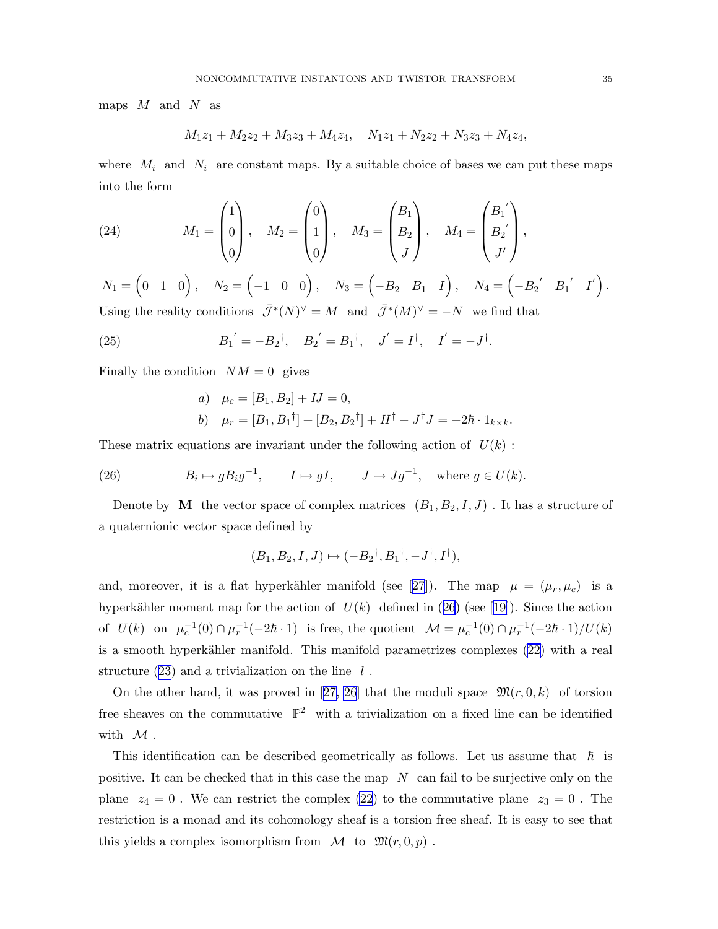<span id="page-35-0"></span>maps  $M$  and  $N$  as

$$
M_1z_1 + M_2z_2 + M_3z_3 + M_4z_4, \quad N_1z_1 + N_2z_2 + N_3z_3 + N_4z_4,
$$

where  $M_i$  and  $N_i$  are constant maps. By a suitable choice of bases we can put these maps into the form

(24) 
$$
M_1 = \begin{pmatrix} 1 \\ 0 \\ 0 \end{pmatrix}, \quad M_2 = \begin{pmatrix} 0 \\ 1 \\ 0 \end{pmatrix}, \quad M_3 = \begin{pmatrix} B_1 \\ B_2 \\ J \end{pmatrix}, \quad M_4 = \begin{pmatrix} B_1' \\ B_2' \\ J' \end{pmatrix},
$$

 $N_1 = \begin{pmatrix} 0 & 1 & 0 \end{pmatrix}, \quad N_2 = \begin{pmatrix} -1 & 0 & 0 \end{pmatrix}, \quad N_3 = \begin{pmatrix} -B_2 & B_1 & I \end{pmatrix}, \quad N_4 = \begin{pmatrix} -B_2 & B_1' & I' \end{pmatrix}.$ Using the reality conditions  $\bar{\mathcal{J}}^*(N)^{\vee} = M$  and  $\bar{\mathcal{J}}^*(M)^{\vee} = -N$  we find that

(25) 
$$
B_1' = -B_2^{\dagger}, \quad B_2' = B_1^{\dagger}, \quad J' = I^{\dagger}, \quad I' = -J^{\dagger}.
$$

Finally the condition  $NM = 0$  gives

a) 
$$
\mu_c = [B_1, B_2] + IJ = 0,
$$
  
\nb)  $\mu_r = [B_1, B_1^{\dagger}] + [B_2, B_2^{\dagger}] + II^{\dagger} - J^{\dagger} J = -2\hbar \cdot 1_{k \times k}.$ 

These matrix equations are invariant under the following action of  $U(k)$ :

(26) 
$$
B_i \mapsto g B_i g^{-1}, \qquad I \mapsto g I, \qquad J \mapsto J g^{-1}, \quad \text{where } g \in U(k).
$$

Denote by M the vector space of complex matrices  $(B_1, B_2, I, J)$ . It has a structure of a quaternionic vector space defined by

$$
(B_1, B_2, I, J) \mapsto (-B_2^{\dagger}, B_1^{\dagger}, -J^{\dagger}, I^{\dagger}),
$$

and,moreover, it is a flat hyperkähler manifold (see [[27](#page-55-0)]). The map  $\mu = (\mu_r, \mu_c)$  is a hyperkählermoment map for the action of  $U(k)$  defined in (26) (see [[19\]](#page-54-0)). Since the action of  $U(k)$  on  $\mu_c^{-1}(0) \cap \mu_r^{-1}(-2\hbar \cdot 1)$  is free, the quotient  $\mathcal{M} = \mu_c^{-1}(0) \cap \mu_r^{-1}(-2\hbar \cdot 1)/U(k)$ is a smooth hyperkähler manifold. This manifold parametrizes complexes  $(22)$  with a real structure  $(23)$  and a trivialization on the line  $l$ .

Onthe other hand, it was proved in [[27, 26](#page-55-0)] that the moduli space  $\mathfrak{M}(r,0,k)$  of torsion free sheaves on the commutative  $\mathbb{P}^2$  with a trivialization on a fixed line can be identified with  $\mathcal M$ .

This identification can be described geometrically as follows. Let us assume that  $\hbar$  is positive. It can be checked that in this case the map  $N$  can fail to be surjective only on the plane  $z_4 = 0$ . We can restrict the complex [\(22\)](#page-34-0) to the commutative plane  $z_3 = 0$ . The restriction is a monad and its cohomology sheaf is a torsion free sheaf. It is easy to see that this yields a complex isomorphism from  $\mathcal M$  to  $\mathfrak M(r,0,p)$ .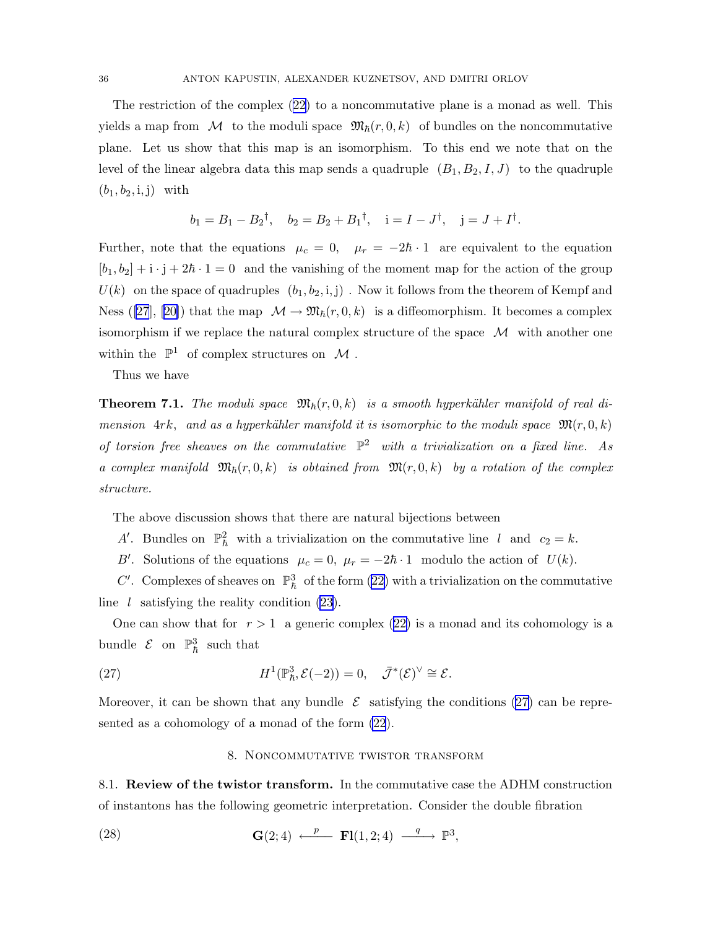<span id="page-36-0"></span>The restriction of the complex [\(22\)](#page-34-0) to a noncommutative plane is a monad as well. This yields a map from M to the moduli space  $\mathfrak{M}_{\hbar}(r, 0, k)$  of bundles on the noncommutative plane. Let us show that this map is an isomorphism. To this end we note that on the level of the linear algebra data this map sends a quadruple  $(B_1, B_2, I, J)$  to the quadruple  $(b_1, b_2, \mathbf{i}, \mathbf{j})$  with

$$
b_1 = B_1 - B_2^{\dagger}, \quad b_2 = B_2 + B_1^{\dagger}, \quad i = I - J^{\dagger}, \quad j = J + I^{\dagger}.
$$

Further, note that the equations  $\mu_c = 0$ ,  $\mu_r = -2\hbar \cdot 1$  are equivalent to the equation  $[b_1,b_2] + i \cdot j + 2\hbar \cdot 1 = 0$  and the vanishing of the moment map for the action of the group  $U(k)$  on the space of quadruples  $(b_1, b_2, \mathbf{i}, \mathbf{j})$ . Now it follows from the theorem of Kempf and Ness([\[27](#page-55-0)], [[20\]](#page-54-0)) that the map  $\mathcal{M} \to \mathfrak{M}_{\hbar}(r, 0, k)$  is a diffeomorphism. It becomes a complex isomorphism if we replace the natural complex structure of the space  $\mathcal M$  with another one within the  $\mathbb{P}^1$  of complex structures on  $\mathcal M$ .

Thus we have

**Theorem 7.1.** *The moduli space*  $\mathfrak{M}_{h}(r, 0, k)$  *is a smooth hyperkähler manifold of real dimension*  $4rk$ , and as a hyperkähler manifold it is isomorphic to the moduli space  $\mathfrak{M}(r,0,k)$ *of torsion free sheaves on the commutative*  $\mathbb{P}^2$  *with a trivialization on a fixed line. As a complex manifold*  $\mathfrak{M}_{\hbar}(r, 0, k)$  *is obtained from*  $\mathfrak{M}(r, 0, k)$  *by a rotation of the complex structure.*

The above discussion shows that there are natural bijections between

- A'. Bundles on  $\mathbb{P}^2_{\hbar}$  with a trivialization on the commutative line l and  $c_2 = k$ .
- B'. Solutions of the equations  $\mu_c = 0$ ,  $\mu_r = -2\hbar \cdot 1$  modulo the action of  $U(k)$ .

C'.Complexes of sheaves on  $\mathbb{P}^3_{\hbar}$  of the form ([22\)](#page-34-0) with a trivialization on the commutative line  $l$  satisfying the reality condition  $(23)$ .

Onecan show that for  $r > 1$  a generic complex ([22\)](#page-34-0) is a monad and its cohomology is a bundle  $\mathcal{E}$  on  $\mathbb{P}^3_{\hbar}$  such that

(27) 
$$
H^1(\mathbb{P}_\hbar^3, \mathcal{E}(-2)) = 0, \quad \bar{\mathcal{J}}^*(\mathcal{E})^\vee \cong \mathcal{E}.
$$

Moreover, it can be shown that any bundle  $\mathcal E$  satisfying the conditions (27) can be represented as a cohomology of a monad of the form [\(22](#page-34-0)).

## 8. Noncommutative twistor transform

8.1. Review of the twistor transform. In the commutative case the ADHM construction of instantons has the following geometric interpretation. Consider the double fibration

(28) 
$$
\mathbf{G}(2; 4) \leftarrow^p \mathbf{Fl}(1, 2; 4) \stackrel{q}{\longrightarrow} \mathbb{P}^3,
$$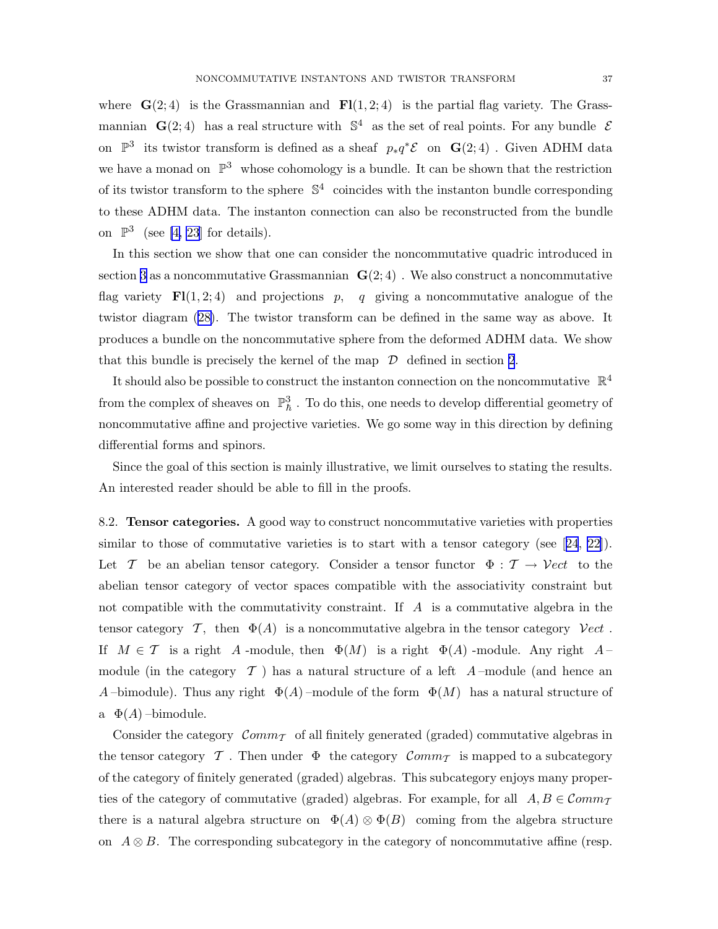where  $\mathbf{G}(2,4)$  is the Grassmannian and  $\mathbf{F1}(1,2,4)$  is the partial flag variety. The Grassmannian  $\mathbf{G}(2,4)$  has a real structure with  $\mathbb{S}^4$  as the set of real points. For any bundle  $\mathcal E$ on  $\mathbb{P}^3$  its twistor transform is defined as a sheaf  $p_*q^*\mathcal{E}$  on  $\mathbf{G}(2,4)$ . Given ADHM data we have a monad on  $\mathbb{P}^3$  whose cohomology is a bundle. It can be shown that the restriction of its twistor transform to the sphere  $\mathbb{S}^4$  coincides with the instanton bundle corresponding to these ADHM data. The instanton connection can also be reconstructed from the bundle on  $\mathbb{P}^3$  (see [\[4,](#page-54-0) [23](#page-55-0)] for details).

In this section we show that one can consider the noncommutative quadric introduced in section [3](#page-11-0) as a noncommutative Grassmannian  $\mathbf{G}(2,4)$ . We also construct a noncommutative flag variety  $\mathbf{F1}(1, 2; 4)$  and projections p, q giving a noncommutative analogue of the twistor diagram([28\)](#page-36-0). The twistor transform can be defined in the same way as above. It produces a bundle on the noncommutative sphere from the deformed ADHM data. We show that this bundle is precisely the kernel of the map  $\mathcal D$  defined in section [2](#page-6-0).

It should also be possible to construct the instanton connection on the noncommutative  $\mathbb{R}^4$ from the complex of sheaves on  $\mathbb{P}^3_{\hbar}$ . To do this, one needs to develop differential geometry of noncommutative affine and projective varieties. We go some way in this direction by defining differential forms and spinors.

Since the goal of this section is mainly illustrative, we limit ourselves to stating the results. An interested reader should be able to fill in the proofs.

8.2. Tensor categories. A good way to construct noncommutative varieties with properties similarto those of commutative varieties is to start with a tensor category (see [[24](#page-55-0), [22](#page-55-0)]). Let T be an abelian tensor category. Consider a tensor functor  $\Phi : \mathcal{T} \to \mathcal{V}ect$  to the abelian tensor category of vector spaces compatible with the associativity constraint but not compatible with the commutativity constraint. If  $A$  is a commutative algebra in the tensor category  $\mathcal{T}$ , then  $\Phi(A)$  is a noncommutative algebra in the tensor category  $\mathcal{V}ect$ . If  $M \in \mathcal{T}$  is a right A -module, then  $\Phi(M)$  is a right  $\Phi(A)$  -module. Any right Amodule (in the category  $\mathcal T$ ) has a natural structure of a left  $A$ -module (and hence an A –bimodule). Thus any right  $\Phi(A)$  –module of the form  $\Phi(M)$  has a natural structure of a  $\Phi(A)$ -bimodule.

Consider the category  $\mathcal{C}omm_{\mathcal{T}}$  of all finitely generated (graded) commutative algebras in the tensor category  $\mathcal T$ . Then under  $\Phi$  the category  $\mathcal Comm_{\mathcal T}$  is mapped to a subcategory of the category of finitely generated (graded) algebras. This subcategory enjoys many properties of the category of commutative (graded) algebras. For example, for all  $A, B \in \mathcal{Comm}_{\mathcal{T}}$ there is a natural algebra structure on  $\Phi(A) \otimes \Phi(B)$  coming from the algebra structure on  $A \otimes B$ . The corresponding subcategory in the category of noncommutative affine (resp.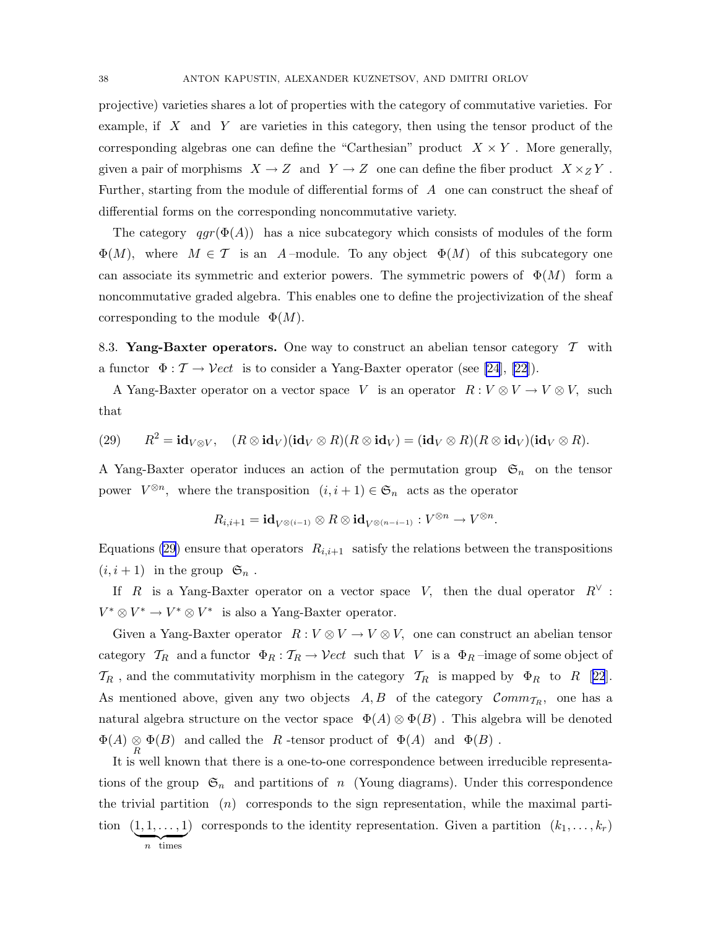projective) varieties shares a lot of properties with the category of commutative varieties. For example, if  $X$  and  $Y$  are varieties in this category, then using the tensor product of the corresponding algebras one can define the "Carthesian" product  $X \times Y$ . More generally, given a pair of morphisms  $X \to Z$  and  $Y \to Z$  one can define the fiber product  $X \times_Z Y$ . Further, starting from the module of differential forms of A one can construct the sheaf of differential forms on the corresponding noncommutative variety.

The category  $qqr(\Phi(A))$  has a nice subcategory which consists of modules of the form  $\Phi(M)$ , where  $M \in \mathcal{T}$  is an A-module. To any object  $\Phi(M)$  of this subcategory one can associate its symmetric and exterior powers. The symmetric powers of  $\Phi(M)$  form a noncommutative graded algebra. This enables one to define the projectivization of the sheaf corresponding to the module  $\Phi(M)$ .

8.3. Yang-Baxter operators. One way to construct an abelian tensor category  $\mathcal T$  with afunctor  $\Phi : \mathcal{T} \to \mathcal{V}ect$  is to consider a Yang-Baxter operator (see [\[24](#page-55-0)], [[22\]](#page-55-0)).

A Yang-Baxter operator on a vector space V is an operator  $R: V \otimes V \to V \otimes V$ , such that

(29) 
$$
R^2 = id_{V \otimes V}
$$
,  $(R \otimes id_V)(id_V \otimes R)(R \otimes id_V) = (id_V \otimes R)(R \otimes id_V)(id_V \otimes R)$ .

A Yang-Baxter operator induces an action of the permutation group  $\mathfrak{S}_n$  on the tensor power  $V^{\otimes n}$ , where the transposition  $(i, i + 1) \in \mathfrak{S}_n$  acts as the operator

$$
R_{i,i+1} = \mathrm{id}_{V^{\otimes (i-1)}} \otimes R \otimes \mathrm{id}_{V^{\otimes (n-i-1)}} : V^{\otimes n} \to V^{\otimes n}.
$$

Equations (29) ensure that operators  $R_{i,i+1}$  satisfy the relations between the transpositions  $(i, i + 1)$  in the group  $\mathfrak{S}_n$ .

If R is a Yang-Baxter operator on a vector space V, then the dual operator  $R^{\vee}$ :  $V^* \otimes V^* \to V^* \otimes V^*$  is also a Yang-Baxter operator.

Given a Yang-Baxter operator  $R: V \otimes V \to V \otimes V$ , one can construct an abelian tensor category  $\mathcal{T}_R$  and a functor  $\Phi_R : \mathcal{T}_R \to \mathcal{V}ect$  such that V is a  $\Phi_R$ -image of some object of  $\mathcal{T}_R$ , and the commutativity morphism in the category  $\mathcal{T}_R$  is mapped by  $\Phi_R$  to R [[22](#page-55-0)]. As mentioned above, given any two objects  $A, B$  of the category  $\mathcal{C}omm_{T_R}$ , one has a natural algebra structure on the vector space  $\Phi(A) \otimes \Phi(B)$ . This algebra will be denoted  $\Phi(A) \underset{R}{\otimes} \Phi(B)$  and called the R -tensor product of  $\Phi(A)$  and  $\Phi(B)$ .

It is well known that there is a one-to-one correspondence between irreducible representations of the group  $\mathfrak{S}_n$  and partitions of n (Young diagrams). Under this correspondence the trivial partition  $(n)$  corresponds to the sign representation, while the maximal partition  $(1, 1, \ldots, 1)$  corresponds to the identity representation. Given a partition  $(k_1, \ldots, k_r)$ 

 $\overbrace{n}$  times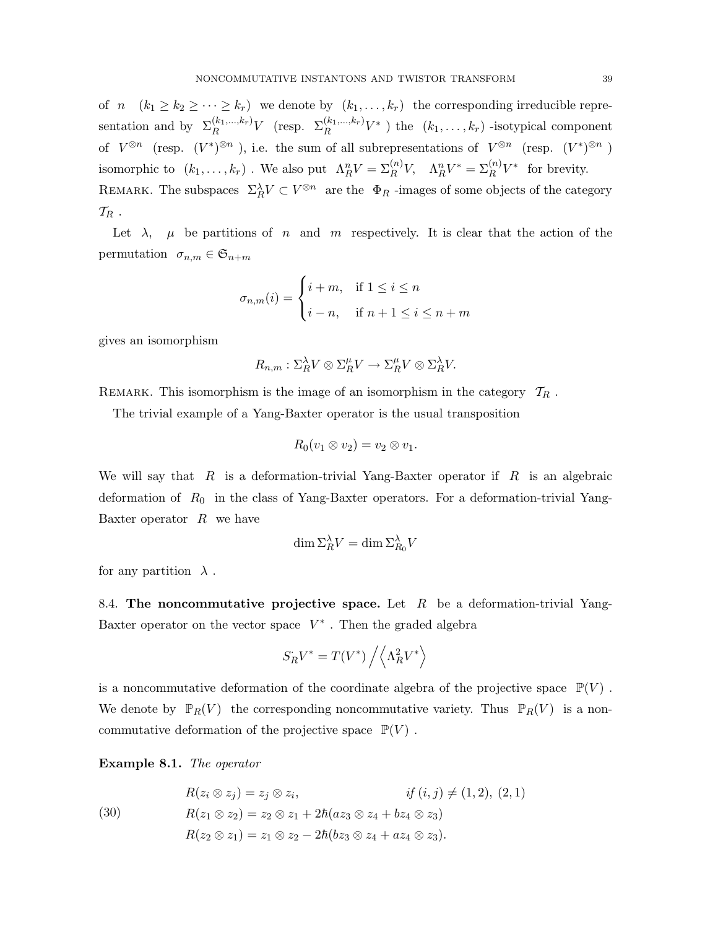<span id="page-39-0"></span>of  $n \quad (k_1 \geq k_2 \geq \cdots \geq k_r)$  we denote by  $(k_1,\ldots,k_r)$  the corresponding irreducible representation and by  $\Sigma_R^{(k_1,\ldots,k_r)}V$  (resp.  $\Sigma_R^{(k_1,\ldots,k_r)}V^*$ ) the  $(k_1,\ldots,k_r)$ -isotypical component of  $V^{\otimes n}$  (resp.  $(V^*)^{\otimes n}$ ), i.e. the sum of all subrepresentations of  $V^{\otimes n}$  (resp.  $(V^*)^{\otimes n}$ ) isomorphic to  $(k_1, \ldots, k_r)$ . We also put  $\Lambda_R^n V = \Sigma_R^{(n)} V$ ,  $\Lambda_R^n V^* = \Sigma_R^{(n)} V^*$  for brevity. REMARK. The subspaces  $\Sigma_R^{\lambda} V \subset V^{\otimes n}$  are the  $\Phi_R$  -images of some objects of the category  $\mathcal{T}_R$  .

Let  $\lambda$ ,  $\mu$  be partitions of n and m respectively. It is clear that the action of the permutation  $\sigma_{n,m} \in \mathfrak{S}_{n+m}$ 

$$
\sigma_{n,m}(i) = \begin{cases} i+m, & \text{if } 1 \le i \le n \\ i-n, & \text{if } n+1 \le i \le n+m \end{cases}
$$

gives an isomorphism

$$
R_{n,m}: \Sigma_R^{\lambda} V \otimes \Sigma_R^{\mu} V \to \Sigma_R^{\mu} V \otimes \Sigma_R^{\lambda} V.
$$

REMARK. This isomorphism is the image of an isomorphism in the category  $\mathcal{T}_R$ .

The trivial example of a Yang-Baxter operator is the usual transposition

$$
R_0(v_1\otimes v_2)=v_2\otimes v_1.
$$

We will say that  $R$  is a deformation-trivial Yang-Baxter operator if  $R$  is an algebraic deformation of  $R_0$  in the class of Yang-Baxter operators. For a deformation-trivial Yang-Baxter operator  $R$  we have

$$
\dim \Sigma_R^{\lambda} V = \dim \Sigma_{R_0}^{\lambda} V
$$

for any partition  $\lambda$ .

8.4. The noncommutative projective space. Let  $R$  be a deformation-trivial Yang-Baxter operator on the vector space  $V^*$ . Then the graded algebra

$$
S_R V^* = T(V^*) / \langle \Lambda_R^2 V^* \rangle
$$

is a noncommutative deformation of the coordinate algebra of the projective space  $\mathbb{P}(V)$ . We denote by  $\mathbb{P}_R(V)$  the corresponding noncommutative variety. Thus  $\mathbb{P}_R(V)$  is a noncommutative deformation of the projective space  $\mathbb{P}(V)$ .

Example 8.1. *The operator*

(30) 
$$
R(z_i \otimes z_j) = z_j \otimes z_i, \qquad \text{if } (i, j) \neq (1, 2), (2, 1) R(z_1 \otimes z_2) = z_2 \otimes z_1 + 2\hbar(az_3 \otimes z_4 + bz_4 \otimes z_3) R(z_2 \otimes z_1) = z_1 \otimes z_2 - 2\hbar(bz_3 \otimes z_4 + az_4 \otimes z_3).
$$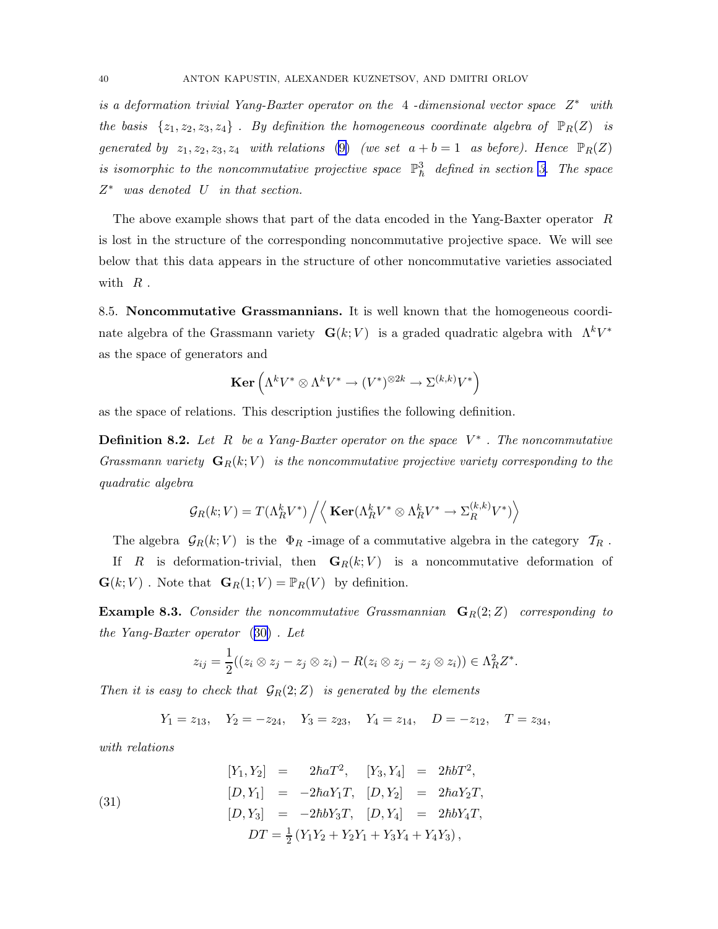<span id="page-40-0"></span>*is a deformation trivial Yang-Baxter operator on the* 4 *-dimensional vector space* Z ∗ *with the basis*  $\{z_1, z_2, z_3, z_4\}$ . By definition the homogeneous coordinate algebra of  $\mathbb{P}_R(Z)$  *is generated by*  $z_1, z_2, z_3, z_4$  *with relations* [\(9\)](#page-16-0) *(we set*  $a + b = 1$  *as before). Hence*  $\mathbb{P}_R(Z)$ *is isomorphic to the noncommutative projective space*  $\mathbb{P}^3_{\hbar}$  defined in section [3.](#page-11-0) The space Z ∗ *was denoted* U *in that section.*

The above example shows that part of the data encoded in the Yang-Baxter operator R is lost in the structure of the corresponding noncommutative projective space. We will see below that this data appears in the structure of other noncommutative varieties associated with  $R$ .

8.5. Noncommutative Grassmannians. It is well known that the homogeneous coordinate algebra of the Grassmann variety  $\mathbf{G}(k;V)$  is a graded quadratic algebra with  $\Lambda^k V^*$ as the space of generators and

$$
\operatorname{{\bf Ker}}\Big(\Lambda^kV^*\otimes\Lambda^kV^*\to(V^*)^{\otimes 2k}\to\Sigma^{(k,k)}V^*\Big)
$$

as the space of relations. This description justifies the following definition.

Definition 8.2. *Let* R *be a Yang-Baxter operator on the space* V ∗ *. The noncommutative Grassmann variety*  $\mathbf{G}_R(k; V)$  *is the noncommutative projective variety corresponding to the quadratic algebra*

$$
\mathcal{G}_R(k;V) = T(\Lambda_R^k V^*) / \langle \mathbf{Ker}(\Lambda_R^k V^* \otimes \Lambda_R^k V^* \to \Sigma_R^{(k,k)} V^* ) \rangle
$$

The algebra  $\mathcal{G}_R(k; V)$  is the  $\Phi_R$ -image of a commutative algebra in the category  $\mathcal{T}_R$ . If R is deformation-trivial, then  $\mathbf{G}_R(k; V)$  is a noncommutative deformation of  $\mathbf{G}(k; V)$ . Note that  $\mathbf{G}_R(1; V) = \mathbb{P}_R(V)$  by definition.

**Example 8.3.** Consider the noncommutative Grassmannian  $\mathbf{G}_R(2;Z)$  corresponding to *the Yang-Baxter operator* ([30\)](#page-39-0) *. Let*

$$
z_{ij} = \frac{1}{2}((z_i \otimes z_j - z_j \otimes z_i) - R(z_i \otimes z_j - z_j \otimes z_i)) \in \Lambda_R^2 Z^*.
$$

*Then it is easy to check that*  $\mathcal{G}_R(2;Z)$  *is generated by the elements* 

 $Y_1 = z_{13}$ ,  $Y_2 = -z_{24}$ ,  $Y_3 = z_{23}$ ,  $Y_4 = z_{14}$ ,  $D = -z_{12}$ ,  $T = z_{34}$ ,

*with relations*

(31)  
\n
$$
[Y_1, Y_2] = 2\hbar a T^2, [Y_3, Y_4] = 2\hbar b T^2,
$$
\n
$$
[D, Y_1] = -2\hbar a Y_1 T, [D, Y_2] = 2\hbar a Y_2 T,
$$
\n
$$
[D, Y_3] = -2\hbar b Y_3 T, [D, Y_4] = 2\hbar b Y_4 T,
$$
\n
$$
DT = \frac{1}{2} (Y_1 Y_2 + Y_2 Y_1 + Y_3 Y_4 + Y_4 Y_3),
$$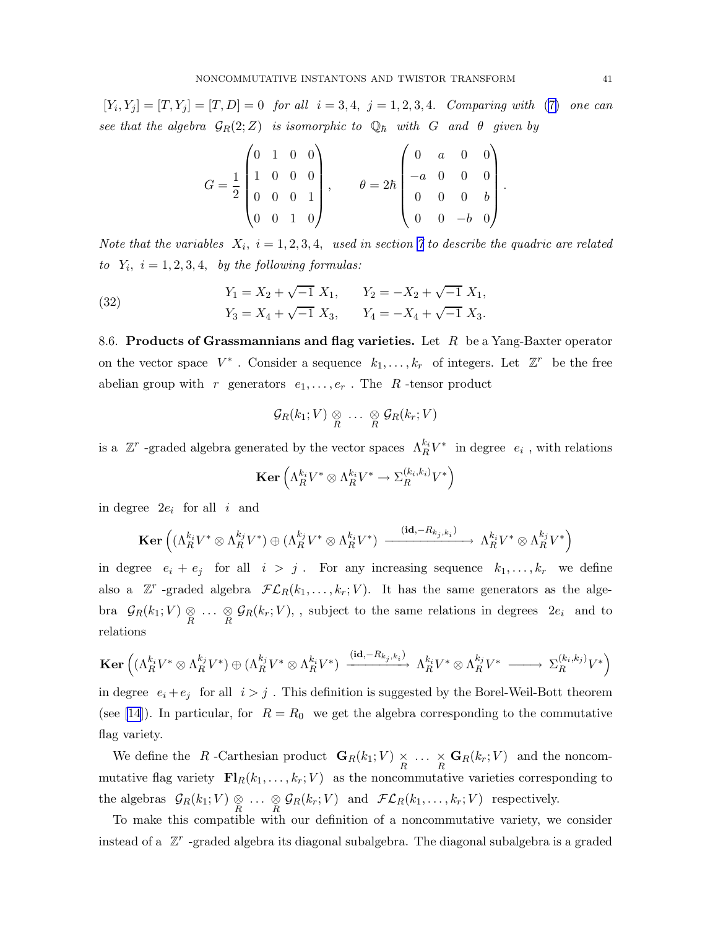$[Y_i, Y_j] = [T, Y_j] = [T, D] = 0$  *for all*  $i = 3, 4, j = 1, 2, 3, 4$ . *Comparing with* [\(7\)](#page-15-0) *one can see that the algebra*  $\mathcal{G}_R(2;Z)$  *is isomorphic to*  $\mathbb{Q}_\hbar$  *with* G *and*  $\theta$  *given by* 

$$
G = \frac{1}{2} \begin{pmatrix} 0 & 1 & 0 & 0 \\ 1 & 0 & 0 & 0 \\ 0 & 0 & 0 & 1 \\ 0 & 0 & 1 & 0 \end{pmatrix}, \qquad \theta = 2\hbar \begin{pmatrix} 0 & a & 0 & 0 \\ -a & 0 & 0 & 0 \\ 0 & 0 & 0 & b \\ 0 & 0 & -b & 0 \end{pmatrix}.
$$

*Note that the variables*  $X_i$ ,  $i = 1, 2, 3, 4$ , *used in section*  $\gamma$  to describe the quadric are related  $to Y_i$ ,  $i = 1, 2, 3, 4$ , *by the following formulas:* 

(32) 
$$
Y_1 = X_2 + \sqrt{-1} X_1, \qquad Y_2 = -X_2 + \sqrt{-1} X_1,
$$

$$
Y_3 = X_4 + \sqrt{-1} X_3, \qquad Y_4 = -X_4 + \sqrt{-1} X_3.
$$

8.6. Products of Grassmannians and flag varieties. Let  $R$  be a Yang-Baxter operator on the vector space  $V^*$ . Consider a sequence  $k_1,\ldots,k_r$  of integers. Let  $\mathbb{Z}^r$  be the free abelian group with r generators  $e_1, \ldots, e_r$ . The R -tensor product

$$
\mathcal{G}_R(k_1; V) \underset{R}{\otimes} \ \ldots \ \underset{R}{\otimes} \ \mathcal{G}_R(k_r; V)
$$

is a  $\mathbb{Z}^r$  -graded algebra generated by the vector spaces  $\Lambda_R^{k_i} V^*$  in degree  $e_i$ , with relations

$$
\operatorname{Ker}\left(\Lambda_R^{k_i} V^* \otimes \Lambda_R^{k_i} V^* \to \Sigma_R^{(k_i,k_i)} V^*\right)
$$

in degree  $2e_i$  for all i and

$$
\textbf{Ker}\left((\Lambda_R^{k_i}V^*\otimes\Lambda_R^{k_j}V^*)\oplus(\Lambda_R^{k_j}V^*\otimes\Lambda_R^{k_i}V^*)\xrightarrow{\phantom{a}( \textbf{id},-R_{k_j,k_i})}\Lambda_R^{k_i}V^*\otimes\Lambda_R^{k_j}V^*\right)
$$

in degree  $e_i + e_j$  for all  $i > j$ . For any increasing sequence  $k_1, \ldots, k_r$  we define also a  $\mathbb{Z}^r$  -graded algebra  $\mathcal{FL}_R(k_1,\ldots,k_r;V)$ . It has the same generators as the algebra  $\mathcal{G}_R(k_1; V) \underset{R}{\otimes} \ldots \underset{R}{\otimes} \mathcal{G}_R(k_r; V)$ , subject to the same relations in degrees  $2e_i$  and to relations

$$
\textbf{Ker}\left((\Lambda_R^{k_i}V^*\otimes\Lambda_R^{k_j}V^*)\oplus(\Lambda_R^{k_j}V^*\otimes\Lambda_R^{k_i}V^*)\xrightarrow{\;(\textbf{id},-R_{k_j,k_i})\;} \Lambda_R^{k_i}V^*\otimes\Lambda_R^{k_j}V^*\xrightarrow{\;\;}\Sigma_R^{(k_i,k_j)}V^*\right)
$$

in degree  $e_i + e_j$  for all  $i > j$ . This definition is suggested by the Borel-Weil-Bott theorem (see [\[14\]](#page-54-0)). In particular, for  $R = R_0$  we get the algebra corresponding to the commutative flag variety.

We define the R-Carthesian product  $\mathbf{G}_R(k_1; V) \times ... \times \mathbf{G}_R(k_r; V)$  and the noncommutative flag variety  $\mathbf{Fl}_R(k_1,\ldots,k_r; V)$  as the noncommutative varieties corresponding to the algebras  $\mathcal{G}_R(k_1; V) \underset{R}{\otimes} \ldots \underset{R}{\otimes} \mathcal{G}_R(k_r; V)$  and  $\mathcal{FL}_R(k_1, \ldots, k_r; V)$  respectively.

To make this compatible with our definition of a noncommutative variety, we consider instead of a  $\mathbb{Z}^r$  -graded algebra its diagonal subalgebra. The diagonal subalgebra is a graded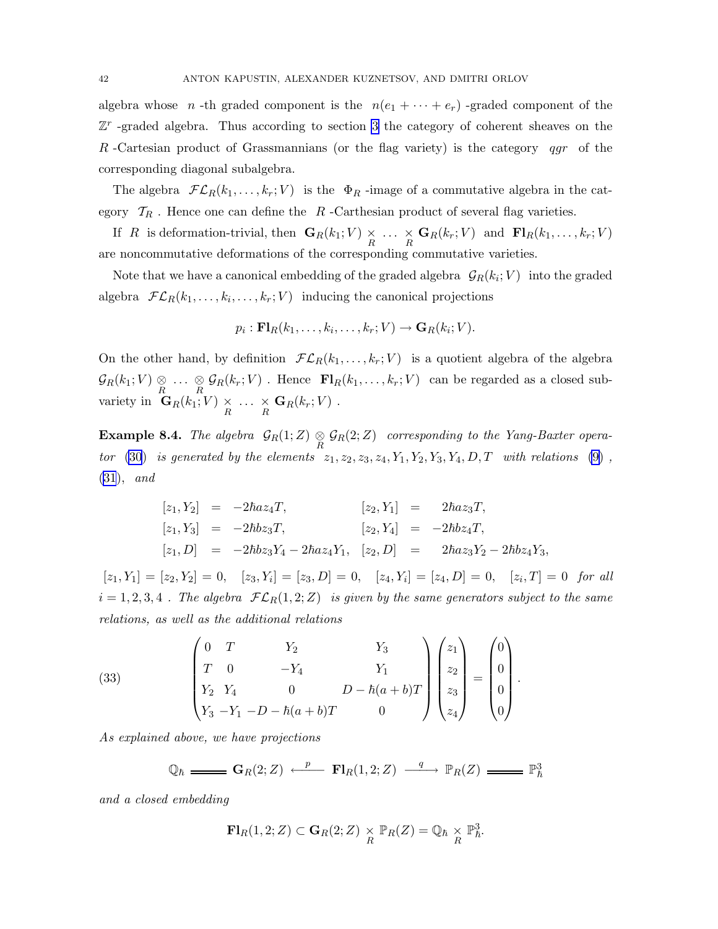algebra whose *n* -th graded component is the  $n(e_1 + \cdots + e_r)$  -graded component of the  $\mathbb{Z}^r$  -graded algebra. Thus according to section [3](#page-11-0) the category of coherent sheaves on the R -Cartesian product of Grassmannians (or the flag variety) is the category  $qgr$  of the corresponding diagonal subalgebra.

The algebra  $\mathcal{FL}_R(k_1,\ldots,k_r;V)$  is the  $\Phi_R$ -image of a commutative algebra in the category  $\mathcal{T}_R$ . Hence one can define the  $R$ -Carthesian product of several flag varieties.

If R is deformation-trivial, then  $\mathbf{G}_R(k_1; V) \times ... \times \mathbf{G}_R(k_r; V)$  and  $\mathbf{Fl}_R(k_1, ..., k_r; V)$ are noncommutative deformations of the corresponding commutative varieties.

Note that we have a canonical embedding of the graded algebra  $\mathcal{G}_R(k_i; V)$  into the graded algebra  $\mathcal{FL}_R(k_1,\ldots,k_i,\ldots,k_r;V)$  inducing the canonical projections

$$
p_i: \mathbf{Fl}_R(k_1,\ldots,k_i,\ldots,k_r;V)\to \mathbf{G}_R(k_i;V).
$$

On the other hand, by definition  $\mathcal{FL}_R(k_1,\ldots,k_r;V)$  is a quotient algebra of the algebra  $\mathcal{G}_R(k_1; V) \underset{R}{\otimes} \ldots \underset{R}{\otimes} \mathcal{G}_R(k_r; V)$ . Hence  $\mathbf{Fl}_R(k_1, \ldots, k_r; V)$  can be regarded as a closed subvariety in  $\mathbf{G}_R(k_1; V) \underset{R}{\times} \dots \underset{R}{\times} \mathbf{G}_R(k_r; V)$ .

**Example 8.4.** The algebra  $\mathcal{G}_R(1;Z) \underset{R}{\otimes} \mathcal{G}_R(2;Z)$  corresponding to the Yang-Baxter opera*tor* [\(30](#page-39-0)) *is generated by the elements*  $z_1, z_2, z_3, z_4, Y_1, Y_2, Y_3, Y_4, D, T$  *with relations* [\(9\)](#page-16-0), [\(31](#page-40-0)), *and*

$$
[z_1, Y_2] = -2\hbar az_4T, \t [z_2, Y_1] = 2\hbar az_3T, \n[z_1, Y_3] = -2\hbar bz_3T, \t [z_2, Y_4] = -2\hbar bz_4T, \n[z_1, D] = -2\hbar bz_3Y_4 - 2\hbar az_4Y_1, [z_2, D] = 2\hbar az_3Y_2 - 2\hbar bz_4Y_3,
$$

 $[z_1,Y_1]=[z_2,Y_2]=0, \quad [z_3,Y_i]=[z_3,D]=0, \quad [z_4,Y_i]=[z_4,D]=0, \quad [z_i,T]=0 \; \; \textit{for all}$  $i = 1, 2, 3, 4$ . The algebra  $FL_R(1, 2; Z)$  *is given by the same generators subject to the same relations, as well as the additional relations*

(33) 
$$
\begin{pmatrix} 0 & T & Y_2 & Y_3 \ T & 0 & -Y_4 & Y_1 \ Y_2 & Y_4 & 0 & D - \hbar (a+b)T \ Y_3 & -Y_1 & -D - \hbar (a+b)T & 0 \end{pmatrix} \begin{pmatrix} z_1 \ z_2 \ z_3 \ z_4 \end{pmatrix} = \begin{pmatrix} 0 \ 0 \ 0 \ 0 \end{pmatrix}.
$$

*As explained above, we have projections*

$$
\mathbb{Q}_{\hbar} \longrightarrow \mathbf{G}_{R}(2;Z) \stackrel{p}{\longleftarrow} \mathbf{Fl}_{R}(1,2;Z) \stackrel{q}{\longrightarrow} \mathbb{P}_{R}(Z) \longrightarrow \mathbb{P}_{\hbar}^{3}
$$

*and a closed embedding*

$$
\mathbf{Fl}_R(1,2;Z) \subset \mathbf{G}_R(2;Z) \underset{R}{\times} \mathbb{P}_R(Z) = \mathbb{Q}_\hbar \underset{R}{\times} \mathbb{P}_\hbar^3.
$$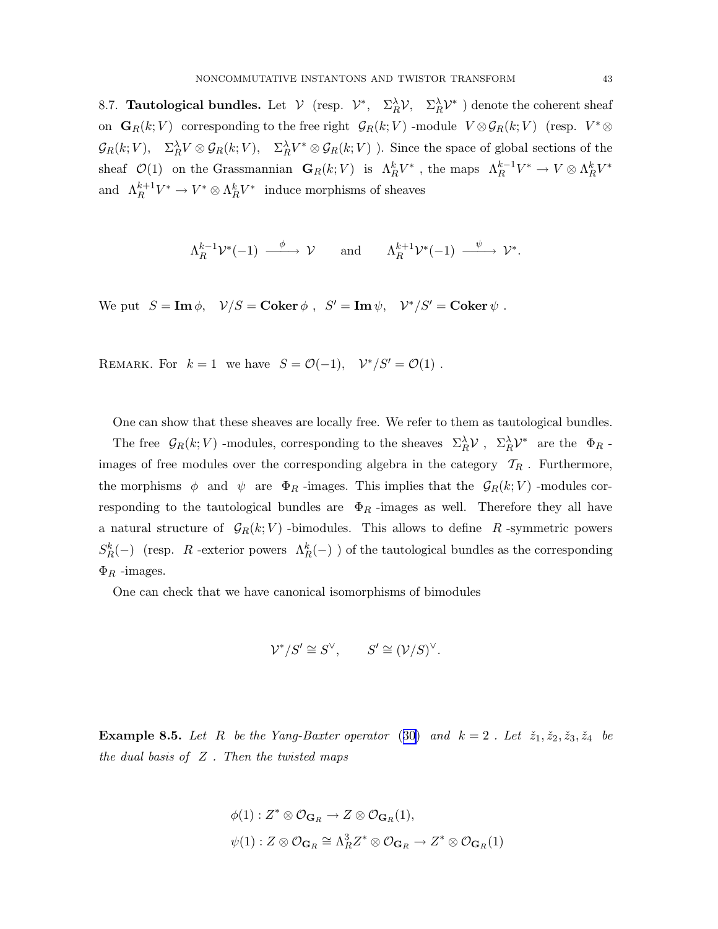<span id="page-43-0"></span>8.7. **Tautological bundles.** Let  $V$  (resp.  $V^*$ ,  $\Sigma_R^{\lambda} V$ ,  $\Sigma_R^{\lambda} V^*$ ) denote the coherent sheaf on  $\mathbf{G}_R(k; V)$  corresponding to the free right  $\mathcal{G}_R(k; V)$  -module  $V \otimes \mathcal{G}_R(k; V)$  (resp.  $V^* \otimes$  $\mathcal{G}_R(k; V)$ ,  $\Sigma_R^{\lambda} V \otimes \mathcal{G}_R(k; V)$ ,  $\Sigma_R^{\lambda} V^* \otimes \mathcal{G}_R(k; V)$ . Since the space of global sections of the sheaf  $\mathcal{O}(1)$  on the Grassmannian  $\mathbf{G}_R(k; V)$  is  $\Lambda_R^k V^*$ , the maps  $\Lambda_R^{k-1} V^* \to V \otimes \Lambda_R^k V^*$ and  $\Lambda_R^{k+1} V^* \to V^* \otimes \Lambda_R^k V^*$  induce morphisms of sheaves

$$
\Lambda_R^{k-1} \mathcal{V}^*(-1) \xrightarrow{\phi} \mathcal{V} \quad \text{and} \quad \Lambda_R^{k+1} \mathcal{V}^*(-1) \xrightarrow{\psi} \mathcal{V}^*.
$$

We put  $S = \text{Im} \phi$ ,  $\mathcal{V}/S = \text{Coker} \phi$ ,  $S' = \text{Im} \psi$ ,  $\mathcal{V}^*/S' = \text{Coker} \psi$ .

REMARK. For  $k = 1$  we have  $S = \mathcal{O}(-1)$ ,  $\mathcal{V}^*/S' = \mathcal{O}(1)$ .

One can show that these sheaves are locally free. We refer to them as tautological bundles.

The free  $\mathcal{G}_R(k; V)$  -modules, corresponding to the sheaves  $\Sigma_R^{\lambda} \mathcal{V}$ ,  $\Sigma_R^{\lambda} \mathcal{V}^*$  are the  $\Phi_R$ images of free modules over the corresponding algebra in the category  $T_R$ . Furthermore, the morphisms  $\phi$  and  $\psi$  are  $\Phi_R$ -images. This implies that the  $\mathcal{G}_R(k; V)$ -modules corresponding to the tautological bundles are  $\Phi_R$ -images as well. Therefore they all have a natural structure of  $\mathcal{G}_R(k; V)$  -bimodules. This allows to define R-symmetric powers  $S_R^k(-)$  (resp. R -exterior powers  $\Lambda_R^k(-)$ ) of the tautological bundles as the corresponding  $\Phi_R$  -images.

One can check that we have canonical isomorphisms of bimodules

$$
\mathcal{V}^*/S' \cong S^{\vee}, \qquad S' \cong (\mathcal{V}/S)^{\vee}.
$$

**Example 8.5.** Let R be the Yang-Baxter operator ([30\)](#page-39-0) and  $k = 2$ . Let  $\check{z}_1, \check{z}_2, \check{z}_3, \check{z}_4$  be *the dual basis of* Z *. Then the twisted maps*

$$
\phi(1) : Z^* \otimes \mathcal{O}_{\mathbf{G}_R} \to Z \otimes \mathcal{O}_{\mathbf{G}_R}(1),
$$
  

$$
\psi(1) : Z \otimes \mathcal{O}_{\mathbf{G}_R} \cong \Lambda_R^3 Z^* \otimes \mathcal{O}_{\mathbf{G}_R} \to Z^* \otimes \mathcal{O}_{\mathbf{G}_R}(1)
$$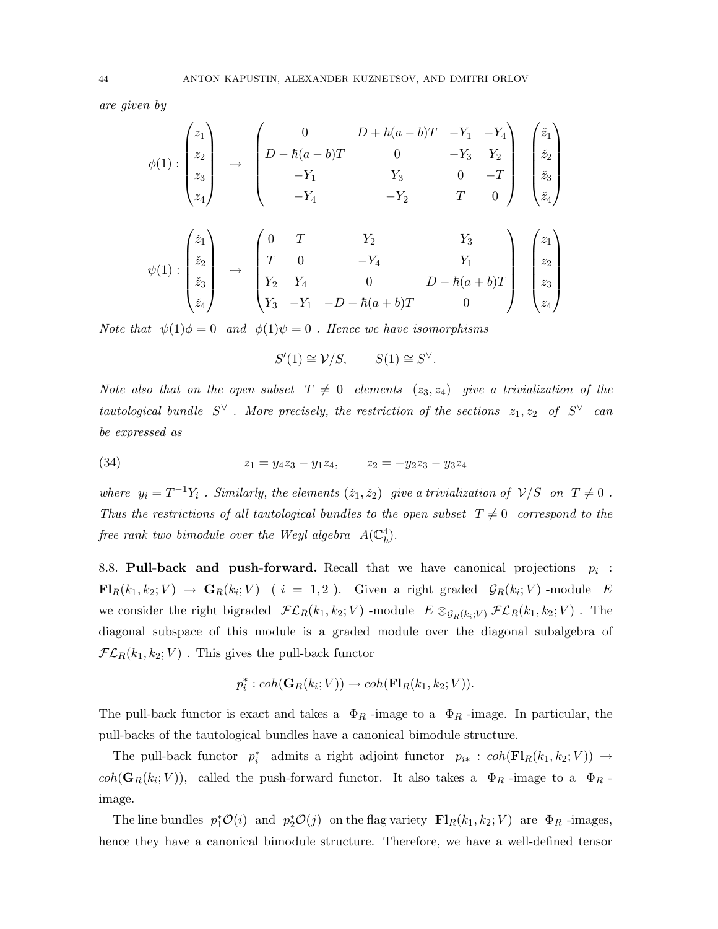*are given by*

$$
\phi(1): \begin{pmatrix} z_1 \\ z_2 \\ z_3 \\ z_4 \end{pmatrix} \quad \mapsto \quad \begin{pmatrix} 0 & D + \hbar(a-b)T & -Y_1 & -Y_4 \\ D - \hbar(a-b)T & 0 & -Y_3 & Y_2 \\ -Y_1 & Y_3 & 0 & -T \\ -Y_4 & -Y_2 & T & 0 \end{pmatrix} \quad \begin{pmatrix} \check{z}_1 \\ \check{z}_2 \\ \check{z}_3 \\ \check{z}_4 \end{pmatrix}
$$

$$
\psi(1): \begin{pmatrix} \check{z}_1 \\ \check{z}_2 \\ \check{z}_3 \\ \check{z}_4 \end{pmatrix} \quad \mapsto \quad \begin{pmatrix} 0 & T & Y_2 & Y_3 \\ T & 0 & -Y_4 & Y_1 \\ Y_2 & Y_4 & 0 & D - \hbar(a+b)T \\ Y_3 & -Y_1 & -D - \hbar(a+b)T & 0 \end{pmatrix} \quad \begin{pmatrix} z_1 \\ z_2 \\ z_3 \\ z_4 \end{pmatrix}
$$

*Note that*  $\psi(1)\phi = 0$  *and*  $\phi(1)\psi = 0$  *. Hence we have isomorphisms* 

$$
S'(1) \cong \mathcal{V}/S, \qquad S(1) \cong S^{\vee}.
$$

*Note also that on the open subset*  $T \neq 0$  *elements*  $(z_3, z_4)$  *give a trivialization of the*  $tautological bundle S<sup>∨</sup>$ . More precisely, the restriction of the sections  $z_1, z_2$  of  $S<sup>∨</sup>$  can *be expressed as*

(34) 
$$
z_1 = y_4 z_3 - y_1 z_4, \qquad z_2 = -y_2 z_3 - y_3 z_4
$$

where  $y_i = T^{-1}Y_i$ . Similarly, the elements  $(\check{z}_1, \check{z}_2)$  give a trivialization of  $V/S$  on  $T \neq 0$ . *Thus the restrictions of all tautological bundles to the open subset*  $T \neq 0$  *correspond to the* free rank two bimodule over the Weyl algebra  $A(\mathbb{C}_{\hbar}^4)$ .

8.8. Pull-back and push-forward. Recall that we have canonical projections  $p_i$ :  $\mathbf{Fl}_R(k_1, k_2; V) \rightarrow \mathbf{G}_R(k_i; V)$  (  $i = 1, 2$  ). Given a right graded  $\mathcal{G}_R(k_i; V)$  -module E we consider the right bigraded  $\mathcal{FL}_R(k_1,k_2;V)$  -module  $E \otimes_{\mathcal{G}_R(k_i;V)} \mathcal{FL}_R(k_1,k_2;V)$ . The diagonal subspace of this module is a graded module over the diagonal subalgebra of  $\mathcal{FL}_R(k_1,k_2;V)$ . This gives the pull-back functor

$$
p_i^* : coh(\mathbf{G}_R(k_i; V)) \to coh(\mathbf{Fl}_R(k_1, k_2; V)).
$$

The pull-back functor is exact and takes a  $\Phi_R$ -image to a  $\Phi_R$ -image. In particular, the pull-backs of the tautological bundles have a canonical bimodule structure.

The pull-back functor  $p_i^*$  admits a right adjoint functor  $p_{i*} : coh(\mathbf{Fl}_R(k_1, k_2; V)) \rightarrow$  $coh(\mathbf{G}_R(k_i; V))$ , called the push-forward functor. It also takes a  $\Phi_R$ -image to a  $\Phi_R$ image.

The line bundles  $p_1^* \mathcal{O}(i)$  and  $p_2^* \mathcal{O}(j)$  on the flag variety  $\mathbf{Fl}_R(k_1, k_2; V)$  are  $\Phi_R$ -images, hence they have a canonical bimodule structure. Therefore, we have a well-defined tensor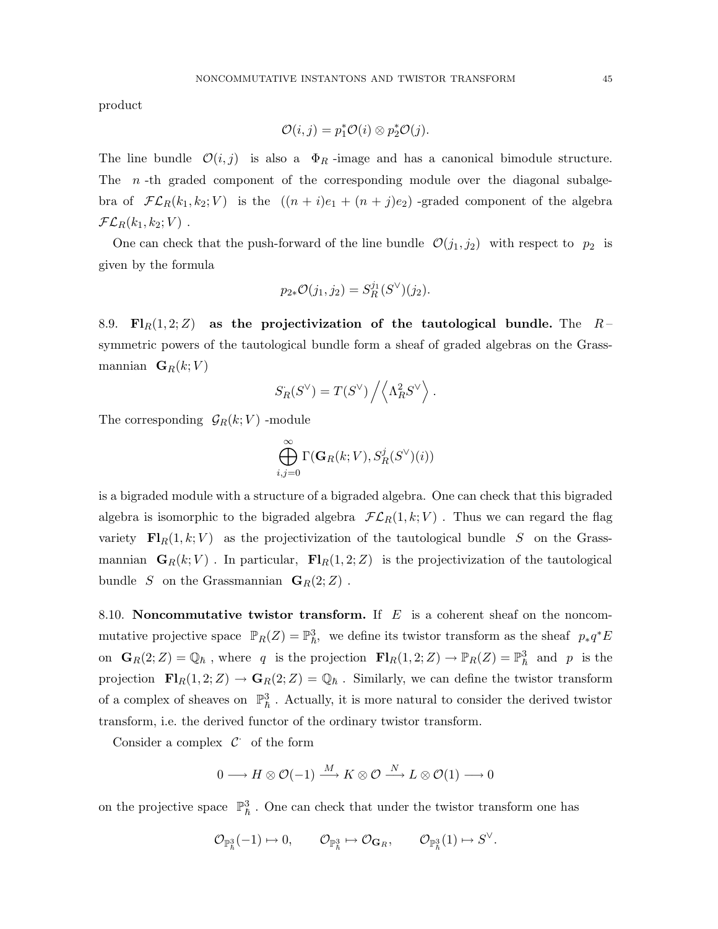product

$$
\mathcal{O}(i,j) = p_1^* \mathcal{O}(i) \otimes p_2^* \mathcal{O}(j).
$$

The line bundle  $\mathcal{O}(i,j)$  is also a  $\Phi_R$ -image and has a canonical bimodule structure. The  $n$ -th graded component of the corresponding module over the diagonal subalgebra of  $\mathcal{FL}_R(k_1,k_2;V)$  is the  $((n+i)e_1+(n+j)e_2)$ -graded component of the algebra  $\mathcal{FL}_R(k_1,k_2;V)$ .

One can check that the push-forward of the line bundle  $\mathcal{O}(j_1,j_2)$  with respect to  $p_2$  is given by the formula

$$
p_{2*}\mathcal{O}(j_1, j_2) = S_R^{j_1}(S^{\vee})(j_2).
$$

8.9. Fl<sub>R</sub>(1,2; Z) as the projectivization of the tautological bundle. The Rsymmetric powers of the tautological bundle form a sheaf of graded algebras on the Grassmannian  $\mathbf{G}_R(k; V)$ 

$$
S_R(S^{\vee}) = T(S^{\vee}) / \langle \Lambda_R^2 S^{\vee} \rangle.
$$

The corresponding  $\mathcal{G}_R(k; V)$  -module

$$
\bigoplus_{i,j=0}^{\infty}\Gamma(\mathbf{G}_R(k;V), S^j_R(S^{\vee})(i))
$$

is a bigraded module with a structure of a bigraded algebra. One can check that this bigraded algebra is isomorphic to the bigraded algebra  $\mathcal{FL}_R(1,k;V)$ . Thus we can regard the flag variety  $\mathbf{Fl}_R(1,k; V)$  as the projectivization of the tautological bundle S on the Grassmannian  $\mathbf{G}_R(k; V)$ . In particular,  $\mathbf{Fl}_R(1, 2; Z)$  is the projectivization of the tautological bundle S on the Grassmannian  $\mathbf{G}_R(2;Z)$ .

8.10. Noncommutative twistor transform. If  $E$  is a coherent sheaf on the noncommutative projective space  $\mathbb{P}_R(Z) = \mathbb{P}^3_{\hbar}$ , we define its twistor transform as the sheaf  $p_*q^*E$ on  $\mathbf{G}_R(2;Z) = \mathbb{Q}_\hbar$ , where q is the projection  $\mathbf{Fl}_R(1,2;Z) \to \mathbb{P}_R(Z) = \mathbb{P}_\hbar^3$  and p is the projection  $\mathbf{Fl}_R(1,2;Z) \to \mathbf{G}_R(2;Z) = \mathbb{Q}_\hbar$ . Similarly, we can define the twistor transform of a complex of sheaves on  $\mathbb{P}^3_{\hbar}$ . Actually, it is more natural to consider the derived twistor transform, i.e. the derived functor of the ordinary twistor transform.

Consider a complex  $\mathcal{C}^{\cdot}$  of the form

$$
0 \longrightarrow H \otimes \mathcal{O}(-1) \stackrel{M}{\longrightarrow} K \otimes \mathcal{O} \stackrel{N}{\longrightarrow} L \otimes \mathcal{O}(1) \longrightarrow 0
$$

on the projective space  $\mathbb{P}^3_{\hbar}$ . One can check that under the twistor transform one has

$$
\mathcal{O}_{\mathbb{P}^3_\hbar}(-1) \mapsto 0, \qquad \mathcal{O}_{\mathbb{P}^3_\hbar} \mapsto \mathcal{O}_{\mathbf{G}_R}, \qquad \mathcal{O}_{\mathbb{P}^3_\hbar}(1) \mapsto S^\vee.
$$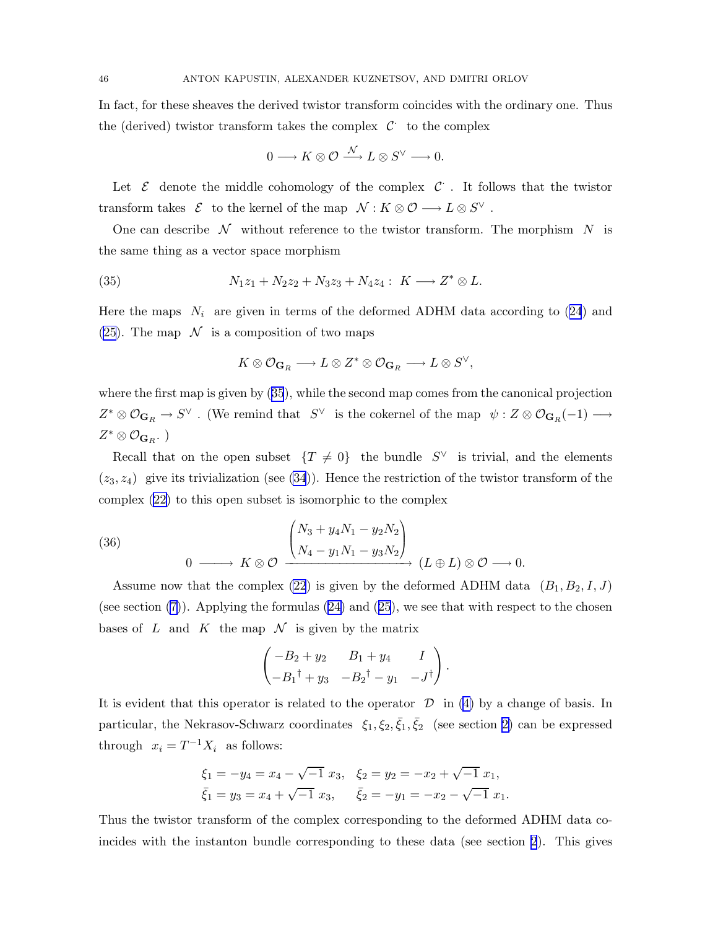In fact, for these sheaves the derived twistor transform coincides with the ordinary one. Thus the (derived) twistor transform takes the complex  $\mathcal{C}^{\dagger}$  to the complex

$$
0 \longrightarrow K \otimes \mathcal{O} \stackrel{\mathcal{N}}{\longrightarrow} L \otimes S^{\vee} \longrightarrow 0.
$$

Let  $\mathcal E$  denote the middle cohomology of the complex  $\mathcal C$ . It follows that the twistor transform takes  $\mathcal{E}$  to the kernel of the map  $\mathcal{N}: K \otimes \mathcal{O} \longrightarrow L \otimes S^{\vee}$ .

One can describe  $\mathcal N$  without reference to the twistor transform. The morphism  $N$  is the same thing as a vector space morphism

(35) 
$$
N_1 z_1 + N_2 z_2 + N_3 z_3 + N_4 z_4 : K \longrightarrow Z^* \otimes L.
$$

Herethe maps  $N_i$  are given in terms of the deformed ADHM data according to ([24](#page-35-0)) and [\(25](#page-35-0)). The map  $\mathcal N$  is a composition of two maps

$$
K\otimes \mathcal{O}_{\mathbf{G}_R}\longrightarrow L\otimes Z^*\otimes \mathcal{O}_{\mathbf{G}_R}\longrightarrow L\otimes S^{\vee},
$$

where the first map is given by (35), while the second map comes from the canonical projection  $Z^* \otimes \mathcal{O}_{\mathbf{G}_R} \to S^{\vee}$ . (We remind that  $S^{\vee}$  is the cokernel of the map  $\psi : Z \otimes \mathcal{O}_{\mathbf{G}_R}(-1) \longrightarrow$  $Z^*\otimes \mathcal{O}_{\mathbf{G}_R}$ .)

Recall that on the open subset  $\{T \neq 0\}$  the bundle  $S^{\vee}$  is trivial, and the elements  $(z_3, z_4)$  give its trivialization (see [\(34](#page-43-0))). Hence the restriction of the twistor transform of the complex [\(22\)](#page-34-0) to this open subset is isomorphic to the complex

(36) 
$$
\begin{aligned}\n&\left(\begin{matrix}N_3 + y_4 N_1 - y_2 N_2\\N_4 - y_1 N_1 - y_3 N_2\end{matrix}\right) \\
&\longrightarrow K \otimes \mathcal{O}\n\end{aligned}\n\longrightarrow\n\begin{aligned}\n&\left(\begin{matrix}N_3 + y_4 N_1 - y_2 N_2\\N_4 - y_1 N_1 - y_3 N_2\end{matrix}\right) \\
&\longrightarrow (L \oplus L) \otimes \mathcal{O} \longrightarrow 0.\n\end{aligned}
$$

Assume now that the complex [\(22](#page-34-0)) is given by the deformed ADHM data  $(B_1, B_2, I, J)$ (seesection  $(7)$ ). Applying the formulas  $(24)$  $(24)$  and  $(25)$  $(25)$  $(25)$ , we see that with respect to the chosen bases of L and K the map  $\mathcal N$  is given by the matrix

$$
\begin{pmatrix} -B_2 + y_2 & B_1 + y_4 & I \ -B_1^{\dagger} + y_3 & -B_2^{\dagger} - y_1 & -J^{\dagger} \end{pmatrix}.
$$

It is evident that this operator is related to the operator  $\mathcal D$  in [\(4\)](#page-7-0) by a change of basis. In particular, the Nekrasov-Schwarz coordinates  $\xi_1, \xi_2, \overline{\xi}_1, \overline{\xi}_2$  (see section [2\)](#page-6-0) can be expressed through  $x_i = T^{-1}X_i$  as follows:

$$
\xi_1 = -y_4 = x_4 - \sqrt{-1} x_3
$$
,  $\xi_2 = y_2 = -x_2 + \sqrt{-1} x_1$ ,  
\n $\bar{\xi}_1 = y_3 = x_4 + \sqrt{-1} x_3$ ,  $\bar{\xi}_2 = -y_1 = -x_2 - \sqrt{-1} x_1$ .

Thus the twistor transform of the complex corresponding to the deformed ADHM data coincides with the instanton bundle corresponding to these data (see section [2](#page-6-0)). This gives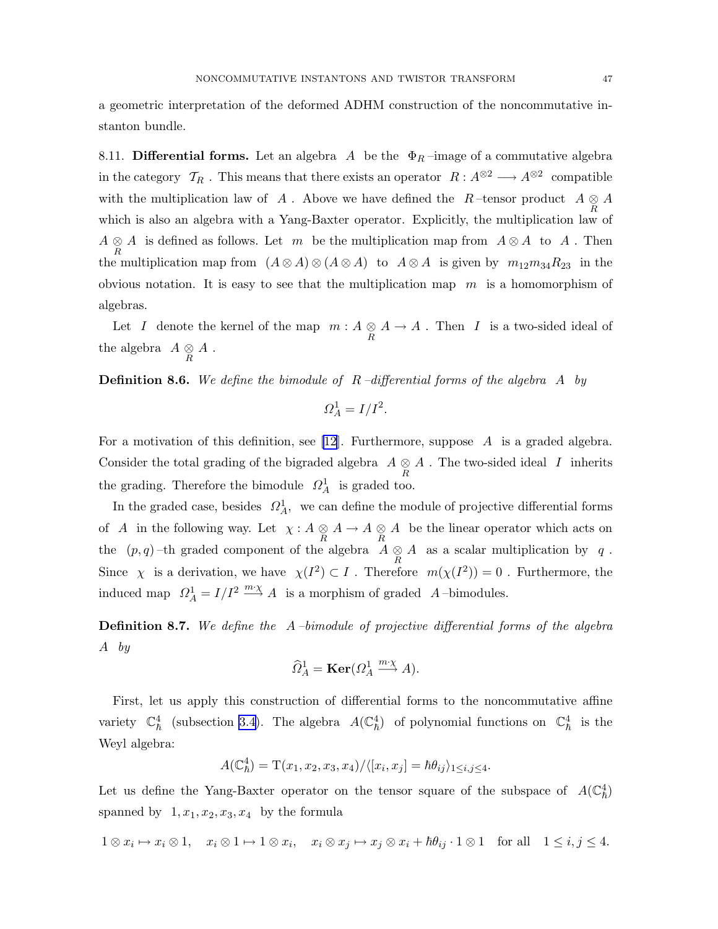<span id="page-47-0"></span>a geometric interpretation of the deformed ADHM construction of the noncommutative instanton bundle.

8.11. Differential forms. Let an algebra A be the  $\Phi_R$ -image of a commutative algebra in the category  $\mathcal{T}_R$ . This means that there exists an operator  $R: A^{\otimes 2} \longrightarrow A^{\otimes 2}$  compatible with the multiplication law of A. Above we have defined the R-tensor product  $A \underset{R}{\otimes} A$ which is also an algebra with a Yang-Baxter operator. Explicitly, the multiplication law of  $A \underset{R}{\otimes} A$  is defined as follows. Let m be the multiplication map from  $A \otimes A$  to  $A$ . Then the multiplication map from  $(A \otimes A) \otimes (A \otimes A)$  to  $A \otimes A$  is given by  $m_{12}m_{34}R_{23}$  in the obvious notation. It is easy to see that the multiplication map  $m$  is a homomorphism of algebras.

Let I denote the kernel of the map  $m : A \underset{R}{\otimes} A \to A$ . Then I is a two-sided ideal of the algebra  $A \underset{R}{\otimes} A$ .

Definition 8.6. *We define the bimodule of* R *–differential forms of the algebra* A *by*

$$
\Omega^1_A = I/I^2.
$$

For a motivation of this definition, see  $[12]$ . Furthermore, suppose A is a graded algebra. Consider the total grading of the bigraded algebra  $A \underset{R}{\otimes} A$ . The two-sided ideal  $I$  inherits the grading. Therefore the bimodule  $\Omega^1_A$  is graded too.

In the graded case, besides  $\Omega_A^1$ , we can define the module of projective differential forms of A in the following way. Let  $\chi: A \underset{R}{\otimes} A \to A \underset{R}{\otimes} A$  be the linear operator which acts on the  $(p, q)$ -th graded component of the algebra  $A \underset{R}{\otimes} A$  as a scalar multiplication by q. Since  $\chi$  is a derivation, we have  $\chi(I^2) \subset I$ . Therefore  $m(\chi(I^2)) = 0$ . Furthermore, the induced map  $\Omega_A^1 = I/I^2 \stackrel{m \cdot \chi}{\longrightarrow} A$  is a morphism of graded A-bimodules.

Definition 8.7. *We define the* A *–bimodule of projective differential forms of the algebra* A *by*

$$
\widehat{\Omega}_A^1 = \operatorname{Ker}(\Omega_A^1 \xrightarrow{m \cdot \chi} A).
$$

First, let us apply this construction of differential forms to the noncommutative affine variety  $\mathbb{C}_{\hbar}^4$  (subsection [3.4\)](#page-14-0). The algebra  $A(\mathbb{C}_{\hbar}^4)$  of polynomial functions on  $\mathbb{C}_{\hbar}^4$  is the Weyl algebra:

$$
A(\mathbb{C}_{\hbar}^4) = \mathrm{T}(x_1, x_2, x_3, x_4) / \langle [x_i, x_j] = \hbar \theta_{ij} \rangle_{1 \le i, j \le 4}.
$$

Let us define the Yang-Baxter operator on the tensor square of the subspace of  $A(\mathbb{C}_{\hbar}^4)$ spanned by  $1, x_1, x_2, x_3, x_4$  by the formula

$$
1 \otimes x_i \mapsto x_i \otimes 1, \quad x_i \otimes 1 \mapsto 1 \otimes x_i, \quad x_i \otimes x_j \mapsto x_j \otimes x_i + \hbar \theta_{ij} \cdot 1 \otimes 1 \quad \text{for all} \quad 1 \le i, j \le 4.
$$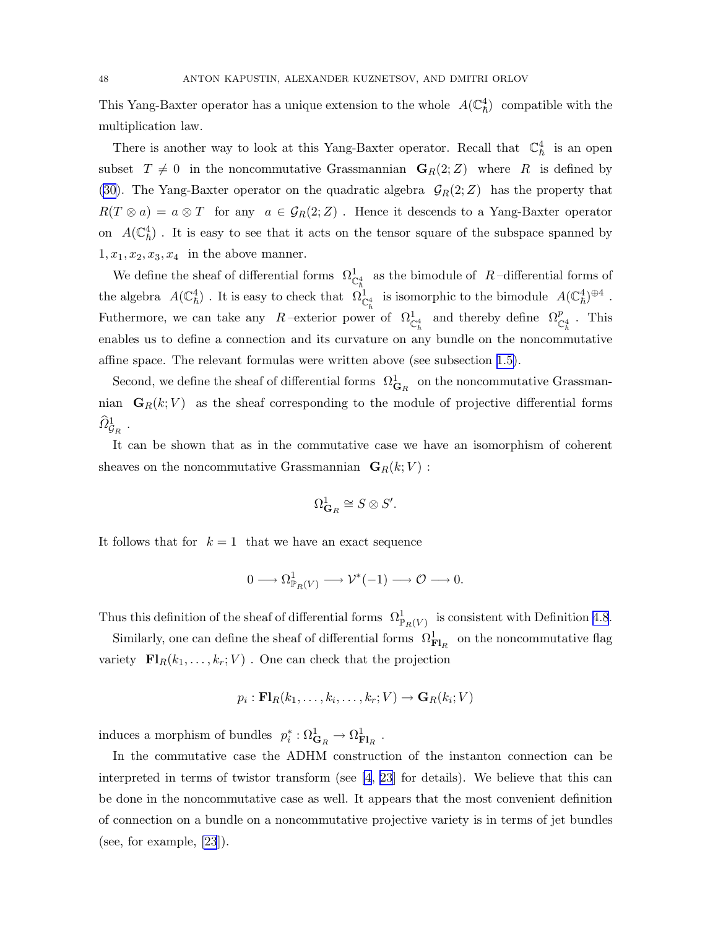This Yang-Baxter operator has a unique extension to the whole  $A(\mathbb{C}_{\hbar}^4)$  compatible with the multiplication law.

There is another way to look at this Yang-Baxter operator. Recall that  $\mathbb{C}_{\hbar}^4$  is an open subset  $T \neq 0$  in the noncommutative Grassmannian  $\mathbf{G}_R(2;Z)$  where R is defined by [\(30](#page-39-0)). The Yang-Baxter operator on the quadratic algebra  $\mathcal{G}_R(2;Z)$  has the property that  $R(T \otimes a) = a \otimes T$  for any  $a \in \mathcal{G}_R(2;Z)$ . Hence it descends to a Yang-Baxter operator on  $A(\mathbb{C}_{\hbar}^4)$ . It is easy to see that it acts on the tensor square of the subspace spanned by  $1, x_1, x_2, x_3, x_4$  in the above manner.

We define the sheaf of differential forms  $\Omega^1_{\mathbb{C}^4_{\hbar}}$  as the bimodule of R-differential forms of the algebra  $A(\mathbb{C}_{\hbar}^4)$ . It is easy to check that  $\Omega_{\mathbb{C}_{\hbar}^4}^1$  is isomorphic to the bimodule  $A(\mathbb{C}_{\hbar}^4)^{\oplus 4}$ . Futhermore, we can take any  $R$ -exterior power of  $\Omega_{\mathbb{C}_h^4}^1$  and thereby define  $\Omega_{\mathbb{C}_h^4}^p$ . This enables us to define a connection and its curvature on any bundle on the noncommutative affine space. The relevant formulas were written above (see subsection [1.5\)](#page-4-0).

Second, we define the sheaf of differential forms  $\Omega_{\mathbf{G}_R}^1$  on the noncommutative Grassmannian  $\mathbf{G}_R(k; V)$  as the sheaf corresponding to the module of projective differential forms  $\widehat{\Omega}^1_{\mathcal{G}_R}$  .

It can be shown that as in the commutative case we have an isomorphism of coherent sheaves on the noncommutative Grassmannian  $\mathbf{G}_R(k; V)$ :

$$
\Omega_{\mathbf{G}_R}^1 \cong S \otimes S'.
$$

It follows that for  $k = 1$  that we have an exact sequence

$$
0 \longrightarrow \Omega^1_{\mathbb{P}_R(V)} \longrightarrow \mathcal{V}^*(-1) \longrightarrow \mathcal{O} \longrightarrow 0.
$$

Thus this definition of the sheaf of differential forms  $\Omega^1_{\mathbb{P}_R(V)}$  is consistent with Definition [4.8](#page-20-0).

Similarly, one can define the sheaf of differential forms  $\Omega^1_{\mathbf{Fl}_R}$  on the noncommutative flag variety  $\mathbf{Fl}_R(k_1,\ldots,k_r; V)$ . One can check that the projection

$$
p_i: \mathbf{Fl}_R(k_1,\ldots,k_i,\ldots,k_r;V) \to \mathbf{G}_R(k_i;V)
$$

induces a morphism of bundles  $p_i^* : \Omega_{\mathbf{G}_R}^1 \to \Omega_{\mathbf{Fl}_R}^1$ .

In the commutative case the ADHM construction of the instanton connection can be interpreted in terms of twistor transform (see  $[4, 23]$  $[4, 23]$  $[4, 23]$  for details). We believe that this can be done in the noncommutative case as well. It appears that the most convenient definition of connection on a bundle on a noncommutative projective variety is in terms of jet bundles (see, for example, [\[23](#page-55-0)]).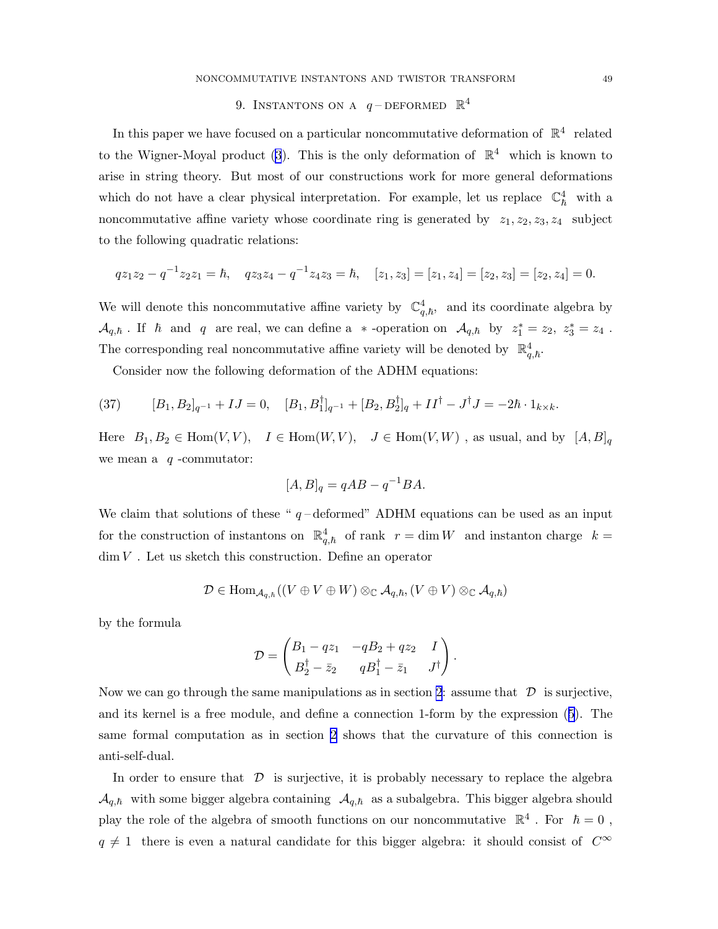## 9. INSTANTONS ON A  $q$ -DEFORMED  $\mathbb{R}^4$

<span id="page-49-0"></span>In this paper we have focused on a particular noncommutative deformation of  $\mathbb{R}^4$  related to the Wigner-Moyal product [\(3](#page-4-0)). This is the only deformation of  $\mathbb{R}^4$  which is known to arise in string theory. But most of our constructions work for more general deformations which do not have a clear physical interpretation. For example, let us replace  $\mathbb{C}_{\hbar}^4$  with a noncommutative affine variety whose coordinate ring is generated by  $z_1, z_2, z_3, z_4$  subject to the following quadratic relations:

$$
qz_1z_2 - q^{-1}z_2z_1 = \hbar, \quad qz_3z_4 - q^{-1}z_4z_3 = \hbar, \quad [z_1, z_3] = [z_1, z_4] = [z_2, z_3] = [z_2, z_4] = 0.
$$

We will denote this noncommutative affine variety by  $\mathbb{C}^4_{q,\hbar}$ , and its coordinate algebra by  $\mathcal{A}_{q,\hbar}$ . If  $\hbar$  and q are real, we can define a  $*$  -operation on  $\mathcal{A}_{q,\hbar}$  by  $z_1^* = z_2, z_3^* = z_4$ . The corresponding real noncommutative affine variety will be denoted by  $\mathbb{R}^4_{q,h}$ .

Consider now the following deformation of the ADHM equations:

(37) 
$$
[B_1, B_2]_{q^{-1}} + IJ = 0, \quad [B_1, B_1^{\dagger}]_{q^{-1}} + [B_2, B_2^{\dagger}]_q + II^{\dagger} - J^{\dagger}J = -2\hbar \cdot 1_{k \times k}.
$$

Here  $B_1, B_2 \in \text{Hom}(V, V)$ ,  $I \in \text{Hom}(W, V)$ ,  $J \in \text{Hom}(V, W)$ , as usual, and by  $[A, B]_q$ we mean a  $q$ -commutator:

$$
[A,B]_q = qAB - q^{-1}BA.
$$

We claim that solutions of these " $q$ -deformed" ADHM equations can be used as an input for the construction of instantons on  $\mathbb{R}^4_{q,h}$  of rank  $r = \dim W$  and instanton charge  $k =$  $\dim V$ . Let us sketch this construction. Define an operator

$$
\mathcal{D} \in \text{Hom}_{\mathcal{A}_{q,\hbar}}((V \oplus V \oplus W) \otimes_{\mathbb{C}} \mathcal{A}_{q,\hbar}, (V \oplus V) \otimes_{\mathbb{C}} \mathcal{A}_{q,\hbar})
$$

by the formula

$$
\mathcal{D} = \begin{pmatrix} B_1 - qz_1 & -qB_2 + qz_2 & I \\ B_2^{\dagger} - \bar{z}_2 & qB_1^{\dagger} - \bar{z}_1 & J^{\dagger} \end{pmatrix}.
$$

Now we can go through the same manipulations as in section [2](#page-6-0): assume that  $\mathcal D$  is surjective, and its kernel is a free module, and define a connection 1-form by the expression([5](#page-9-0)). The same formal computation as in section [2](#page-6-0) shows that the curvature of this connection is anti-self-dual.

In order to ensure that  $\mathcal D$  is surjective, it is probably necessary to replace the algebra  $\mathcal{A}_{q,\hbar}$  with some bigger algebra containing  $\mathcal{A}_{q,\hbar}$  as a subalgebra. This bigger algebra should play the role of the algebra of smooth functions on our noncommutative  $\mathbb{R}^4$ . For  $\hbar = 0$ ,  $q \neq 1$  there is even a natural candidate for this bigger algebra: it should consist of  $C^{\infty}$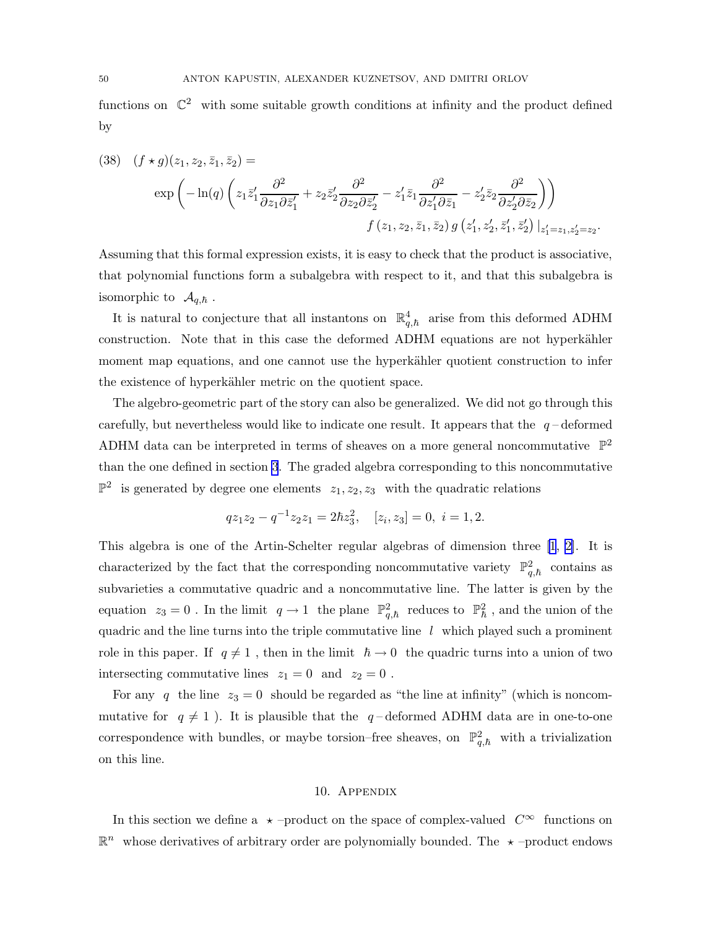functions on  $\mathbb{C}^2$  with some suitable growth conditions at infinity and the product defined by

(38) 
$$
(f * g)(z_1, z_2, \bar{z}_1, \bar{z}_2) =
$$
  
\n
$$
\exp\left(-\ln(q)\left(z_1\bar{z}_1'\frac{\partial^2}{\partial z_1\partial \bar{z}_1'} + z_2\bar{z}_2'\frac{\partial^2}{\partial z_2\partial \bar{z}_2'} - z_1'\bar{z}_1\frac{\partial^2}{\partial z_1'\partial \bar{z}_1} - z_2'\bar{z}_2\frac{\partial^2}{\partial z_2'\partial \bar{z}_2}\right)\right)
$$
\n
$$
f(z_1, z_2, \bar{z}_1, \bar{z}_2) g(z_1', z_2', \bar{z}_1', \bar{z}_2')|_{z_1' = z_1, z_2' = z_2}.
$$

Assuming that this formal expression exists, it is easy to check that the product is associative, that polynomial functions form a subalgebra with respect to it, and that this subalgebra is isomorphic to  $\mathcal{A}_{q,h}$ .

It is natural to conjecture that all instantons on  $\mathbb{R}^4_{q,h}$  arise from this deformed ADHM construction. Note that in this case the deformed ADHM equations are not hyperkähler moment map equations, and one cannot use the hyperkähler quotient construction to infer the existence of hyperkähler metric on the quotient space.

The algebro-geometric part of the story can also be generalized. We did not go through this carefully, but nevertheless would like to indicate one result. It appears that the  $q$ -deformed ADHM data can be interpreted in terms of sheaves on a more general noncommutative  $\mathbb{P}^2$ than the one defined in section [3](#page-11-0). The graded algebra corresponding to this noncommutative  $\mathbb{P}^2$  is generated by degree one elements  $z_1, z_2, z_3$  with the quadratic relations

$$
qz_1z_2 - q^{-1}z_2z_1 = 2\hbar z_3^2
$$
,  $[z_i, z_3] = 0$ ,  $i = 1, 2$ .

This algebra is one of the Artin-Schelter regular algebras of dimension three [\[1](#page-54-0), [2\]](#page-54-0). It is characterized by the fact that the corresponding noncommutative variety  $\mathbb{P}^2_{q,\hbar}$  contains as subvarieties a commutative quadric and a noncommutative line. The latter is given by the equation  $z_3 = 0$ . In the limit  $q \to 1$  the plane  $\mathbb{P}^2_{q,\hbar}$  reduces to  $\mathbb{P}^2_{\hbar}$ , and the union of the quadric and the line turns into the triple commutative line  $l$  which played such a prominent role in this paper. If  $q \neq 1$ , then in the limit  $\hbar \to 0$  the quadric turns into a union of two intersecting commutative lines  $z_1 = 0$  and  $z_2 = 0$ .

For any q the line  $z_3 = 0$  should be regarded as "the line at infinity" (which is noncommutative for  $q \neq 1$ ). It is plausible that the  $q$ -deformed ADHM data are in one-to-one correspondence with bundles, or maybe torsion–free sheaves, on  $\mathbb{P}^2_{q,\hbar}$  with a trivialization on this line.

#### 10. Appendix

In this section we define a  $\star$  –product on the space of complex-valued  $C^{\infty}$  functions on  $\mathbb{R}^n$  whose derivatives of arbitrary order are polynomially bounded. The  $\star$ -product endows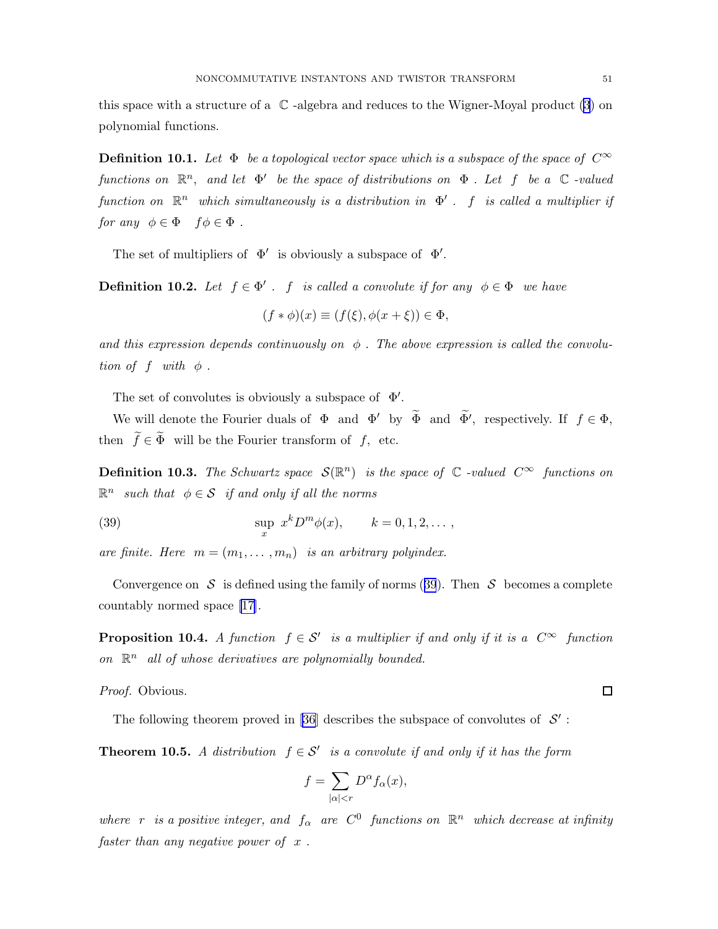<span id="page-51-0"></span>this space with a structure of a  $\mathbb C$  -algebra and reduces to the Wigner-Moyal product [\(3](#page-4-0)) on polynomial functions.

**Definition 10.1.** Let  $\Phi$  be a topological vector space which is a subspace of the space of  $C^{\infty}$  $\mathbf{p}$  *functions on*  $\mathbb{R}^n$ , *and let*  $\Phi'$  *be the space of distributions on*  $\Phi$  *. Let*  $f$  *be a*  $\mathbb{C}$  *-valued function on*  $\mathbb{R}^n$  *which simultaneously is a distribution in*  $\Phi'$ . *f is called a multiplier if for any*  $\phi \in \Phi$  *f* $\phi \in \Phi$ *.* 

The set of multipliers of  $\Phi'$  is obviously a subspace of  $\Phi'$ .

**Definition 10.2.** Let  $f \in \Phi'$ . f *is called a convolute if for any*  $\phi \in \Phi$  *we have* 

$$
(f * \phi)(x) \equiv (f(\xi), \phi(x + \xi)) \in \Phi,
$$

and this expression depends continuously on  $\phi$ . The above expression is called the convolu*tion of*  $f$  *with*  $\phi$ .

The set of convolutes is obviously a subspace of  $\Phi'$ .

We will denote the Fourier duals of  $\Phi$  and  $\Phi'$  by  $\Phi$  and  $\Phi'$ , respectively. If  $f \in \Phi$ , then  $\widetilde{f}\in \widetilde{\Phi}_-$  will be the Fourier transform of  $f$ , etc.

**Definition 10.3.** The Schwartz space  $\mathcal{S}(\mathbb{R}^n)$  is the space of  $\mathbb{C}$  *-valued*  $C^{\infty}$  functions on  $\mathbb{R}^n$  *such that*  $\phi \in \mathcal{S}$  *if and only if all the norms* 

(39) 
$$
\sup_{x} x^{k} D^{m} \phi(x), \qquad k = 0, 1, 2, ... ,
$$

*are finite. Here*  $m = (m_1, \ldots, m_n)$  *is an arbitrary polyindex.* 

Convergence on  $\mathcal S$  is defined using the family of norms (39). Then  $\mathcal S$  becomes a complete countably normed space [\[17\]](#page-54-0).

**Proposition 10.4.** *A function*  $f \in S'$  *is a multiplier if and only if it is a*  $C^{\infty}$  *function* on  $\mathbb{R}^n$  all of whose derivatives are polynomially bounded.

*Proof.* Obvious.

The following theorem proved in [\[36](#page-55-0)] describes the subspace of convolutes of  $\mathcal{S}'$ :

**Theorem 10.5.** *A distribution*  $f \in S'$  *is a convolute if and only if it has the form* 

$$
f = \sum_{|\alpha| < r} D^{\alpha} f_{\alpha}(x),
$$

where r is a positive integer, and  $f_{\alpha}$  are  $C^0$  functions on  $\mathbb{R}^n$  which decrease at infinity *faster than any negative power of* x *.*

 $\Box$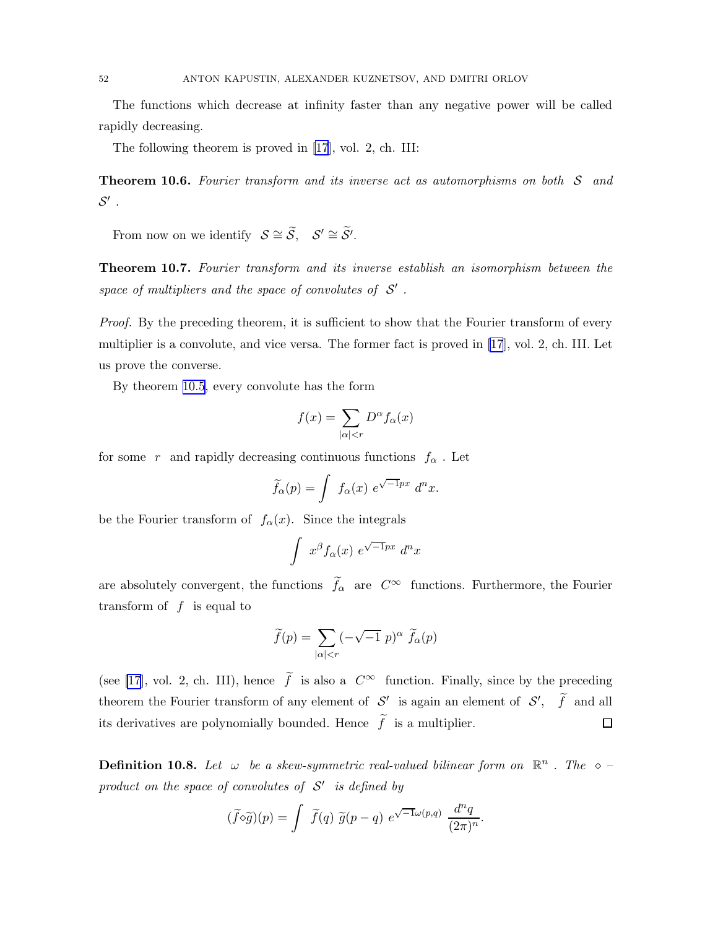<span id="page-52-0"></span>The functions which decrease at infinity faster than any negative power will be called rapidly decreasing.

The following theorem is proved in [\[17](#page-54-0)], vol. 2, ch. III:

Theorem 10.6. *Fourier transform and its inverse act as automorphisms on both* S *and* S ′ *.*

From now on we identify  $S \cong S$ ,  $S' \cong S'$ .

Theorem 10.7. *Fourier transform and its inverse establish an isomorphism between the* space of multipliers and the space of convolutes of  $S'$ .

*Proof.* By the preceding theorem, it is sufficient to show that the Fourier transform of every multiplier is a convolute, and vice versa. The former fact is proved in [\[17](#page-54-0)], vol. 2, ch. III. Let us prove the converse.

By theorem [10.5,](#page-51-0) every convolute has the form

$$
f(x) = \sum_{|\alpha| < r} D^\alpha f_\alpha(x)
$$

for some  $\ r\ \$  and rapidly decreasing continuous functions  $\ f_{\alpha}$  . Let

$$
\widetilde{f}_{\alpha}(p) = \int f_{\alpha}(x) e^{\sqrt{-1}px} d^{n}x.
$$

be the Fourier transform of  $f_{\alpha}(x)$ . Since the integrals

$$
\int x^{\beta} f_{\alpha}(x) e^{\sqrt{-1}px} d^{n}x
$$

are absolutely convergent, the functions  $f_{\alpha}$  are  $C^{\infty}$  functions. Furthermore, the Fourier transform of  $f$  is equal to

$$
\widetilde{f}(p) = \sum_{|\alpha| < r} (-\sqrt{-1} \ p)^{\alpha} \ \widetilde{f}_{\alpha}(p)
$$

(see [\[17](#page-54-0)], vol. 2, ch. III), hence  $\tilde{f}$  is also a  $C^{\infty}$  function. Finally, since by the preceding theorem the Fourier transform of any element of  $S'$  is again an element of  $S'$ , f and all its derivatives are polynomially bounded. Hence  $\tilde{f}$  is a multiplier.  $\Box$ 

**Definition 10.8.** Let  $\omega$  be a skew-symmetric real-valued bilinear form on  $\mathbb{R}^n$ . The  $\diamond$  *product on the space of convolutes of* S ′ *is defined by*

$$
(\widetilde{f}\diamond \widetilde{g})(p) = \int \widetilde{f}(q) \widetilde{g}(p-q) e^{\sqrt{-1}\omega(p,q)} \frac{d^n q}{(2\pi)^n}.
$$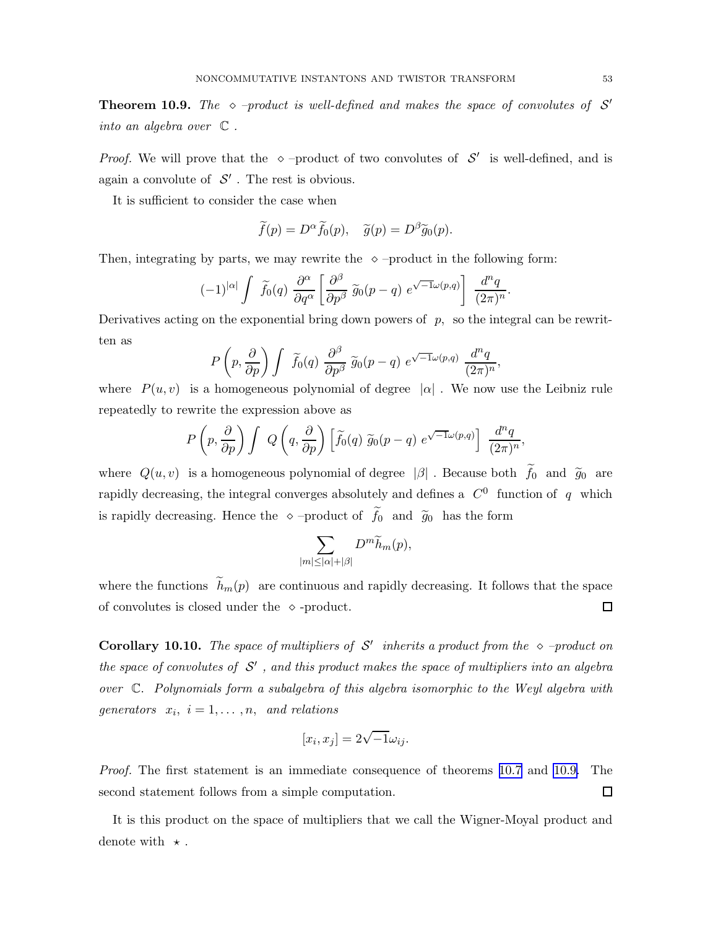**Theorem 10.9.** The  $\circ$  -product is well-defined and makes the space of convolutes of  $\mathcal{S}'$ *into an algebra over* C *.*

*Proof.* We will prove that the  $\diamond$  –product of two convolutes of  $\mathcal{S}'$  is well-defined, and is again a convolute of  $S'$ . The rest is obvious.

It is sufficient to consider the case when

$$
\widetilde{f}(p) = D^{\alpha} \widetilde{f}_0(p), \quad \widetilde{g}(p) = D^{\beta} \widetilde{g}_0(p).
$$

Then, integrating by parts, we may rewrite the  $\diamond$  –product in the following form:

$$
(-1)^{|\alpha|} \int \widetilde{f}_0(q) \frac{\partial^{\alpha}}{\partial q^{\alpha}} \left[ \frac{\partial^{\beta}}{\partial p^{\beta}} \widetilde{g}_0(p-q) e^{\sqrt{-1}\omega(p,q)} \right] \frac{d^n q}{(2\pi)^n}.
$$

Derivatives acting on the exponential bring down powers of  $p$ , so the integral can be rewritten as

$$
P\left(p, \frac{\partial}{\partial p}\right) \int \widetilde{f}_0(q) \frac{\partial^{\beta}}{\partial p^{\beta}} \widetilde{g}_0(p-q) e^{\sqrt{-1}\omega(p,q)} \frac{d^n q}{(2\pi)^n},
$$

where  $P(u, v)$  is a homogeneous polynomial of degree  $|\alpha|$ . We now use the Leibniz rule repeatedly to rewrite the expression above as

$$
P\left(p, \frac{\partial}{\partial p}\right) \int Q\left(q, \frac{\partial}{\partial p}\right) \left[\widetilde{f}_0(q) \ \widetilde{g}_0(p-q) \ e^{\sqrt{-1}\omega(p,q)}\right] \ \frac{d^n q}{(2\pi)^n},
$$

where  $Q(u, v)$  is a homogeneous polynomial of degree  $|\beta|$ . Because both  $f_0$  and  $\tilde{g}_0$  are rapidly decreasing, the integral converges absolutely and defines a  $C^0$  function of q which is rapidly decreasing. Hence the  $\diamond$ -product of  $f_0$  and  $\tilde{g}_0$  has the form

$$
\sum_{|m|\leq |\alpha|+|\beta|} D^m \widetilde{h}_m(p),
$$

where the functions  $\tilde{h}_m(p)$  are continuous and rapidly decreasing. It follows that the space of convolutes is closed under the  $\diamond$ -product. 口

**Corollary 10.10.** The space of multipliers of  $S'$  inherits a product from the  $\circ$  -product on *the space of convolutes of* S ′ *, and this product makes the space of multipliers into an algebra over* C. *Polynomials form a subalgebra of this algebra isomorphic to the Weyl algebra with*  $generators \ x_i, \ i=1,\ldots,n, \ and \ relations$ 

$$
[x_i, x_j] = 2\sqrt{-1}\omega_{ij}.
$$

*Proof.* The first statement is an immediate consequence of theorems [10.7](#page-52-0) and [10.9.](#page-52-0) The second statement follows from a simple computation.  $\Box$ 

It is this product on the space of multipliers that we call the Wigner-Moyal product and denote with  $\star$ .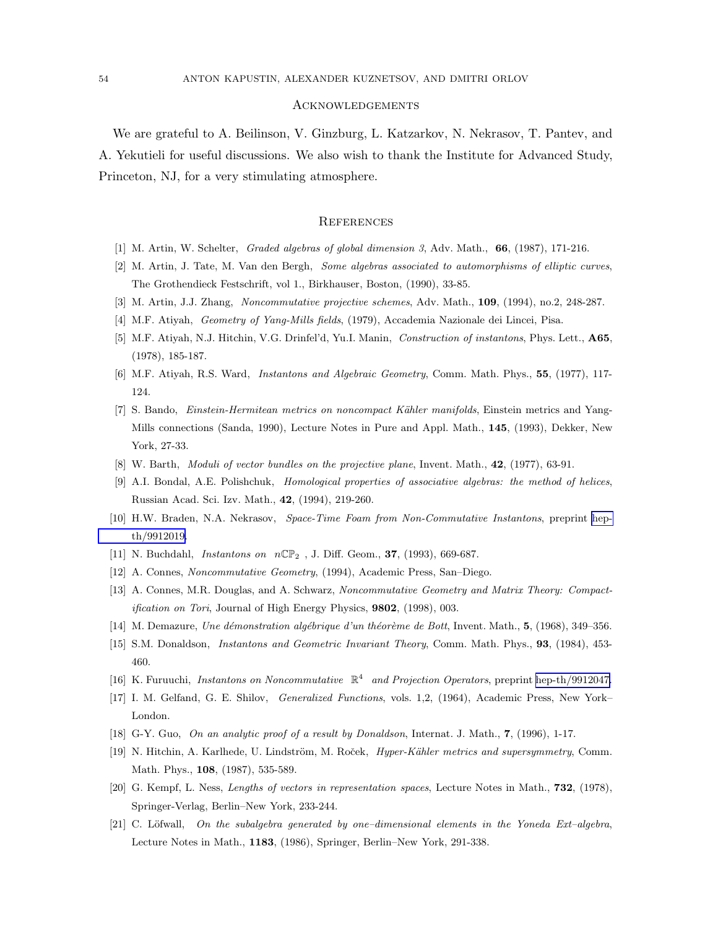### <span id="page-54-0"></span>54 ANTON KAPUSTIN, ALEXANDER KUZNETSOV, AND DMITRI ORLOV

#### Acknowledgements

We are grateful to A. Beilinson, V. Ginzburg, L. Katzarkov, N. Nekrasov, T. Pantev, and A. Yekutieli for useful discussions. We also wish to thank the Institute for Advanced Study, Princeton, NJ, for a very stimulating atmosphere.

#### **REFERENCES**

- [1] M. Artin, W. Schelter, *Graded algebras of global dimension 3*, Adv. Math., 66, (1987), 171-216.
- [2] M. Artin, J. Tate, M. Van den Bergh, *Some algebras associated to automorphisms of elliptic curves*, The Grothendieck Festschrift, vol 1., Birkhauser, Boston, (1990), 33-85.
- [3] M. Artin, J.J. Zhang, *Noncommutative projective schemes*, Adv. Math., 109, (1994), no.2, 248-287.
- [4] M.F. Atiyah, *Geometry of Yang-Mills fields*, (1979), Accademia Nazionale dei Lincei, Pisa.
- [5] M.F. Atiyah, N.J. Hitchin, V.G. Drinfel'd, Yu.I. Manin, *Construction of instantons*, Phys. Lett., A65, (1978), 185-187.
- [6] M.F. Atiyah, R.S. Ward, *Instantons and Algebraic Geometry*, Comm. Math. Phys., 55, (1977), 117- 124.
- [7] S. Bando, *Einstein-Hermitean metrics on noncompact K¨ahler manifolds*, Einstein metrics and Yang-Mills connections (Sanda, 1990), Lecture Notes in Pure and Appl. Math., 145, (1993), Dekker, New York, 27-33.
- [8] W. Barth, *Moduli of vector bundles on the projective plane*, Invent. Math., 42, (1977), 63-91.
- [9] A.I. Bondal, A.E. Polishchuk, *Homological properties of associative algebras: the method of helices*, Russian Acad. Sci. Izv. Math., 42, (1994), 219-260.
- [10] H.W. Braden, N.A. Nekrasov, *Space-Time Foam from Non-Commutative Instantons*, preprint [hep](http://arXiv.org/abs/hep-th/9912019)[th/9912019.](http://arXiv.org/abs/hep-th/9912019)
- [11] N. Buchdahl, *Instantons on* nCP<sup>2</sup> , J. Diff. Geom., 37, (1993), 669-687.
- [12] A. Connes, *Noncommutative Geometry*, (1994), Academic Press, San–Diego.
- [13] A. Connes, M.R. Douglas, and A. Schwarz, *Noncommutative Geometry and Matrix Theory: Compactification on Tori*, Journal of High Energy Physics, 9802, (1998), 003.
- [14] M. Demazure, *Une démonstration algébrique d'un théorème de Bott*, Invent. Math., **5**, (1968), 349–356.
- [15] S.M. Donaldson, *Instantons and Geometric Invariant Theory*, Comm. Math. Phys., 93, (1984), 453- 460.
- [16] K. Furuuchi, *Instantons on Noncommutative* R 4 *and Projection Operators*, preprint [hep-th/9912047.](http://arXiv.org/abs/hep-th/9912047)
- [17] I. M. Gelfand, G. E. Shilov, *Generalized Functions*, vols. 1,2, (1964), Academic Press, New York– London.
- [18] G-Y. Guo, *On an analytic proof of a result by Donaldson*, Internat. J. Math., 7, (1996), 1-17.
- [19] N. Hitchin, A. Karlhede, U. Lindström, M. Roček, *Hyper-Kähler metrics and supersymmetry*, Comm. Math. Phys., 108, (1987), 535-589.
- [20] G. Kempf, L. Ness, *Lengths of vectors in representation spaces*, Lecture Notes in Math., 732, (1978), Springer-Verlag, Berlin–New York, 233-244.
- [21] C. Löfwall, *On the subalgebra generated by one-dimensional elements in the Yoneda Ext-algebra*, Lecture Notes in Math., 1183, (1986), Springer, Berlin–New York, 291-338.